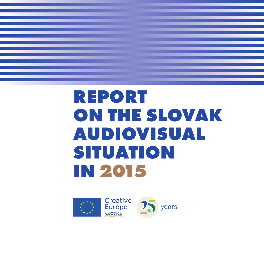

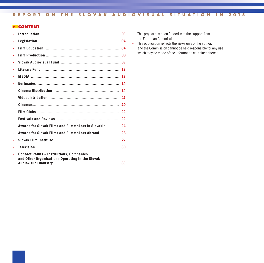# **> CONTENT**

|                                                                                                    | 04 |
|----------------------------------------------------------------------------------------------------|----|
|                                                                                                    | 04 |
|                                                                                                    | 06 |
|                                                                                                    | 09 |
|                                                                                                    | 12 |
|                                                                                                    | 12 |
|                                                                                                    | 14 |
|                                                                                                    | 14 |
|                                                                                                    | 17 |
|                                                                                                    | 20 |
|                                                                                                    | 22 |
|                                                                                                    |    |
| Awards for Slovak Films and Filmmakers in Slovakia                                                 | 24 |
| Awards for Slovak Films and Filmmakers Abroad  26                                                  |    |
|                                                                                                    |    |
|                                                                                                    | 30 |
| <b>Contact Points - Institutions, Companies</b><br>and Other Organisations Operating in the Slovak |    |

- **–** This project has been funded with the support from the European Commission.
- **-** This publication reflects the views only of the author, and the Commission cannot be held responsible for any use which may be made of the information contained therein.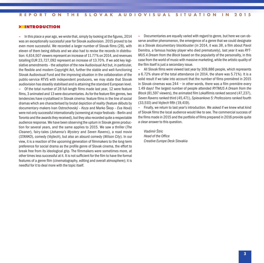#### **> INTRODUCTION**

**–** In this place a year ago, we wrote that,simply bylooking at the figures, 2014 was an exceptionally successful year for Slovak audiovision. 2015 proved to be even more successful. We recorded a larger number of Slovak films (28), with eleven of them being débuts and we also had to revise the records in distribution: 4,614,507 viewers represent an increase of 11,77% on 2014, and revenues totalling EUR 23,727,092 represent an increase of 13.70%. If we add key legislative amendments – the adoption of the new Audiovisual Act but, in particular, the flexible and modern Copyright Act, further the stable and well-functioning Slovak Audiovisual Fund and the improving situation in the collaboration of the public-service RTVS with independent producers, we may state that Slovak audiovision has steadily stabilised and is attaining the standard European level.

**–** Of the total number of 28 full-length films made last year, 12 were feature films, 3 animated and 13 were documentaries. Asfor the feature filmgenres, two tendencies have crystallised in Slovak cinema: feature filmsin the line ofsocial dramas which are characterised by brutal depiction of reality(feature débuts by documentary-makers Ivan Ostrochovský – *Koza* and Marko Škop – *Eva Nová*) were not only successful internationally (screening at major festivals - Berlin and Toronto and the awards they received), but they also recorded quite a respectable audience response.We have been observing the upturn in Slovak genre production for several years, and the same applies to 2015. We saw a thriller (*The Cleaner*), fairy-tales (*Johanna's Mystery* and *Seven Ravens*), a road movie (*STANKO*), comedy (*Vojtech*), but also an absurd comedy (*Wilson City*). In our view, it is a reaction of the upcoming generation of filmmakers to the long-term preference for social drama as the profile genre of Slovak cinema, the effort to break free from its ideological grip. The filmmakers were sometimes more, at other timeslesssuccessful at it. It is notsufficient for the film to have the formal features of a genre film (cinematography, editing and overall atmosphere); it is needful for it to deal more with the topic itself.

**–** Documentaries are equally varied with regard to genre, but here we can observe another phenomenon, the emergence of a genre that we could designate as a Slovak documentary blockbuster (in 2014, it was *38*, a film about Pavol Demitra, a famous hockey player who died prematurely), last year it was *RYT-MUS A Dream from the Block* based on the popularity of the personality, in this case from the world of music with massive marketing, while the artistic quality of the film itself is just a secondary issue.

**–** All Slovak films were viewed last year by 309,886 people, which represents a 6.72% share of the total attendance (in 2014, the share was 5.71%). It is a solid result if we take into account that the number of films premièred in 2015 in Slovak cinemas was 244 – in other words, there was a film premiere every 1.49 days! The largest number of people attended *RYTMUS A Dream from the Block* (81,597 viewers), the animated film Lokalfilmis ranked second (47,237). *Seven Ravens* ranked third (45,471), *Spievankovo 5: Professions* ranked fourth (33,510) and *Vojtech* fifth (19,419).

**–** Finally, we return to last year's introduction. We asked if we knew what kind of Slovak filmsthe local audience would like to see. The commercialsuccess of the films made in 2015 and the portfolio of films prepared in 2016 provide quite a clear answer to this question.

*Vladimír Štric Head of the Office Creative Europe Desk Slovakia*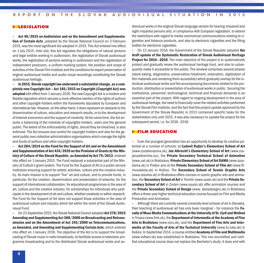#### **> LEGISLATION**

**– Act 40/2015 on Audiovision and on the Amendment and Supplementation of Certain Acts**, adopted by the Slovak National Council on 3 February 2015, was the most significant Act adopted in 2015. This Act entered into effect on 1 July 2015. *Inter alia*, this Act regulates the obligations of natural persons and legal entities working in audiovision, the registration of Slovak audiovisual works, the registration of persons working in audiovision and the registration of independent producers, a uniform marking system, the position and scope of activities of the Slovak Film Institute and the conditions for expert preservation of original audiovisual media and audio-visual recordings constituting the Slovak audiovisual heritage.

**– In 2015, Slovak copyright law underwent a substantial change, as a completely new Copyright Act – Act 185/2015 on Copyright (Copyright Act) was adopted** with effect from 1 January 2016. The new Copyright Act is a modern and flexible regulation which secures amore effective exertion of the rights of authors and other copyright-holders within the frameworks stipulated by European and international law. However, on the other hand, it does represent an obstacle to the dissemination of culture, education and research results, or to the development of Internet economics and the support of creativity. At the same time, the Act ensures a balancing of the interests of copyrights-holders, users and the general public. The extent of the enforceability of rights, should they be breached, is also enforced. The Act ensures due control for copyright-holders and also for the general public over collective administration organisations which manage the rights and funds of authors and other copyright-holders.

**– Act 284/2014 on the Fund for the Support of Art and on the Amendment and Supplementation of Act 434/2010 on the Provision of Grants bythe Ministry of Culture of the Slovak Republic, as Amended by Act 79/2013**, entered into effect on 1 January 2015. The Fund replaced a substantial part of the Ministry of Culture's grant system. The Fund for the Support of Art is a public service institution ensuring support for artistic activities, culture and the creative industry. Its main mission isto support "live" art and culture, and to provide funds, in particular, for the creation, dissemination and presentation of artworks, for the support of international collaboration, for educational programmes in the area of art, culture and the creative industry, for scholarships for individuals who participate in the development of art and culture, whether creatively or within research. The Fund for the Support of Art does not support those activities in the area of audiovisual culture and industry which fall within the remit of the Slovak Audiovisual Fund.

**–** On 23 September 2015, the Slovak National Council adopted **Act 278/2015 Amending and Supplementing Act 308/2000 on Broadcasting and Retransmission and on the Amendment of Act 195/2000 on Telecommunications, as Amended, and Amending and Supplementing Certain Acts**, which entered into effect on 1January 2016. The objective of the Act is to support the broadcasting of Slovakmusic in radio broadcasts, to facilitate accessto television programme broadcasting and to the distributed Slovak audiovisual works and audiovisual worksin the original Slovak language version for hearing-impaired and sight-impaired persons and, in compliance with European legislation, to extend the restrictions with regard to media commercial communications relating to cigarettes and tobacco products, and also to electronic cigarettes and the filling bottles for electronic cigarettes.

**–** On 13 January 2016, the Government of the Slovak Republic adopted **the draft update of the Systematic Restoration of Slovak Audiovisual Heritage Project for 2016–2018**. The main objective of the project is to systematically protect and gradually renew the audiovisual heritage fund, and also to subsequently make it accessible to the public. The renewal comprises several phases (stock-taking, diagnostics, preservation/treatment, restoration, digitisation of filmmaterials and rendering themaccessible) which gradually overlap for the individual audiovisual works and the accompanying documentsrelated to the production, distribution or presentation of audiovisual worksin public. Securing the institutional, personnel, technological, technical and financial demands is an essential part of the project. With regard to ongoing development in the area of audiovisual heritage, the need to financially cover the related activities performed by the Slovak Film Institute, and the fact that the project update approved by the Government of the Slovak Republic in 2013 contained specific tasks for the stakeholders only until 2015, it was also necessaryto update the project for the subsequent period, i.e. for 2016–2018.

#### **> FILM EDUCATION**

**–** Even the youngest generation has an opportunityto develop its creative potential at a number of schools: at **Ľudovít Rajter's Elementary School of Art** (www.zussklenarova.sk), **Ján Albrecht's Elementary School of Art** (www.zusjanaalbrechta.eu), the **Private Secondary Technical School of Animation** (www.uat.sk) in Bratislava, **Private Elementary School of Art DAMA** (www.szusdama.sk) in Prešov and at the **Private Secondary School of Film Art** (www.filmovaskola.sk) in Košice. The **Secondary School of Scenic Graphic Arts** (www.zsssvba.sk) in Bratislava offers coursesin scenic graphic arts and animation, the **Secondary School of Art** in Trenčín (www.sustn.sk) and the **Private Secondary School of Art** in Zvolen (www.ssuszv.sk) offer animation courses and the **Private Secondary School of Design** (www. skoladesignu.sk) in Bratislava offers a three-year higher technical education course focused on FilmandMedia Production and Animation.

**–** Although there are currentlyseveral universitylevelschools of art in Slovakia, their teaching of audiovisual art has only been marginal – for instance the **Faculty ofMassMedia Communications atthe University of St. Cyril andMethod** in Trnava (www.fmk.sk), the **Department of Intermedia at the Academy of Fine Arts in Bratislava** (www.vsvu.sk), and the **Department of Fine Arts and Intermedia at the Faculty of Arts of the Technical University** (www.fu.tuke.sk) in Košice. In September 2014, a course entitled **Academy of Filmand Multimedia** (www.vsftam.sk) was established in Bratislava. This non-accredited and certified educational course does not replace the Bachelor's study; it does end with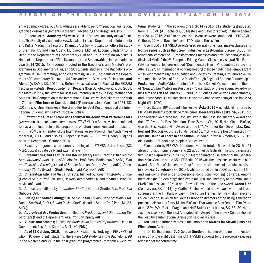an academic degree, but its graduates are able to perform practical animation, graphical-visual assignmentsin the film, advertising and design industry.

**–** Students of the **Academy of Arts** in Banská Bystrica can study at two faculties.The Faculty of Visual Arts(www.fvu.aku.sk) has a Department of Intermedia and Digital Media. The Faculty of Dramatic Arts (www.fdu.aku.sk) offers the study of Dramatic Art, and Film Art and Multimedia. Mgr. art. Ľubomír Viluda, ArtD. is Head of the Department of Documentary Film and PhDr. Kateřina Javorská is Head of the Department of Film Dramaturgy and Screenwriting. In the academic year 2014/2015, 43 students studied in the Bachelor's and Master's programmes in Documentary Film, and 20 students studied in the Bachelor's programme in Film Dramaturgy and Screenwriting. In 2015, students of the Department of Documentary Film made 64 films and won 13 awards - for instance **And Alone!** (A SÁM!, SK, 2015, dir. Růžena Rausová) won 1st Place at the FICSAM Festival in Portugal, **Don Quixote fromPovažie** (Don Quijote z Považia, SK, 2014, dir. Marek Pupák) the Award for Best Documentary in the Zlín Dog International Student Film Competition at the International Film Festival for Children and Youth in Zlín, and **Film-Town or Čachtice 1961** (Filmárovce alebo Čachtice 1961, SK, 2013, dir. Kristína Klimeková) the Grand Prix for Best Documentary at the International Student Film Festival Ostrava Picture.

**–** However, the **Filmand Television Faculty ofthe Academy of Performing Arts** (www.vsmu.sk – hereinafter referred to as"FTF VŠMU")in Bratislava has continued to play a dominant role in the preparation of future filmmakers and producers.

**–** FTF VŠMU is amember of the International Association of FilmAcademies of the world, CILECT, and also its European section, GEECT. Prof. Ondrej Šulaj has been its Dean from 1 October, 2014.

**–** Sixstudy programmes are currentlyrunning at the FTF VŠMU at all levels(BC, MGR, post-graduate daily and external level):

1. **Screenwriting and Feature and Documentary Film Directing;** fulfilled by: *Screenwriting Studio* (Head of Studio: Ass. Prof. Alena Bodingerová, ArtD.), *Film and Television Directing* (Head of Studio: Mgr. art. Róbert Šveda, ArtD.), *Documentary Studio* (Head of Studio: Prof. Ingrid Mayerová, ArtD.);

2. **Cinematography and Visual Effects;** fulfilled by: *Cinematography Studio* (Head of Studio: Prof. Ján Ďuriš), *Visual Effects Studio* (Head of Studio: Prof.ĽudovítLabík, ArtD.);

3. **Animation;** fulfilled by: *Animation Studio* (Head of Studio: Ass. Prof. Eva Gubčová, ArtD.);

4. **Editing and Sound Editing;** fulfilled by: *Editing Studio* (Head of Studio: Prof. Darina Smržová, ArtD.), *Sound Design Studio* (Head of Studio: Prof. PeterMojžiš, ArtD.);

5. **Audiovisual Art Production;** fulfilled by: *Production and Distribution Department* (Head of Department: Ass. Prof. Ján Oparty ArtD.);

6. **Audiovisual Studies;** fulfilled by: *Audiovisual Studies Department* (Head of Department: Ass. Prof. Katarína Mišíková, PhD.).

**– As of 31 October, 2015**, there were 308 studentsstudying at FTF VŠMU, of whom 10 were foreign students. There were 189 students in the Bachelor's, 98 in the Master's and 21 in the post-graduate programmes (of whom 6 were external students). In the academic year **2014/2015**, 112 students graduated from FTF VŠMU (47 Bachelors, 60 Masters and 5 Doctors of Art). In the academic year 2014/2015, 294 film projects and exercises were completed at FTF VŠMU. Of these, 22 were Bachelor's and 17 Master's Thesis films.

**–** Also in 2015, FTF VŠMU co-organised several workshops,master classes and lecture series, such as the Screen Industries in East-Central Europe (SIECE) international conference –"Transformation Processes and New Technologiesin Audiovisual Media", the 6<sup>th</sup> European Editing Master Class, the Visegrad Film Forum (VFF), a series of lectures entitled "Documentary Filmin V4 Countries Before and After 1989", an international working meeting of those holding the Tempus grant –"Development of Higher Education and Society by Creating a Collaborative Environment in the Field of Arts and Media Through Regional Student Partnership in Production of Audio/Video Content", František Koukolík's lecture on the theme of "Beauty", Ján Mojto's master class – "case study of the Academy Award-winning film**The Lives of Others** (DE, 2006, dir. Florian Henckelvon Donnersmarck) and Janusz Zaorski's master class associated with the screening of his film Good **Night** (PL, 1970).

**–** In 2015, the 19th Student Film Festival **Áčko 2015** was held. Films made by FTF VŠMU studentstook all themain prizes. **Dear Love** (AhojLáska, SK, 2015, dir. Lena Kušnieriková) won the Best Film Award, the Best Documentary Award and the LITA Award for Best Direction, **Fear** (Strach, SK, 2015, dir. Michal Blaško) won the Best Feature Film Award and the LITA Award for Best Screenplay. **Cowboyland** (Kovbojsko, SK, 2015, dir. Dávid Štumpf) was the Best Animated Film and **The Ballad ofTheresa and Simon** (Balada o Tereze a Šimonovi, SK, 2015, dir. Martin Hnát) took the People's Choice Award.

**–** Films made by FTF VŠMU students won, in total, 46 awards in 2015 – 24 abroad (plus 3 nominations) and 22 at domestic festivals. The short animated film **Rosso Papavero** (SK, 2014, dir. Martin Smatana) selected for the Generation Kplus Section at the 65<sup>th</sup> IFF Berlin 2015 was the most successful with nine awards. Miro Remo's full-length début from the environment of the strictest prison in Slovakia, **Comeback** (SK, 2014), which started out in 2008 as a student film and was completed under professional conditions, won eight awards. Among them also the Golden Kingfisher Award for Best Documentary at the 28th Finále Plzeň Film Festival of Czech and Slovak Films and the Igric Award. **Green Line** (Zelená vlna, SK, 2014) by Martina Buchelová did not win an award, but it was screened at the IFF Karlovy Vary in the Future Frames: Ten New Filmmakers to Follow Section, in which ten young European directors of the rising generation present theirstudent films.Michal Blaško's **Fear** won the Best Feature FilmAward at the 32nd FAMUfest in Prague and **Half Babka** (Half bábka, SK/BE, 2014, dir. Jasmine Elsen) won the Best Animated Film Award in the Slovak Competition at the Fest Anča International Animation Festival in Žilina.

**–** You can find further awards in the chapter on **Awards for Slovak Films and Filmmakers Abroad**.

**–** In 2015, the annual **DVD Golden Section**, this time with a non-marketable selection of the eight best films of FTF VŠMU students for the previous year, was released for the fourth time.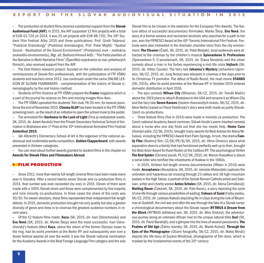**–** The production of student films receives substantial support from the **Slovak Audiovisual Fund (AVF)**. In 2015, the AVF supported 12 filmprojects with a total of EUR 43,720 (in 2014, it was 25 art projects with EUR 68,710). The 19<sup>th</sup> Student Film Festival Áčko 2015 and three publications: Prof. Gindl–Tatárová: "Practical Dramaturgy" (Praktická dramaturgia), Prof. Peter Mojžiš: "Spatial Sound – Realisation of the Sound Environment" (Priestorový zvuk – realizácia zvukového environmentu), Mgr. art. Barbora Hrinová ArtD.: "The Particularities of the Narrative inMulti-Narrative Films"(Špecifiká rozprávania vo viac-príbehových filmoch), also received support from the AVF.

**–** The Oral History research project, focused on the collection and analysis of reminiscences of Slovak film professionals, with the participation of FTF VŠMU students and teachers since 2012, has continued under the name ONLINE LEX-ICON OF SLOVAK FILMMAKERS – complementation of the history of Slovak cinematography bythe oral history method.

**–** Students of FilmScience at FTF VŠMU prepare the **Frame**magazine which is a part of the journal forscience on film and moving images Kino-Ikon.

**–** The FTF VŠMU operated the students' filmclub, FK 35mm, forseveralyears. Since the end of November 2015, **Cinema KLAP** has been located in the FTF VSMU screening room, as the result of an initiative to open the school more to the public.

**–** The animated film**Darkness Is the Lack of Light** (Tma je nedostatok svetla, SK, 2015, dir. Adam Kordoš) from the Private Secondary Technical School of Animation in Bratislava won 1<sup>st</sup> Prize at the 10<sup>th</sup> International Animated Film Festival **Animofest 2015**.

**–** Ján Albrecht's Elementary School of Art is the organiser of the national audiovisual andmultimedia works competition, **Golden Clapperboard**, with awards presented in thirteen categories.

**–** You can read about further awards granted to student filmsin the chapter on **Awards for Slovak Films and Filmmakers Abroad**.

#### **> FILM PRODUCTION**

**–** Since 2012,more than twentyfull-length cinema films have beenmade every year in Slovakia. After a record twenty-seven Slovak and co-production films in 2014, that number was even exceeded (by one) in 2015. Eleven of them were made with a 100% Slovak share and these were complemented byfive majority and nine minority co-productions. In three cases the share of the costs was 50/50. For eleven directors, these filmsrepresented their independent full-length débuts. In 2015, domestic production brought not only quality but also a greater diversity of genre and drew in to cinemas the greatest audience numbers in recentyears.

**–** Of the 12 feature films made, **Koza** (SK, 2015, dir. Ivan Ostrochovský) and **Eva Nová** (SK, 2015, dir. Marko Škop) were the most successful. Ivan Ostrochovský's feature début **Koza**, about the return of the former Olympic boxer to the ring, had its world première at the Berlin IFF and subsequently won over a dozen festival awards all over the world; it was the Slovak national nomination for the Academy Awards in the Best Foreign Language Film category and the sole Slovak film to be chosen in the selection for the European Film Awards. The feature début of successful documentary filmmaker, Marko Škop, **Eva Nová**, the story of a former actress and recovered alcoholic who searches for a path to her son, won the FIPRESCI Award at the 40<sup>th</sup> Toronto International Film Festival. Festivals were also interested in the dramatic chamber story from the city environment,**The Cleaner** (Čistič, SK, 2015, dir. Peter Bebjak), local audiences were attracted to the cinemas by the children's musical **Spievankovo 5: Professions** (Spievankovo 5: O povolaniach, SK, 2015, dir. Diana Novotná) and the urban comedy about a man in his forties experiencing a mid-life crisis **Vojtech** (SK, 2015, dir. Viktor Csudai). The fairy tale **Johanna's Mystery** (Johankino tajomstvo, SK/CZ, 2015, dir. Juraj Nvota) wasreleased in cinemas a few days prior to its Christmas TV première. The début of Rasťo Boroš, the road movie **STANKO** (SK, 2015), after its world première at the Warsaw IFF in October 2015 entered domestic distribution in April 2016.

**–** The epic comedy **Wilson City** (Wilsonov, SK/CZ, 2015, dir. Tomáš Mašín) about the 1919 plans to attach Bratislava to the USA and rename it as Wilson City and the fairy tale **Seven Ravens** (Sedem zhavranelých bratov, SK/CZ, 2015, dir. Alice Nellis) based on Pavol Dobšinský's story were both made as parity Slovak-Czech co-productions.

**–** Three feature films (five in 2014) were made in minority co-production. The Czech national Academy Award nominee, Slávek Horák's warm-hearted comedy about a nurse who one day finds out that she too needs help, **Home Care** (Domácí péče, CZ/SK, 2015), brought many awards for Best Actress for Alena Mihulová, including the FIPRESCI Award from Palm Springs. In turn, the drama Fam**ily Film** (Rodinný film, CZ/DE/FR/SI/SK, 2015, dir. Olmo Omerzu) about what separation does to a family that had functioned perfectly well up to then, brought the Best Actor Award for Karel Roden at the Cottbus IFF. The psychological thriller **The Red Spider** (Červený pavúk, PL/CZ/SK, 2015, dir. Marcin Koszałka) is about a serial killer who terrified the inhabitants of Krakow in the 1960s.

**–** In 2015, thirteen full-length cinema documentaries (fifteen in 2014) were made. **Acceptance** (Akceptácia, SK, 2015, dir. Jaroslav Matoušek) captures the unbroken and hazardousski crossing through 23 valleys and 18 high-mountain passesin the High Tatras; a portrait of the Slovak Roman Catholic priest and Salesian, writer and charity worker **Anton Srholec** (SK, 2015, dir. Alena Čermáková); **Waiting Room** (Čakáreň, SK, 2015, dir. Palo Korec), a story depicting the cycle of one life through various possibilities of waiting; **Colours of Sand** (Farby piesku, SK/CZ, 2015, dir.Ladislav Kaboš) depicting life in Libya during the rule ofMuammar al-Gaddafi, the civil war and after the war through the fate of a Slovak nurse; a chronological documentary about the Slovak rapper **RYTMUS A Dream from the Block** (RYTMUS sídliskový sen, SK, 2015, dir. Miro Drobný); the adventurousjourney along an unknown African river to the unique natural tribe **Suri** (SK, 2015, dir. Pavol Barabáš); and a glimpse into the lives ofseveral pensioners,**The Psalms of Old Age** (Žalmy staroby, SK, 2015, dir. Marek Kuboš). **Through the Eyes of the Photographe**r (Očami fotografky, SK/CZ, 2015, dir. Matej Mináč) depicts the life-story of Zuzana Mináčová, photographer of film stars, which is marked by the fundamental events of the  $20<sup>th</sup>$  century.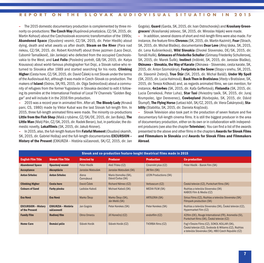**–** The 2015 domestic documentary production is complemented bythree minority co-productions:**The Czech Way**(Kupónová privatizácia, CZ/SK, 2015, dir. Martin Kohout) about the Czechoslovak economic transformation of the 1990s; **Abandoned Space** (Opustený vesmír, CZ/SK, 2015, dir. Peter Hledík) about dying, death and what awaits us after death; **Steam on the River** (Para nad riekou, CZ/SK, 2015, dir. Robert Kirchhoff) about three jazzmen (Laco Deczi, Ľubomír Tamaškovič, Ján Jankeje) who defected from the occupied Czechoslovakia to the West; and **Last Folio** (Posledný portrét, GB/SK, 2015, dir. Katya Krausova) about world-famous photographer Yuri Dojc, a Slovak native who returned to Slovakia after 1989 and started searching for his roots. **Climbing Higher** (Cesta hore, CZ/SK, 2015, dir. David Čálek) is not Slovak under the terms of the Audiovisual Act, although it wasmade in Czech-Slovak co-production.The makers of **Island** (Ostrov, SK/RS, 2015, dir. Olga Sedrovičová) about a community of refugees from the former Yugoslavia in Slovakia decided to edit it following its première at the International Festival of Local TV Channels "Golden Beggar" and will include it in the 2016 film production.

**–** 2015 was a record year in animated film. After all,**The Bloody Lady** (Krvavá pani, CS, 1980) made by Viktor Kubal was the last Slovak full-length film. In 2015, three full-length animated films were made. The minority co-productions **Little fromthe Fish Shop** (Malá zrybárne, CZ/SK/DE, 2015, dir. Jan Balej),**The Little Man** (Malý Pán, CZ/SK, 2015, dir. Radek Beran), but, in particular, the domestic novelty, **Lokalfilmis** (SK, 2015, dir. Jakub Kroner).

**–** In 2015, also, the full-length feature film**Fateful Moment** (Osudový okamih, SK, 2015, dir. Gabriel Hoštaj) and the full-length documentaries **EXCURSION – History of the Present** (EXKURZIA – História súčasnosti, SK/CZ, 2015, dir. Jan Gogola), **Guard** (Garda, SK, 2015, dir. Ivan Ostrochovský) and **Krasňany Greengrocers'** (Krasňanskýzelovoc, SK, 2015, dir. Miroslav Hájek) were made.

**–** In addition,several dozens ofshort andmid-length films were alsomade. For instance, the feature films **Chronos** (SK, 2015, dir.Martin Kazimír), **Fear** (Strach, SK, 2015, dir. Michal Blaško), documentaries **Dear Love** (Ahoj láska, SK, 2015, dir. Lena Kušnieriková), **Wild Slovakia** (Divoké Slovensko, DE/SK, 2015, dir. Tomáš Hulík), **Grimaces of Friederike Schuller** (Grimasy Friederiky Schullerovej, SK, 2015, dir. Marek Šulík), **Instinct** (Inštinkt, SK, 2015, dir. Jaroslav Blaško), **Okinawa – Slovakia, the Way of Karate** (Okinawa – Slovensko, cesta karate, SK, 2015, dir. Anton Szomolányi), **Footprints in the Snow** (Stopyvsnehu, SK, 2015, dir. Slavomír Zrebný), **True Štúr** (SK, 2015, dir. Michal Baláž), **Under My Spell** (SK, 2015, dir.Lucia Halmová), **Back Then in Bratislava** (Vtedyv Bratislave, SK, 2015, dir. Tereza Križková) and, asregards animated films, we can mention, for instance, **4n1m4ws** (SK, 2015, dir. Kaťa Geffertová), **Finlandia** (SK, 2015, dir. Lucia Černeková, Peter Luha), **Star Taxi** (Hviezdny taxík, SK, 2015, dir. Juraj Krumpolec, Igor Derevenec), **Cowboyland** (Kovbojsko, SK, 2015, dir. Dávid Štumpf),**The Flying Horse** (Letiaci kôň, SK/CZ, 2015, dir. Viera Čakányová), **Stability** (Stabilita, SK, 2015, dir. Daniela Krajčová).

**–** Slovak Television also took part in the production of seven feature and five documentary full-length cinema films. It is still the biggest producer in the area of documentary production, either on its own or in collaboration with independent producers(see also the chapter**Television**).You can find a list of the awards presented to the above and other filmsin the chapters **Awards for Slovak Films and Filmmakers in Slovakia** and **Awards for Slovak Films and Filmmakers Abroad**.

| Slovak and co-production feature-lenght theatrical films made in 2015 |                                          |                    |                                         |                              |                                                                                                                                                            |  |  |  |  |
|-----------------------------------------------------------------------|------------------------------------------|--------------------|-----------------------------------------|------------------------------|------------------------------------------------------------------------------------------------------------------------------------------------------------|--|--|--|--|
| <b>English Film Title</b>                                             | <b>Slovak Film Title</b>                 | <b>Directed by</b> | <b>Producer</b>                         | <b>Production</b>            | <b>Co-production</b>                                                                                                                                       |  |  |  |  |
| <b>Abandoned Space</b>                                                | Opustený vesmír                          | Peter Hledík       | Aleš Tříska (CZ)                        | CinemArt plus (CZ)           | Peter Hledík - Barok Film (SK)                                                                                                                             |  |  |  |  |
| <b>Acceptance</b>                                                     | Akceptácia                               | Jaroslav Matoušek  | Jaroslav Matoušek (SK)                  | JM film (SK)                 |                                                                                                                                                            |  |  |  |  |
| <b>Anton Srholec</b>                                                  | <b>Anton Srholec</b>                     | Alena<br>Cermáková | Mario Homolka (SK),<br>Dávid Čorba (SK) | <b>LEON Productions (SK)</b> |                                                                                                                                                            |  |  |  |  |
| <b>Climbing Higher</b>                                                | <b>Cesta hore</b>                        | David Čálek        | Richard Němec (CZ)                      | Verbascum (CZ)               | Česká televize (CZ), Punkchart films (SK)                                                                                                                  |  |  |  |  |
| <b>Colours of Sand</b>                                                | <b>Farby piesku</b>                      | Ladislav Kaboš     | Michael Kaboš (SK)                      | MEDIA FILM (SK)              | Rozhlas a televízia Slovenska (SK)<br>KABOS Film & Media (CZ)                                                                                              |  |  |  |  |
| Eva Nová                                                              | Eva Nová                                 | Marko Škop         | Marko Škop (SK),<br>Ján Meliš (SK)      | <b>ARTILERIA (SK)</b>        | Sirius Films (CZ), Rozhlas a televízia Slovenska (SK)<br>Filmpark production (SK)                                                                          |  |  |  |  |
| <b>EXCURSION - History</b><br>of the Present                          | <b>EXKURZIA - História</b><br>súčasnosti | Jan Gogola         | Peter Kerekes (SK)                      | Peter Kerekes (SK)           | Rozhlas a televízia Slovenska (SK), Česká televize (CZ),<br>Hypermarket Film (CZ)                                                                          |  |  |  |  |
| <b>Family Film</b>                                                    | Rodinný film                             | Olmo Omerzu        | Jiří Konečný (CZ)                       | endorfilm (CZ)               | 42 film (DE), Rouge International (FR), Arsmedia (SI),<br>Punkchart films (SK), Česká televize (CZ)                                                        |  |  |  |  |
| <b>Home Care</b>                                                      | Domácí péče                              | Slávek Horák       | Slávek Horák (CZ)                       | TVORBA films (CZ)            | Fog'n'Desire Films (CZ), SOKOL KOLLAR (SK),<br>Česká televize (CZ), Svoboda & Wiliams (CZ), Rozhlas<br>a televízia Slovenska (SK), HBO Czech Republic (CZ) |  |  |  |  |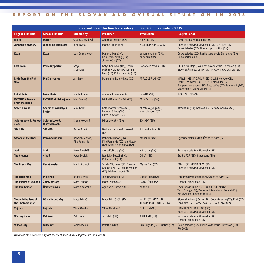| Slovak and co-production feature-lenght theatrical films made in 2015 |                                 |                                           |                                                                                              |                                                   |                                                                                                                                                                                              |  |  |  |
|-----------------------------------------------------------------------|---------------------------------|-------------------------------------------|----------------------------------------------------------------------------------------------|---------------------------------------------------|----------------------------------------------------------------------------------------------------------------------------------------------------------------------------------------------|--|--|--|
| <b>English Film Title</b>                                             | <b>Slovak Film Title</b>        | <b>Directed by</b>                        | <b>Producer</b>                                                                              | <b>Production</b>                                 | <b>Co-production</b>                                                                                                                                                                         |  |  |  |
| <b>Island</b>                                                         | <b>Ostrov</b>                   | Oľga Sedrovičová                          | Slobodan Bengin (SK)                                                                         | ResArtis (SK)                                     | <b>Power Media Productions (RS)</b>                                                                                                                                                          |  |  |  |
| <b>Johanna's Mystery</b>                                              | Johankino tajomstvo             | Juraj Nvota                               | Marian Urban (SK)                                                                            | ALEF FILM & MEDIA (SK)                            | Rozhlas a televízia Slovenska (SK), UN FILM (SK),<br>Česká televize (CZ), Filmpark production (SK)                                                                                           |  |  |  |
| <b>Koza</b>                                                           | <b>Koza</b>                     | Ivan Ostrochovský                         | Marek Urban (SK),<br>Ivan Ostrochovský (SK),<br>Jiří Konečný (CZ)                            | sentimentalfilm (SK),<br>endorfilm (CZ)           | Česká televize (CZ), Rozhlas a televízia Slovenska (SK),<br>Punkchart films (SK)                                                                                                             |  |  |  |
| <b>Last Folio</b>                                                     | Posledný portrét                | Katya<br>Krausova                         | Katya Krausova (UK), Patrik<br>Pašš (SK), Miroslava Tomaní-<br>ková (SK), Peter Dubecký (SK) | Portobello Media (GB)                             | Studio Yuri Dojc (CA), Rozhlas a televízia Slovenska (SK),<br>Slovenský filmový ústav (SK), TRIGON PRODUCTION (SK)                                                                           |  |  |  |
| <b>Little from the Fish</b><br><b>Shop</b>                            | Malá z rybárne                  | Jan Balej                                 | Daniela Nelly Jenčíková (CZ)                                                                 | MIRACLE FILM (CZ)                                 | MARLEN MEDIA GROUP (SK), Česká televize (CZ),<br>EMITA INVESTMENTS CZ (CZ), Hafan Film (CZ),<br>Filmpark production (SK), Bystrouška (CZ), TeamWerk (DE),<br>VFXbox (DE), MiriquidiFilm (DE) |  |  |  |
| <b>Lokalfilmis</b>                                                    | <b>Lokalfilmis</b>              | <b>Jakub Kroner</b>                       | Adriana Kronerová (SK)                                                                       | LokalTV (SK)                                      | <b>INOUT STUDIO (SK)</b>                                                                                                                                                                     |  |  |  |
| <b>RYTMUS A Dream</b><br><b>From the Block</b>                        | <b>RYTMUS sídliskový sen</b>    | Miro Drobný                               | Michal Romeo Dvořák (CZ)                                                                     | Miro Drobný (SK)                                  |                                                                                                                                                                                              |  |  |  |
| <b>Seven Ravens</b>                                                   | Sedem zhavranelých<br>bratov    | <b>Alice Nellis</b>                       | Katarína Vanžurová (SK),<br>Ľubomír Slivka (SK),<br>Ester Honysová (CZ)                      | et cetera group (SK)<br>Honys Motion (CZ)         | Attack film (SK), Rozhlas a televízia Slovenska (SK)                                                                                                                                         |  |  |  |
| <b>Spievankovo 5: Profes-</b><br>sions                                | Spievankovo 5:<br>O povolaniach | Diana Novotná                             | Miroslav Čačík (SK)                                                                          | <b>TONADA (SK)</b>                                |                                                                                                                                                                                              |  |  |  |
| <b>STANKO</b>                                                         | <b>STANKO</b>                   | Rasťo Boroš                               | Barbara Harumová Hessová<br>(SK)                                                             | AH production (SK)                                |                                                                                                                                                                                              |  |  |  |
| <b>Steam on the River</b>                                             | Para nad riekou                 | Robert Kirchhoff,<br><b>Filip Remunda</b> | Robert Kirchhoff (SK),<br>Filip Remunda (CZ), Vít Klusák<br>(CZ), Kamila Zlatušková (CZ)     | atelier.doc (SK)                                  | Hypermarket film (CZ), Česká televize (CZ)                                                                                                                                                   |  |  |  |
| <b>Suri</b>                                                           | Suri                            | Pavol Barabáš                             | Alena Koščová (SK)                                                                           | K2 studio (SK)                                    | Rozhlas a televízia Slovenska (SK)                                                                                                                                                           |  |  |  |
| <b>The Cleaner</b>                                                    | Čistič                          | Peter Bebjak                              | Rastislav Šesták (SK),<br>Peter Bebjak (SK)                                                  | D.N.A. (SK)                                       | Studio 727 (SK), Surosound (SK)                                                                                                                                                              |  |  |  |
| <b>The Czech Way</b>                                                  | Česká cesta                     | <b>Martin Kohout</b>                      | Tomáš Michálek (CZ), Dagmar<br>Sedláčková (CZ), Jakub Mahler<br>(CZ), Michael Kaboš (SK)     | MasterFilm (CZ)                                   | FAMU (CZ), MEDIA FILM (SK)<br>Rozhlas a televízia Slovenska (SK)                                                                                                                             |  |  |  |
| <b>The Little Man</b>                                                 | <b>Malý Pán</b>                 | Radek Beran                               | Jakub Červenka (CZ)                                                                          | Bedna Films (CZ)                                  | Fantomas Production (SK), Česká televize (CZ)                                                                                                                                                |  |  |  |
| <b>The Psalms of Old Age</b>                                          | <b>Žalmy staroby</b>            | Marek Kuboš                               | Marek Kuboš (SK)                                                                             | PSYCHE film (SK)                                  | Filmpark production (SK)                                                                                                                                                                     |  |  |  |
| <b>The Red Spider</b>                                                 | <b>Cervený pavúk</b>            | Marcin Koszałka                           | Agnieszka Kurzydło (PL)                                                                      | MD4 (PL)                                          | Fog'n'Desire Films (CZ), SOKOL KOLLAR (SK),<br>Telco Orange (PL), Zentropa International Poland (PL),<br>Krakow Film Commission (PL)                                                         |  |  |  |
| <b>Through the Eyes of</b><br>the Photographer                        | Očami fotografky                | Matej Mináč                               | Matej Mináč (CZ, SK)                                                                         | W.I.P. (CZ), MAZL (SK),<br>TRIGON PRODUCTION (SK) | Slovenský filmový ústav (SK), Česká televize (CZ), RWE (CZ),<br>Fénix film (CZ), Bessel Kok (CZ), Evan Lazar (CZ)                                                                            |  |  |  |
| Vojtech                                                               | <b>Vojtech</b>                  | <b>Viktor Csudai</b>                      | Viktor Csudai (SK)                                                                           | <b>CULTFILM (SK)</b>                              | <b>GRIMALDI PRODUCTION (SK)</b><br>Rozhlas a televízia Slovenska (SK)                                                                                                                        |  |  |  |
| <b>Waiting Room</b>                                                   | <b>Čakáreň</b>                  | Palo Korec                                | Ján Meliš (SK)                                                                               | <b>ARTILERIA (SK)</b>                             | Rozhlas a televízia Slovenska (SK)<br>Filmpark production (SK)                                                                                                                               |  |  |  |
| <b>Wilson City</b>                                                    | <b>Wilsonov</b>                 | Tomáš Mašín                               | Petr Bílek (CZ)                                                                              | FilmBrigade (CZ), PubRes (SK)                     | Česká televize (CZ), Rozhlas a televízia Slovenska (SK),<br>RWE (CZ)                                                                                                                         |  |  |  |

*Note:The table consists only of films mentioned in this chapter (Film Production)*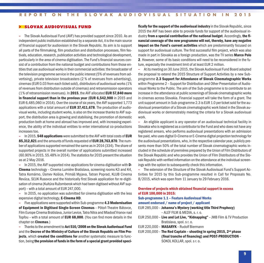#### **> SLOVAK AUDIOVISUAL FUND**

**–** The Slovak Audiovisual Fund (AVF) has provided support since 2010. As an independent public institution established by a separate Act, it is the main source of financial support for audiovision in the Slovak Republic. Its aim is to support all parts of the filmmaking, film production and distribution processes, film festivals, education, research, publication activities and technological development, particularly in the area of cinema digitisation. The Fund's financial sources consist of a contribution from the national budget and contributions from those entitiesthat use audiovisual worksin their commercial activities: the broadcaster of the television programme service in the public interest (5%of revenuesfromadvertising), private television broadcasters (2 % of revenues from advertising), cinemas(EUR 0.03 fromeach ticketsold), distributors of audiovisual works(1% of revenuesfrom distribution outside of cinemas) and retransmission operators (1%of retransmission revenues). In **2015**, the AVF allocated **EUR 57,840more in financial support than in the previous year** (**EUR 6,542,900** in 2015 and EUR 6,485,060 in 2014). Over the course ofsixyears, the AVF supported 1,773 applications with a total amount of **EUR 37,411,678**. The production of audiovisual works, including student works, is also on the increase thanksto AVF support, the distribution area is growing and stabilising, the promotion of domestic production both at home and abroad hasimproved and, with increasing experience, the ability of the individual entities to enter international co-productions increasestoo.

**–** In 2015, **548 applications** were submitted to the AVF with total costs of **EUR 85,312,821** and the amounts of fundsrequested of **EUR 28,763,870**.The number of applications supported remained the same as in 2014 (334). The share of supported projects in the overall number of applications submitted increased (60.90%in 2015, 55.48%in 2014).The statisticsfor 2015 present the situation as at 2 May 2016.

**–** In 2015, the AVF supported nine applicationsfor cinema digitisation with **D-Cinema** technology - Cinema Lumière Bratislava, screening rooms K3 and K4, Tatra Komárno, Úsmev Košice, Primáš Myjava, Tatran Poprad, KLUB Cinema Revúca, SĽUK Rusovce and the historically first Slovak application for re-digitisation of cinema (Kultúra Ružomberok which had been digitised without AVF support)– with a total amount of EUR 247,000.

**–** In 2015, no application was submitted for cinema digitisation with the less expensive digital technology, **E-Cinema HD**.

**–** Five applications were supported within Sub-programme **4.3 Modernisation of Equipment in Digitised Single-Screen Cinemas** – Pôtoň Theatre Bátovce, FilmEurope Cinema Bratislava,JuniorLevice,Tatra Nitra andMladosť Vranov nad Topľou – with a total amount of **EUR 68,000**. (You can find more details in the chapter on **Cinemas**.)

**–** Thanksto the amendment to **Act 516/2008 on the Slovak Audiovisual Fund** and the **Decree of the Ministry of Culture of the Slovak Republic on Film Projects**, which **created the conditions for** another systematic measure to function, being **the provision of funds in the formof a special grant provided speci-** **fically for the support of the audiovisual industry** in the Slovak Republic, since 2015 the AVF has been able to provide funds for support of the audiovisual industry**from a special contribution of the national budget**. Accordingly, **the financial coverage of the new programme will not, thereby, have any negative impact on the Fund's current activities** which are predominantly focused on support for audiovisual culture. The first successful film project, which was also made in part in Slovakia as a foreign production, was the TV series **Marco Polo 2**. However, some of its basic conditions will need to be reconsidered in the future, especiallythe investment limit of at least EUR 2 million.

**–** At itsmeeting on 30 June 2015, the Slovak Audiovisual Fund Board adopted the proposal to extend the 2015 Structure of Support Activities by a new Subprogramme **2.3 Support for Attendance of Slovak Cinematographic Works** within Programme 2 – Support for Distribution and Other Presentation of Audiovisual Worksto the Public. The aim of the Sub-programme isto contribute to an increase in the attendance at public screenings of Slovak cinematographic works in cinemas across Slovakia. Financial support will take the form of a grant. The unit support amount in Sub-programme 2.3 is EUR 1.0 per ticket sold for the audiovisual presentation of a Slovak cinematographic work listed in the Slovak audiovisual works or demonstrably meeting the criteria for a Slovak audiovisual work.

**–** An eligible applicant is any operator of an audiovisual technical facility in Slovakia who is registered as a contributor to the Fund and who does not have any registered arrears, who performs audiovisual presentations with an admission fee paid, who uses digital D-Cinema or E-Cinema digital projection technologyfor the audiovisual presentations, who, in the respective calendaryear, publicly presents more than 50% of the total number of Slovak cinematographic works included in the schedule of premières prepared by the Union of Film Distributors of the Slovak Republic and who provides the Union of Film Distributors of the Slovak Republic with verified information on the attendance at the individual screenings with the option to subsequently check this information.

**–** The extension of the Structure of the Slovak Audiovisual Fund's Support Activities for 2015 by this Sub-programme resulted in Call for Proposals No. 8/2015, which was open from 11 January to 29 February 2016.

#### **Overview of projects which obtained financial support in excess of EUR 100,000 in 2015:**

#### **Sub-programme 1.1 – Feature Audiovisual Works**

**amount endorsed / name of project / applicant**

EUR 285,000 – **Johanna's Mystery (working title Third Prophecy)** – ALEF FILM & MEDIA,s. r. o.

- EUR 250,000 **Live and Let Live, "Kidnapping"** –JMB Film & TV Production Bratislava, spol. s r, o.
- EUR 220,000 **MASARYK** Rudolf Biermann
- EUR 200,000 **The Red Captain – shooting in spring 2015, 2nd phase (final tranche of financing) and POST-PRODUCTION** – SOKOL KOLLAR, spol. sr. o.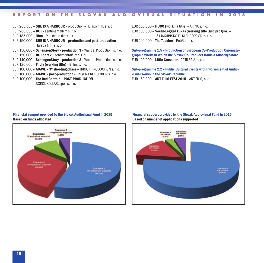#### EUR 200,000 – **SHE IS A HARBOUR** – production – Hulapa film,s. r. o.

EUR 200,000 – **OUT**–sentimentalfilm s. r. o.

EUR 185,000 – **Nina** – Punkchart filmss. r. o.

- EUR 150,000 **SHE IS A HARBOUR – production and post-production** Hulapa film, s. r. o.
- EUR 150,000 **SchengenStory – production 3** Wandal Production,s. r. o. EUR 150,000 – **OUT part 2** –sentimentalfilm s. r. o.
- 
- EUR 140,000 **SchengenStory – production 2** Wandal Production,s. r. o.
- EUR 120,000 **Filthy (working title)** Bfilm,s. r. o.
- EUR 100,000 **AGAVE – 3rd shooting phase** –TRIGON PRODUCTION s. r. o.
- EUR 100,000 **AGAVE – post-production** –TRIGON PRODUCTION s. r. o.
- EUR 100,000 **The Red Captain – POST-PRODUCTION** SOKOL KOLLAR, spol. s. r. o.

EUR 100,000 – **HUGO (working title)**– ARINA s. r. o.

EUR 100,000 – **Seven-Legged Lukáš (working title Quid pro Quo)**– J&J JAKUBISKO FILM EUROPE SR,s. r. o.

EUR 100,000 – **The Teacher**– PubRess. r. o.

**Sub-programme 1.5 – Production of European Co-Production Cinematographic Works in Which the Slovak Co-Producer Holds a Minority Share** EUR 100,000 – **Little Crusader**– ARTILERIA,s. r. o.

**Sub-programme 2.2 – Public Cultural Events with Involvement of Audiovisual Works in the Slovak Republic** EUR 160,000 – **ART FILM FEST 2015** – ART FILM, n. o.

#### **Financial support provided by the Slovak Audiovisual Fund in 2015 Based on funds allocated**



**Financial support provided by the Slovak Audiovisual Fund in 2015 Based on number of applications supported**

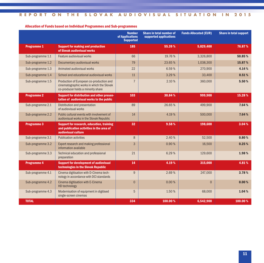# **Allocation of Funds based on Individual Programmes and Sub-programmes**

|                    |                                                                                                                             | <b>Number</b><br>of Applications<br><b>Supported</b> | <b>Share in total number of</b><br>supported applications | <b>Funds Allocated (EUR)</b> | <b>Share in total support</b> |
|--------------------|-----------------------------------------------------------------------------------------------------------------------------|------------------------------------------------------|-----------------------------------------------------------|------------------------------|-------------------------------|
| <b>Programme 1</b> | <b>Support for making and production</b><br>of Slovak audiovisual works                                                     | 185                                                  | 55.39%                                                    | 5,029,400                    | 76.87%                        |
| Sub-programme 1.1  | Feature audiovisual works                                                                                                   | 66                                                   | 19.76%                                                    | 3,326,800                    | 50.85%                        |
| Sub-programme 1.2  | Documentary audiovisual works                                                                                               | 79                                                   | 23.65%                                                    | 1,038,300                    | 15.87%                        |
| Sub-programme 1.3  | Animated audiovisual works                                                                                                  | 22                                                   | 6.59%                                                     | 270.900                      | 4.14%                         |
| Sub-programme 1.4  | School and educational audiovisual works                                                                                    | 11                                                   | 3.29 %                                                    | 33,400                       | 0.51%                         |
| Sub-programme 1.5  | Production of European co-production and<br>cinematographic works in which the Slovak<br>co-producer holds a minority share | $\overline{7}$                                       | 2.10 %                                                    | 360,000                      | 5.50%                         |
| <b>Programme 2</b> | Support for distribution and other presen-<br>tation of audiovisual works to the public                                     | 103                                                  | 30.84%                                                    | 999,900                      | 15.28%                        |
| Sub-programme 2.1  | Distribution and presentation<br>of audiovisual works                                                                       | 89                                                   | 26.65%                                                    | 499,900                      | 7.64%                         |
| Sub-programme 2.2  | Public cultural events with involvement of<br>audiovisual works in the Slovak Republic                                      | 14                                                   | 4.19 %                                                    | 500,000                      | 7.64%                         |
| <b>Programme 3</b> | <b>Support for research, education, training</b><br>and publication activities in the area of<br>audiovisual culture        | 32                                                   | 9.58%                                                     | 198,600                      | 3.04%                         |
| Sub-programme 3.1  | <b>Publication activities</b>                                                                                               | 8                                                    | 2.40 %                                                    | 52,500                       | 0.80%                         |
| Sub-programme 3.2  | Expert research and making professional<br>information available                                                            | 3                                                    | 0.90%                                                     | 16,500                       | 0.25%                         |
| Sub-programme 3.3  | Technical education and professional<br>preparation                                                                         | 21                                                   | 6.29 %                                                    | 129,600                      | 1.98%                         |
| <b>Programme 4</b> | <b>Support for development of audiovisual</b><br>technologies in the Slovak Republic                                        | 14                                                   | 4.19%                                                     | 315,000                      | 4.81%                         |
| Sub-programme 4.1  | Cinema digitisation with D-Cinema tech-<br>nology in accordance with DCI standards                                          | $\overline{9}$                                       | 2.69 %                                                    | 247,000                      | 3.78%                         |
| Sub-programme 4.2  | Cinema digitisation with E-Cinema<br><b>HD technology</b>                                                                   | $\Omega$                                             | 0.00%                                                     | $\Omega$                     | 0.00%                         |
| Sub-programme 4.3  | Modernisation of equipment in digitised<br>single-screen cinemas                                                            | 5                                                    | 1.50 %                                                    | 68,000                       | 1.04%                         |
| <b>TOTAL</b>       |                                                                                                                             | 334                                                  | 100.00%                                                   | 6,542,900                    | 100.00%                       |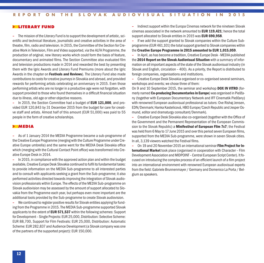#### **> LITERARY FUND**

**–** Themission of the Literary Fund isto support the development of artistic,scientific and technical literature, journalistic and creative activities in the area of theatre, film, radio and television. In 2015, the Committee of the Section for Creative Work in Television, Film and Video supported, via the ALFA Programme, the production of original, new literary works which could form the basis of feature, documentary and animated films. The Section Committee also evaluated film and television productions made in 2014 and rewarded the best by presenting them with the Igric Awards and Literary Fund Premiums (more about the Igric Awards in the chapter on **Festivals and Reviews**). The Literary Fund also made contributionsto costsfor creative journeysin Slovakia and abroad, and provided rewards for performing artists celebrating an anniversary in 2015. Even those performing artists who are no longer in a productive age were not forgotten, with support provided to those who found themselves in a difficult financial situation due to illness, old age or other objective reasons.

**–** In 2015, the Section Committee had a budget of **EUR 121,000**, and provided EUR 120,843 by 31 December 2015 from the budget for care for creative staff and artists. Almost half of this amount (EUR 51,000) was paid to 55 people in the form of creative scholarships.

#### **> MEDIA**

**–** As of 1 January 2014 the MEDIA Programme became a sub-programme of the Creative Europe Programme (merging with the Culture Programme under Creative Europe umbrella) and the same went for the MEDIA Desk Slovakia office which (merging with the Cultural Contact Point office) was transformed into Creative Europe Desk in 2014.

**–** In 2015, in compliance with the approved action plan and within the budget available, Creative Europe Desk Slovakia continued to fulfil its fundamental tasks: to provide information on the MEDIA Sub-programme to all interested parties and to consult with applicants seeking a grant from the Sub-programme; it also performed activities directed towardsimproving the integration of Slovak audiovision professionals within Europe.The effects of theMEDIA Sub-programme on Slovak audiovision may be assessed by the amount of support allocated to Slovakia from the Programme each year, but perhaps even more important are the additional tools provided bythe Sub-programme to create Slovak audiovision.

**–** We continued to register positive resultsfor Slovak entities applying for funding from the Programme in 2015. The MEDIA Sub-programme supported Slovak applicants to the extent of **EUR 571,537** within the following schemes: Support for Development– Single Projects: EUR 25,000, Distribution: Selective Scheme: EUR 88,700, Support for Film Festivals: EUR 25,000, Distribution: Automatic Scheme: EUR 282,837 and Audience Development (a Slovak company was one of the partners of the supported project): EUR 150,000.

**–** Indirect support within the Europa Cinemas network for the nineteen Slovak cinemas associated in the network amounted to **EUR 119,421**; hence the total support allocated to Slovak entitiesin 2015 was **EUR 690,958**.

**–** If we add the support granted to Slovak companies within the Culture Subprogramme (EUR 461,101) the total support granted to Slovak companies within the **Creative Europe Programme in 2015 amounted to EUR 1,015,059**.

**–** In April, as has become a tradition, Creative Europe Desk -MEDIA published the **2014 Report on the Slovak Audiovisual Situation** with a summary of information on all important aspects of the state of the Slovak audiovisual industry(in Slovak and English, circulation – 400). As a priority, the Report is distributed to foreign companies, organisations and institutions.

**–** Creative Europe Desk Slovakia organised or co-organised severalseminars, workshops and events; we chose three of them:

On 9 and 10 September 2015, the seminar and workshop **DOX IN VITRO** (formerly named **Co-producing Documentaries in Europe**) was organised in Piešťany (together with European Documentary Network and IFF Cinematik Piešťany) with renowned European audiovisual professional as tutors: Ove Rishøj Jensen, EDN/Denmark; Hanka Kastelicová, HBO Europe/Czech Republic and Jesper Osmund, editor and dramaturgy consultant/Denmark).

**–** Creative Europe Desk Slovakia also co-organised (together with the Office of the Government and the Permanent Representation of the European Commission to the Slovak Republic) a **Minifestival of European Film 7x7**; the Festival was held from 6 May to 17 June 2015 and over this period seven European films, supported from the MEDIA Sub-programme, were shown in seven Slovak cities. In all, 3,139 viewers watched the Festival films.

**–** On 19 and 20 November 2015 an internationalseminar **FilmProject for International Market** took place (organised in cooperation with Character – Film Development Association and MIDPOINT - Central European Script Center). It focused on introducing the complex process of an efficient launch of a filmproject into an international environment with renowned European audiovisual experts fromthe field: Gabriele Brunnenmayer / Germany and Domenico La Porta / Belgium asspeakers.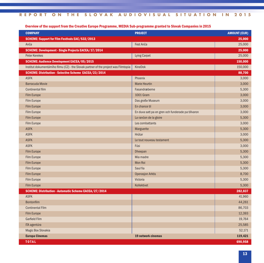# Overview of the support from the Creative Europe Programme, MEDIA Sub-programme granted to Slovak Companies in 2015

| <b>COMPANY</b>                                                                       | <b>PROJECT</b>                                     | <b>AMOUNT (EUR)</b> |
|--------------------------------------------------------------------------------------|----------------------------------------------------|---------------------|
| <b>SCHEME: Support for Film Festivals EAC/S32/2013</b>                               |                                                    | 25,000              |
| Anča                                                                                 | Fest Anča                                          | 25,000              |
| SCHEME: Development - Single Projects EACEA/17/2014                                  |                                                    | 25,000              |
| Peter Kerekes                                                                        | <b>Lying Carpet</b>                                | 25,000              |
| <b>SCHEME: Audience Development EACEA/05/2015</b>                                    |                                                    | 150,000             |
| Institut dokumentárního filmu (CZ) - the Slovak partner of the project was Filmtopia | KineDok                                            | 150,000             |
| SCHEME: Distribution - Selective Scheme EACEA/23/2014                                |                                                    | 88,700              |
| <b>ASFK</b>                                                                          | Phoenix                                            | 3,000               |
| <b>Barracuda Movie</b>                                                               | <b>Marie Heurtin</b>                               | 3,000               |
| <b>Continental film</b>                                                              | Fasandræberne                                      | 5,300               |
| <b>Film Europe</b>                                                                   | <b>1001 Gram</b>                                   | 3,000               |
| <b>Film Europe</b>                                                                   | Das große Museum                                   | 3,000               |
| <b>Film Europe</b>                                                                   | En chance til                                      | 3,000               |
| Film Europe                                                                          | En duva satt pa en gren och funderade pa tillvaron | 3,000               |
| <b>Film Europe</b>                                                                   | La rancon de la gloire                             | 5,300               |
| Film Europe                                                                          | Les combattants                                    | 3,000               |
| <b>ASFK</b>                                                                          | Marguerite                                         | 5,300               |
| <b>ASFK</b>                                                                          | Hrútar                                             | 3,000               |
| <b>ASFK</b>                                                                          | Le tout nouveau testament                          | 5,300               |
| <b>ASFK</b>                                                                          | Fúsi                                               | 3,000               |
| <b>Film Europe</b>                                                                   | Dheepan                                            | 5,300               |
| <b>Film Europe</b>                                                                   | Mia madre                                          | 5,300               |
| <b>Film Europe</b>                                                                   | <b>Mon Roi</b>                                     | 5,300               |
| Film Europe                                                                          | Saul fia                                           | 5,300               |
| <b>Film Europe</b>                                                                   | <b>Operasjon Arktis</b>                            | 8,700               |
| Film Europe                                                                          | Victoria                                           | 5,300               |
| <b>Film Europe</b>                                                                   | Kollektivet                                        | 5,300               |
| <b>SCHEME: Distribution - Automatic Scheme EACEA/27/2014</b>                         |                                                    | 282,837             |
| <b>ASFK</b>                                                                          |                                                    | 41,960              |
| <b>Bontonfilm</b>                                                                    |                                                    | 44,261              |
| <b>Continental Film</b>                                                              |                                                    | 86,703              |
| <b>Film Europe</b>                                                                   |                                                    | 12,393              |
| <b>Garfield Film</b>                                                                 |                                                    | 19,764              |
| ITA agentúra                                                                         |                                                    | 25,585              |
| Magic Box Slovakia                                                                   |                                                    | 52,171              |
| <b>Europa Cinemas</b>                                                                | 19 network cinemas                                 | 119,421             |
| <b>TOTAL</b>                                                                         |                                                    | 690,958             |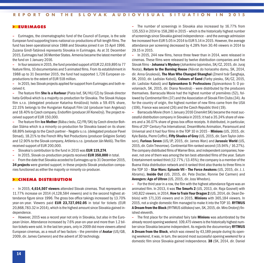#### **> EURIMAGES**

**–** Eurimages, the cinematographic fund of the Council of Europe, is the sole European fund supporting trans-national co-productions of full-length films.The fund has been operational since 1988 and Slovakia joined it on 15 April 1996. Zuzana Gindl-Tatárová represents Slovakia in Eurimages. As at 31 December 2015, Eurimages had 36Member States. Armenia became the latestmember of the fund on 1 January 2016.

**–** In foursessionsin 2015, the fund provided support of EUR 22,619,895 to 77 feature films, 10 documentaries and 5 animated films. Fromits establishment in 1988 up to 31 December 2015, the fund had supported 1,726 European coproductionsto the extent of EUR 518 million.

**–** In 2015, two Slovak projects applied forsupport fromEurimages and both received it.

**–** The feature film **She Is a Harbour** (Piata loď, SK/HU/CZ) by Slovak director Iveta Grófová which is a majority co-production for Slovakia. The Slovak Hulapa film s.r.o. (delegated producer Katarína Krnáčová) holds a 59.45% share, 22.15% belongs to the Hungarian Katapult Film Ltd (producer Ivan Angelusz) and 18.40% to Czech company, Endorfilm (producer Jiří Konečný). The project received support of EUR 150,000.

**–** The feature film**Ice Mother** (Bába zledu, CZ/FR/SK) by Czech director Bohdan Sláma which is a minority co-production for Slovakia based on its share: 68.89%belongsto the Czech partner– Negativs.r.o. (delegated producer Pavel Strnad), 18.21% to the French Why Not Productions (producer Grégoire Sorlat) and 12.90%to the Slovak company, Artileria s.r.o. (producer JánMeliš).The film received support of EUR 200,000.

**–** Slovakia's contribution to the fund in 2015 was **EUR 119,274**.

**–** In 2015, Slovak co-production projectsreceived **EUR 350,000** in total.

**–** Fromthe date that Slovakia acceded to Eurimages up to 31 December 2015, **34 projects** were granted support; in these projects Slovak production companies functioned as either the majority or minority co-producer.

#### **> CINEMA DISTRIBUTION**

**–** In 2015, **4,614,507 viewers** attended Slovak cinemas. That represents an 11.77% increase on 2014 (4,128,584 viewers) and is the second highest attendance figure since 1996. The gross box office takings increased by 13.70% year-on-year. Viewers paid **EUR 23,727,092.05** in total for tickets (EUR 20,868,783.32 in 2014), which isthe highest amountsince Slovakia gained independence.

**–** However, 2015 was a record year not only in Slovakia, but also in the European Union. Attendance increased by 7.6% year-on-year and more than 1.2 billion tickets were sold. In the last ten years, onlyin 2009 didmore viewers attend European cinemas, as a result of two factors - the première of **Avatar** (US/GB, 2009, dir. James Cameron) and the advent of 3D technology.

**–** The number of screenings in Slovakia also increased by 16.77% from 135,553 in 2014 to 158,280 in 2015 – which isthe historically highest number ofscreeningssince Slovakia gained independence – and the average admission fee increased from EUR 5.05 in 2014 to EUR 5.14 in 2015. However, the average attendance per screening decreased by 4.28% from 30.46 viewers in 2014 to 29.15 in 2015.

**–** In 2015, 244 new films, hence three fewer than in 2014, were released in cinemas. These films were released by twelve distribution companies and five Slovak films–**Johanna's Mystery**(Johankino tajomstvo, SK/CZ, 2015, dir. Juraj Nvota), **Return to the Burning House** (Návrat do horiaceho domu, SK, 2014, dir. Anna Grusková), **The Man Who Changed Shanghai** (Zmenil tvár Šanghaja, SK, 2010, dir. Ladislav Kaboš), **Colours of Sand** (Farby piesku, SK/CZ, 2015, dir. Ladislav Kaboš) and **Spievankovo 5: Professions** (Spievankovo 5: O povolaniach, SK, 2015, dir. Diana Novotná) – were distributed by the producers themselves. Barracuda Movie had the highest number of premières (52), followed by Continental film (37) and the Association of Slovak Film Clubs (34). As for the country of origin, the highest number of new films came from the USA (106), France wassecond (26) and the Czech Republic third (19).

**–** BarracudaMovie (from1 January 2016 CinemArt SK) became themostsuccessful distribution company in Slovakia in 2015; it had a 35.24% share of viewers and a 36.07% share of gross box office receipts. It distributed, in particular, films of 20<sup>th</sup> Century Fox International, DreamWorks Animation, Paramount and Universal and it had four films in the TOP 10 in 2015 – **Minions** (US, 2015, dir. Kyle Balda, Pierre Coffin), **Fifty Shades of Grey**(US, 2015, dir. SamTaylor-Johnson), **Furious Seven** (US/JP, 2015, dir. James Wan) and **Jurassic World** (US, 2015, dir. Colin Trevorrow). Continental filmranked second (15.94%/ 16.27%). The company distributed films of Warner Bros. and independent companies; however, not one of them was among the ten best-attended films of the year. Saturn Entertainment ranked third (12.77%/13.45%); the companyis amember of the Buena Vista distribution network and it ranked third also thanksto three filmsin the TOP 10 – **Star Wars: Episode VII – The Force Awakens** (US, 2015, dir. J. J. Abrams), **Inside Out** (US, 2015, dir. Pete Docter, Ronnie Del Carmen) and **Avengers: Age of Ultron** (US, 2015, dir. Joss Whedon).

**–** For the third year in a row, the filmwith the highest attendance figure was an animated film. In 2013, it was **The Smurfs 2** (US, 2013, dir. Raja Gosnell) with 140,822 viewers, in 2014, **How to Train Your Dragon 2** (US, 2014, dir. Dean Deblois) with 171,335 viewers and in 2015, **Minions** with 365,184 viewers. In 2015, not a single domestic film managed to make it into the TOP 10. **RYTMUS A Dreamfromthe Block** (RYTMUS sídliskovýsen, SK, 2015, dir.Miro Drobný)finished eleventh.

**–** The first place for the animated fairy tale **Minions** was adumbrated by the already record opening weekend. 109,475 viewers is the historically highest number since Slovakia became independent. As regards the documentary **RYTMUS A Dream from the Block**, which was viewed by 43,189 people during its opening weekend, it was, in turn, the second mostsuccessful opening weekend for a domestic film since Slovakia gained independence. **38** (SK, 2014, dir. Daniel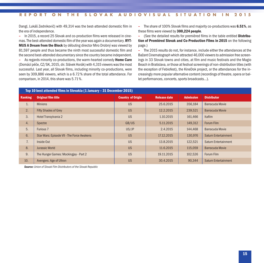Dangl, Lukáš Zednikovič) with 49,314 was the best-attended domestic film in the era of independence.

**–** In 2015, a record 25 Slovak and co-production films were released in cinemas.The best-attended domestic filmof the year was again a documentary. **RYT-MUS A Dream from the Block** by débuting director Miro Drobný was viewed by 81,597 people and thus became the ninth most successful domestic film and the second best-attended documentarysince the country became independent.

**–** As regards minority co-productions, the warm-hearted comedy **Home Care** (Domácí péče, CZ/SK, 2015, dir. Slávek Horák) with 4,315 viewers wasthemost successful. Last year, all Slovak films, including minority co-productions, were seen by 309,886 viewers, which is a 6.72% share of the total attendance. For comparison, in 2014, this share was 5.71%.

**–** The share of 100% Slovak films and majority co-productions was **6.51%**, as these films were viewed by **300,224 people**.

**–** (See the detailed results for premièred films in the table entitled **Distribution of Premièred Slovak and Co-Production Films in 2015** on the following page.)

**–** The 2015 results do not, for instance, include either the attendances at the Bažant Cinematograph which attracted 46,000 viewersto admission free screenings in 33 Slovak towns and cities, at film and music festivals and the Magio Beach in Bratislava, or those at festival screenings of non-distribution titles (with the exception of Febiofest), the KineDok project, or the attendances for the increasinglymore popular alternative content (recordings of theatre, opera or ballet performances, concerts, sports broadcasts...).

|                | Top 10 best attended films in Slovakia (1 January - 31 December 2015) |                          |                     |                  |                             |  |  |  |  |  |
|----------------|-----------------------------------------------------------------------|--------------------------|---------------------|------------------|-----------------------------|--|--|--|--|--|
| <b>Ranking</b> | <b>Original film title</b>                                            | <b>Country of Origin</b> | <b>Release date</b> | <b>Admission</b> | <b>Distributor</b>          |  |  |  |  |  |
| 1.             | <b>Minions</b>                                                        | <b>US</b>                | 25.6.2015           | 356,184          | <b>Barracuda Movie</b>      |  |  |  |  |  |
| 2.             | <b>Fifty Shades of Grey</b>                                           | <b>US</b>                | 12.2.2015           | 239,521          | <b>Barracuda Movie</b>      |  |  |  |  |  |
| 3.             | Hotel Transylvania 2                                                  | <b>US</b>                | 1.10.2015           | 161,466          | <b>Itafilm</b>              |  |  |  |  |  |
| 4.             | Spectre                                                               | GB/US                    | 5.11.2015           | 149,312          | Forum Film                  |  |  |  |  |  |
| 5.             | Furious <sub>7</sub>                                                  | US/JP                    | 2.4.2015            | 144.468          | Barracuda Movie             |  |  |  |  |  |
| 6.             | Star Wars: Episode VII - The Force Awakens                            | <b>US</b>                | 17.12.2015          | 130,976          | <b>Saturn Entertainment</b> |  |  |  |  |  |
| 7.             | Inside Out                                                            | <b>US</b>                | 13.8.2015           | 122,521          | Saturn Entertainment        |  |  |  |  |  |
| 8.             | <b>Jurassic World</b>                                                 | <b>US</b>                | 11.6.2015           | 115,059          | Barracuda Movie             |  |  |  |  |  |
| 9.             | The Hunger Games: Mockingjay - Part 2                                 | <b>US</b>                | 19.11.2015          | 102,526          | Forum Film                  |  |  |  |  |  |
| 10.            | Avengers: Age of Ultron                                               | <b>US</b>                | 30.4.2015           | 90.344           | <b>Saturn Entertainment</b> |  |  |  |  |  |

*Source: Union of Slovak Film Distributors of the Slovak Republic*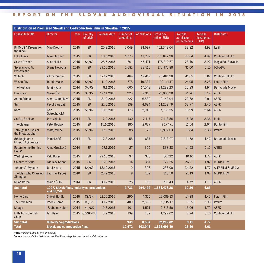| Distribution of Premièred Slovak and Co-Production Films in Slovakia in 2015 |                                                            |      |                      |                     |                         |                   |                                  |                                       |                                  |                              |
|------------------------------------------------------------------------------|------------------------------------------------------------|------|----------------------|---------------------|-------------------------|-------------------|----------------------------------|---------------------------------------|----------------------------------|------------------------------|
| English film title                                                           | <b>Director</b>                                            | Year | Country<br>of origin | <b>Release date</b> | Number of<br>screenings | <b>Admissions</b> | <b>Gross box</b><br>office (EUR) | Average<br>admission<br>per screening | Average<br>ticket price<br>(EUR) | <b>Distributor</b>           |
| <b>RYTMUS A Dream from</b><br>the Block                                      | Miro Drobný                                                | 2015 | <b>SK</b>            | 20.8.2015           | 2,049                   | 81,597            | 402,348.64                       | 39.82                                 | 4.93                             | Itafilm                      |
| Lokalfilmis                                                                  | <b>Jakub Kroner</b>                                        | 2015 | <b>SK</b>            | 18.6.2015           | 1,773                   | 47,237            | 235,872.98                       | 26.64                                 | 4.99                             | <b>Continental film</b>      |
| <b>Seven Ravens</b>                                                          | <b>Alice Nellis</b>                                        | 2015 | SK/CZ                | 28.5.2015           | 1,601                   | 45,471            | 178,310.67                       | 28.40                                 | 3.92                             | <b>Magic Box Slovakia</b>    |
| Spievankovo 5:<br>Professions                                                | Diana Novotná                                              | 2015 | <b>SK</b>            | 29.10.2015          | 1,081                   | 33,510            | 170,976.88                       | 31.00                                 | 5.10                             | <b>TONADA</b>                |
| Vojtech                                                                      | <b>Viktor Csudai</b>                                       | 2015 | <b>SK</b>            | 17.12.2015          | 464                     | 19,419            | 98,461.28                        | 41.85                                 | 5.07                             | <b>Continental film</b>      |
| <b>Wilson City</b>                                                           | Tomáš Mašín                                                | 2015 | SK/CZ                | 1.10.2015           | 775                     | 19,334            | 102,111.17                       | 24.95                                 | 5.28                             | Forum Film                   |
| The Hostage                                                                  | Juraj Nvota                                                | 2014 | SK/CZ                | 8.1.2015            | 660                     | 17,048            | 84,289.23                        | 25.83                                 | 4.94                             | <b>Barracuda Movie</b>       |
| Eva Nová                                                                     | Marko Škop                                                 | 2015 | SK/CZ                | 19.11.2015          | 223                     | 9,313             | 29,063.20                        | 41.76                                 | 3.12                             | <b>ASFK</b>                  |
| <b>Anton Srholec</b>                                                         | Alena Čermáková                                            | 2015 | <b>SK</b>            | 8.10.2015           | 222                     | 6,589             | 19,143.04                        | 29.68                                 | 2.91                             | <b>ASFK</b>                  |
| Suri                                                                         | Pavol Barabáš                                              | 2015 | <b>SK</b>            | 21.5.2015           | 139                     | 4,694             | 11,259.79                        | 33.77                                 | 2.40                             | <b>ASFK</b>                  |
| Koza                                                                         | Ivan<br>Ostrochovský                                       | 2015 | SK/CZ                | 10.9.2015           | 173                     | 2,940             | 7,755.25                         | 16.99                                 | 2.64                             | <b>ASFK</b>                  |
| So Far, So Near                                                              | <b>Jaro Vojtek</b>                                         | 2014 | <b>SK</b>            | 2.4.2015            | 130                     | 2,117             | 7,118.56                         | 16.28                                 | 3.36                             | Itafilm                      |
| <b>The Cleaner</b>                                                           | Peter Bebjak                                               | 2015 | <b>SK</b>            | 15.102015           | 180                     | 2,077             | 9,177.71                         | 11.54                                 | 2.64                             | <b>Bontonfilm</b>            |
| Through the Eyes of<br>the Photographer                                      | Matej Mináč                                                | 2015 | SK/CZ                | 17.9.2015           | 88                      | 778               | 2,802.03                         | 8.84                                  | 3.36                             | <b>Itafilm</b>               |
| 5th Regiment:<br><b>Mission Afghanistan</b>                                  | Peter Kaštíl                                               | 2014 | <b>SK</b>            | 12.3.2015           | 55                      | 637               | 2,813.07                         | 11.58                                 | 4.42                             | <b>Barracuda Movie</b>       |
| <b>Return to the Burning</b><br>House                                        | Anna Grusková                                              | 2014 | <b>SK</b>            | 27.1.2015           | 27                      | 395               | 838.38                           | 14.63                                 | 2.12                             | <b>ANZIO</b>                 |
| <b>Waiting Room</b>                                                          | Palo Korec                                                 | 2015 | <b>SK</b>            | 29.10.2015          | 37                      | 376               | 667.22                           | 10.16                                 | 1.77                             | <b>ASFK</b>                  |
| <b>Colours of Sand</b>                                                       | Ladislav Kaboš                                             | 2015 | <b>SK</b>            | 16.9.2015           | 14                      | 367               | 722.25                           | 26.21                                 | 1.97                             | <b>MEDIA FILM</b>            |
| Johanna's Mystery                                                            | Juraj Nvota                                                | 2015 | SK/CZ                | 18.12.2015          | 9                       | 308               | 236.00                           | 34.22                                 | 1.77                             | <b>ALEF FILM &amp; MEDIA</b> |
| The Man Who Changed<br>Shanghai                                              | Ladislav Kaboš                                             | 2010 | <b>SK</b>            | 23.9.2015           | 8                       | 169               | 310.50                           | 21.13                                 | 1.97                             | <b>MEDIA FILM</b>            |
| Milan Čorba                                                                  | Martin Šulík                                               | 2014 | <b>SK</b>            | 30.4.2015           | 25                      | 118               | 200.43                           | 4.72                                  | 1.70                             | <b>ASFK</b>                  |
| <b>Sub-total</b>                                                             | 100 % Slovak films, majority co-productions<br>and $50/50$ |      |                      |                     | 9,733                   | 294,494           | 1,364,478.28                     | 30.26                                 | 4.63                             |                              |
| <b>Home Care</b>                                                             | Slávek Horák                                               | 2015 | CZ/SK                | 22.10.2015          | 290                     | 4,315             | 19.089.13                        | 14.88                                 | 4.42                             | <b>Forum Film</b>            |
| The Little Man                                                               | <b>Radek Beran</b>                                         | 2015 | CZ/SK                | 30.4.2015           | 409                     | 2,309             | 9,115.17                         | 5.65                                  | 3.95                             | Itafilm                      |
| <b>Mirage</b>                                                                | <b>Szabolcs Hajdu</b>                                      | 2014 | HU/SK                | 19.3.2015           | 101                     | 1,521             | 2,716.50                         | 15.06                                 | 1.79                             | <b>ASFK</b>                  |
| Little from the Fish<br>Shop                                                 | Jan Balej                                                  | 2015 | CZ/SK/DE             | 3.9.2015            | 139                     | 409               | 1,292.02                         | 2.94                                  | 3.16                             | <b>Continental film</b>      |
| Sub-total                                                                    | <b>Minority co-productions</b>                             |      |                      |                     | 939                     | 8,554             | 32.212.82                        | 9.11                                  | 3.77                             |                              |
| <b>Slovak and co-production films</b><br>Total                               |                                                            |      |                      | 10.672              | 303,048                 | 1,396,691.10      | 28.40                            | 4.61                                  |                                  |                              |

*Note: Films are ranked by admissions*

*Source: Union of Film Distributors of the Slovak Republic and individual distributors*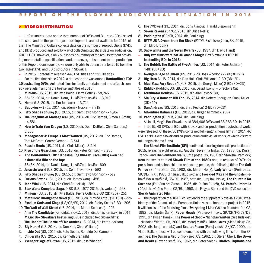#### **> VIDEODISTRIBUTION**

**–** Unfortunately, data on the total number of DVDs and Blu-rays (BDs) issued and sold, and on the year-on-year development, are not available for 2015, either. The Ministry of Culture collects data on the number of reproductions (DVDs and BDs) produced and sold by way of collecting statistical data on audiovision, KULT 11-01; however, it only publishes a summary of the results without providing more detailed specifications and, moreover, subsequent to the production of this Report. Consequently, we were only able to obtain data for 2015 fromthe two largest DVD and BD distributors in Slovakia.

**–** In 2015, Bontonfilm released 448 DVD titles and 221 BD titles.

**–** For the first time since 2012, a domestic title was among **Bontonfilm's TOP**

**10 bestselling DVDs**. Animated films for family entertainment and a Czech comedy were again among the bestselling titles of 2015:

- 1. **Minions** (US, 2015, dir. Kyle Balda, Pierre Coffin)– 58,245
- 2. **38** (SK, 2014, dir. Daniel Dangl,Lukáš Zednikovič)– 13,919
- 3. **Home** (US, 2015, dir. Tim Johnson)– 13,744
- 4. **Babovřesky 3** (CZ, 2014, dir. Zdeněk Troška)– 8,818
- 5. **Fifty Shades of Grey** (US, 2015, dir. Sam Taylor-Johnson)– 4,957
- 6. **The Penguins of Madagascar** (US, 2014, dir. Eric Darnell, Simon J. Smith) – 4,581
- 7. **How to Train Your Dragon** (US, 2010, dir. Dean DeBlois, Chris Sanders)– 3,685
- 8. **Madagascar 3: Europe's Most Wanted** (US, 2012, dir. Eric Darnell, Tom McGrath, Conrad Vernon)– 3,541
- 9. **Puss in Boots** (US, 2011, dir. Chris Miller)– 3,414
- 10. **Rise of the Guardians** (US, 2012, dir. Peter Ramsey)– 3,250
- **– And Bontonfilm's TOP 10 bestselling Blu-ray Discs (BDs) even had a domestic title on the top:**
- 1. **38** (SK, 2014, dir. Daniel Dangl,Lukáš Zednikovič)– 609
- 2. **Jurassic World** (US, 2015, dir. Colin Trevorrow)– 592
- 3. **Fifty Shades of Grey** (US, 2015, dir. Sam Taylor-Johnson)– 519
- 4. **Furious Seven** (US/JP, 2015, dir. James Wan)– 456
- 5. **John Wick** (US, 2014, dir. Chad Stahelski)– 289
- 6. **Star Wars: Complete Saga**, 9-BD (US, 1977-2015, dir.various)– 268
- 7. **Minions** (US, 2015, dir. Kyle Balda, Pierre Coffin), 2-BD (2D+3D)– 251
- 8. **Metallica:Through the Never** (US, 2013, dir. Nimród Antal) (2D+3D)– 226
- 9. **Exodus: Gods and Kings** (US/GB/ES, 2014, dir. Ridley Scott) 3-BD 206
- 10.**The Wolf of Wall Street** (US, 2014, dir. Martin Scorsese)– 203
- **–** After**The Candidate** (Kandidát, SK/CZ, 2013, dir. Jonáš Karásek) in 2014 **Magic Box Slovakia's** bestselling DVDs included two Slovak films:
- 1. **The Hobbit:The Battle of Five Armies** (US, 2014, dir. Peter Jackson)
- 2. **Big Hero 6** (US, 2014, dir. Don Hall, Chris Williams)
- 3. **Inside Out** (US, 2015, dir. Pete Docter, Ronaldo Del Carmen)
- 4. **Cinderella** (US, 2015, dir. Kenneth Branagh)
- 5. **Avengers: Age of Ultron** (US, 2015, dir. Joss Whedon)
- 6. **The 7<sup>th</sup> Dwarf** (DE, 2014, dir. Boris Aljinovic, Harald Siepermann)
- 7. **Seven Ravens** (SK/CZ, 2015, dir. Alice Nellis)
- 8. **Paddington** (GB/FR, 2014, dir. Paul King)
- 9. **RYTMUS A Dream from the Block** (RYTMUS sídliskovýsen, SK, 2015, dir. Miro Drobný)
- 10. **Snow White and the Seven Dwarfs** (US, 1937, dir. David Hand)
- **– Only two films were not 3D among Magic Box Slovakia's TOP 10 bestselling BDs in 2015:**
- 1. **The Hobbit:The Battle of Five Armies** (US, 2014, dir. Peter Jackson) 4-BD (3D+2D)
- 2. **Avengers: Age of Ultron** (US, 2015, dir. Joss Whedon) 2-BD (3D+2D)
- 3. **Big Hero 6** (US, 2014, dir. Don Hall, Chris Williams) 2-BD (3D+2D)
- 4. **Mad Max: Fury Road** (AU/US, 2015, dir. George Miller) 2-BD (3D+2D)
- 5. **Riddick** (Riddick, US/GB, 2013, dir. David Twohy)– Director's Cut
- 6. **Terminator Genisys** (US, 2015, dir. Alan Taylor) (3D)
- 7. **Sin City: A Dame to Kill For** (US, 2014, dir. Robert Rodriguez, Frank Miller (3D+2D)
- 8. **San Andreas** (US, 2015, dir. Brad Peyton) 2-BD (3D+2D)
- 9. **Adventure Bahamas** (DE, 2012, dir. Jürgen Klimmeck) (3D)
- 10. **Paddington** (GB/FR, 2014, dir. Paul King)
- **–** All in all, Magic Box Slovakia sold 384,406 DVDs and 38,363 BDsin 2015.

**–** In 2015, 48 DVDs or BDs with Slovak and co-production audiovisual works were released. Of these, 30 DVDs contained full-length cinema films(in 2014, 46 DVDs or BDs with Slovak and co-production audiovisual works, of which 28 were full-length cinema films).

**– The Slovak FilmInstitute (SFI)** continued releasing domestic productionsin 2015, releasing eight reissues: **Another Love** (Iná láska, CS, 1985, dir. Dušan Trančík) and **The Southern Mail** (Južná pošta, CS, 1987, dir. Stanislav Párnický) from the series entitled **Slovak Film of the 1980s** and, in respect of DVDs for pre-school and schoolchildren and young people, the following titles: **The Salt Prince** (Soľ na zlato, CS, 1982, dir. Martin Hollý), **Lady Winter** (Perinbaba, SK/DE/IT/AT, 1985, dir.JurajJakubisko) and **Freckled Max and the Ghosts** (Pehavý Max a strašidlá, CS/DE, 1987, both dir. Juraj Jakubisko),**The Fountain for Suzanne** (Fontána pre Zuzanu, 1986, dir. Dušan Rapoš), **St. Peter's Umbrella** (Dáždnik svätého Petra, CS/HU, 1958, dir. Frigyes Bán) and the DVD collection **Slovak Animated Film**.

**–** The preparation of a 10-BD collection for the support of Slovakia's 2016 Presidency of the Council of the European Union was an important project in 2015. It will consist of the following films: **Everything I Like** (Všetko čo mám rád, CS, 1992, dir. Martin Šulík), **Paper Heads** (Papierové hlavy, SK/CH/FR/CZ/DE, 1995, dir. Dušan Hanák),**The Power of Good – Nicholas Winton** (Sila ľudskosti – Nicholas Winton, SK, 2002, dir. Matej Mináč), **Blind Loves** (Slepé lásky, SK, 2008, dir. Juraj Lehotský) and **Soul at Peace** (Pokoj v duši, SK/CZ, 2009, dir. Vlado Balko); these will be complemented with the following films from the SFI archives:**The Sun in a Net** (Slnko vsieti, CS, 1962, dir. Štefan Uher),**The Boxer and Death** (Boxer a smrť, CS, 1962, dir. Peter Solan), **Birdies, Orphans and**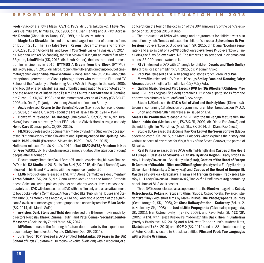**Fools** (Vtáčkovia,siroty a blázni, CS/FR, 1969, dir. Juraj Jakubisko), **I Love, You Love** (Ja milujem, ty miluješ, CS, 1988, dir. Dušan Hanák) and **A Path Across the Danube** (Chodník cez Dunaj, CS, 1989, dir. MiloslavLuther).

**– Magic Box Slovakia** released the second largest number of domestic films on DVD in 2015. The fairy tales **Seven Ravens** (Sedem zhavranelých bratov, SK/CZ, 2015, dir. Alice Nellis) and **Love in Your Soul**(Láska na vlásku, SK, 2014, dir. Mariana Čengel Solčanská), the first Slovak full-length animated film after 35 years, **LokalFilmis** (SK, 2015, dir. Jakub Kroner), the best-attended domestic film in cinemas in 2015, **RYTMUS A Dream from the Block** (RYTMUS sídliskovýsen, SK, 2015, dir.Miro Drobný), the full-length directing début of cinematographerMartin Štrba, **Wave vs Shore** (Vlna vs. breh, SK/CZ, 2014) about the exceptional generation of Slovak photographers who met at the Film and TV School of the Academy of Performing Arts (FAMU) in Prague in the early 1980s and brought energy, playfulness and unbridled imagination to art photography, and the re-release of Dušan Rapoš'sfilm**The Fountain for Suzanne II** (Fontána pre Zuzanu 2, SK/CZ, 1993) and the remastered version of **Želary** (CZ/SK/AT, 2003, dir. Ondřej Trojan), an Academy Award nominee, on Blu-ray.

**– Anzio** released **Return to the Burning House** (Návrat do horiaceho domu, SK, 2014, dir. Anna Grusková) about the life of Haviva Reick (1914 – 1944).

**– Bontonfilm** released **The Hostage** (Rukojemník, SK/CZ, 2014, dir. Juraj Nvota) based on a novel by Peter Pišťanek and Slávek Horák's tragic-comedy **Home Care** (Domácí péče, CZ/SK, 2015).

**– FILM 2000** released a documentarymade by Vladimír Štric on the occasion of the 70th anniversary of the Slovak National Uprising entitled **The Uprising. Slovakia 1939 –1945** (Povstanie. Slovensko 1939 –1945, SK, 2015).

**Hailstone** released Tomáš Krupa's 2012 début **GRADUATES/Freedom Is Not for Free** (ABSOLVENTI/Sloboda nie je zadarmo, SK) about the situation ofyoung people after graduation.

**–** Documentaryfilmmaker Pavol Barabáš continuesreleasing his own films on DVD in his **K2 Studio**. In 2015, hisfilm **Suri** (SK, 2015, dir. Pavol Barabáš) was released in his Grand Prix series with the sequence number 26.

**– LEON Productions** released a DVD with Alena Čermáková's documentary **Anton Srholec** (SK, 2015, dir. Alena Čermáková) about the Roman Catholic priest, Salesian, writer, political prisoner and charity worker. It was released separately as a DVD with bonuses, as a DVD with the filmonly and as an attachment to two books– Alena Čermáková: Anton Srholec (Ikar Publishing House) and Štefan Hríb: Our Antonio (Náš António, W PRESS). And also a portrait of the significant Slovak costume designer,scenographer and universityteacher **Milan Čorba** (SK, 2014, dir. Martin Šulík).

**– m-vision**, **Dark Stone** and **Tichý dom** released the B-horror movie made by directors Rastislav Blažek, Zuzana Paulini and Peter Čermák **Socialist Zombie Massacre** (Socialistický Zombi Mord, SK, 2014).

**– MPhilms** released the full-length feature début made by the experienced documentaryfilmmaker Jaro Vojtek, **Children** (Deti, SK, 2014).

**– Juraj Topor TOP** released a DVD entitled **Tublatanka: 30 Years in the Big School of Days** (Tublatanka: 30 rockov vo veľkej škole dní) with a recording of a concert from the tour on the occasion of the 30<sup>th</sup> anniversary of the band's existence on 31 October 2013 in Brno.

**–** The production of DVDs with songs and programmes for children was also exceptionallyrich.**Tonada** released the children's musical **Spievankovo 5: Professions** (Spievankovo 5: O povolaniach, SK, 2015, dir. Diana Novotná) separately and also as part of a 5-DVD collection **Spievankovo V** (Spievankovo V.) including the films **Spievankovo 1-5**. The film was also screened in cinemas and almost 35,000 people watched it.

**– RTVS** released a DVD with 24 songs for children **Dwarfs and Their Smiley Hits** (Trpaslíci a ich smajlihity, SK, 2015, dir. Vladimír Kriško).

**– Paci Pac** released a DVD with songs and storiesfor children **Paci Pac**.

**– Mottefilm** released a DVD with 19 songs **Smiley Face and Dancing Fairy: Abracadabra** (Smejko a Tanculienka: Čáry Máry Fuk).

**– Galgan Music** released **Miro Jaroš: a DVD for(Dis)Obedient Children** (Miro Jaroš: DVD pre (ne)poslušné deti) containing 12 video clips to songs from the eponymous album of Miro Jaroš and 3 new songs.

**– Studio LUX** released the DVD **A Ball of Wool and the HolyMass** (Klbko a svätá omša) containing 13 television programmes for children broadcast on TV LUX.

**–** Short and mid-length films were also issued on DVD.

**Smart Life Production** released a 2-DVD with the full-length feature film **The Moon Inside You** (Mesiac v nás, ES/SK/FR, 2009, dir. Diana Fabiánová) and the mid-length film **Monthlies** (Mesiačiky, SK, 2014, dir. Diana Fabiánová).

**– Studio LUX** released the documentary**Our Lady ofthe Seven Sorrows** (Matka sedembolestná, SK, 2015, dir. Marek Poláček) which explains the history and various aspects of reverence for Virgin Mary of the Seven Sorrows, the patron of Slovakia.

**– Real Fantasy**released three DVDs withmid-length films **Castles ofthe Heart of Europe I: Castles of Slovakia – Banská Bystrica Region** (Hrady srdca EurópyI.: Hrady Slovenska – Banskobystrický kraj), **Castles of the Heart of Europe II: Castles of Slovakia – Nitra and Žilina Regions** (Hradysrdca EurópyII.: Hrady Slovenska – Nitriansky a Žilinský kraj) and **Castles of the Heart of Europe III: Castles of Slovakia – Bratislava,Trnava and Trenčín Regions** (Hradysrdca Európy III.: Hrady Slovenska - Bratislavský, Trnavský a Trenčiansky kraj) containing aerial shots of 81 Slovak castles.

**–** Three DVDs were released as a supplement to the **Kinečko**magazine: **Kuboš, Ostrochovský, Pekarčík: Student Films** (Kuboš, Ostrochovský, Pekarčík: študentské filmy) with short films by Marek Kuboš: **The Photographer's Journey** (Cesta fotografa, SK, 1995), **2nd Class Railway Station – Kraľovany** (Žel. st. 2. tr. Kraľovany, SK, 1998) and **Just a Little Propaganda** (Takámalá propaganda, SK, 2001); Ivan Ostrochovský: **Ilja** (SK, 2003); and Pavol Pekarčík: **422** (SK, 2005); a DVD with Tereza Križková's mid-length film **Back Then in Bratislava** (Vtedy v Bratislave, AK, 2015) and a DVD with Teodor Kuhn's student films, **Skateboard 7** (SK, 2010) and **MOMO** (SK, 2012) and an 83-minute recording of Peter Kudelka'slecture in Bratislava entitled **Film and Food:Two Languages with a Single Grammar**.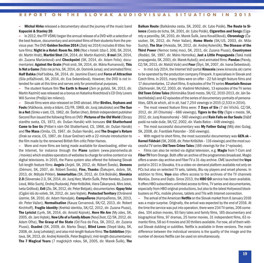**– Michal Hirko** released a documentary about the journey of the music band **Kapucíni & Stanley 20**.

**–** In 2012, the FTF VŠMU began the annual release of a DVD with a selection of the best feature, documentary and animated films of their students from the previousyear.The DVD **Golden Section 2014** (Zlatýrez 2014) includes 8 titles: feature films: **Night in a Hotel: RoomNo.306** (Noc v hoteli: Izba č. 306, SK, 2014, dir.Martin Hnát), **Martini Shot** (SK, 2014, dir.Martin Kazimír), **Bmol** (SK, 2014, dir. Zuzana Marianková) and **Checkpoint** (SK, 2014, dir. Adam Felix); documentaries: **Against the Grain** (Protisrsti, SK, 2014, dir. Mária Rumanová),**This Is Not a Game** (Toto nie je hra, SK, 2014, dir. Dominik Jursa); and animated films: **Half Babka** (Half bábka, SK, 2014, dir. Jasmine Elsen) and **Force of Attraction** (Sila príťažlivosti, SK, 2014, dir. Eva Sekerešová). However, the DVD is not intended for sale at this time and serves only for promotional purposes.

**–** The student feature film **The Earth Is Round** (Zem je guľatá, SK, 2013, dir. Martin Kazimír) wasreleased as a bonus on Katarína Knechtová's CD OnlyLovers Will Survive (Prežijú len milenci).

**–** Slovak films were also released on DVD abroad. After **Birdies, Orphans and Fools** (Vtáčkovia,siroty a blázni, CS/FR, 1969, dir. Juraj Jakubisko) and **The Sun in a Net** (Slnko vsieti, CS, 1962, dir. Štefan Uher), British independent publisher Second Run issued the following films on DVD: **Pictures ofthe Old World** (Obrazy starého sveta, CS, 1972, dir. Dušan Hanák) with bonuses **Old Shatterhand Came to See Us** (Prišiel k nám Old Shatterhand, CS, 1966, dir. Dušan Hanák) and **The Mass** (Omša, CS, 1967, dir. Dušan Hanák), and **The Dragon's Return** (Drak sa vracia, CS, 1967, dir. Eduar Grečner) with a 22-minute introduction to the film made bythe renowned British film critic Peter Hames.

**–** More and more films are being made available for downloading, either via the Internet, for instance through the **Piano** system (www.pianomedia.sk /movies) which enables operators of websitesto charge for online content orvia digital televisions. In 2015, the Piano system also offered the following Slovak full-length feature films: **Angels** (Anjeli, SK, 2012, dir. Róbert Šveda), **Demons** (Démoni, SK, 2007, dir. Róbert Šveda), **Fine, Thanks** (Ďakujem, dobre, SK, 2013, dir. Mátyás Prikler), **Immortalitas** (SK, 2012, dir. Erik Bošnák), **Slovakia 2.0** (Slovensko 2.0, SK, 2014, dir. Juraj Herz, Martin Šulík, Peter Kerekes, Zuzana Liová,Mišo Suchý, Ondrej Rudavský, Peter Krištúfek, Viera Čákanyová,Miro Jelok, Iveta Grófová), **Evil**(Zlo, SK, 2012, dir. Peter Bebjak); documentaries: **Gypsy Vote** (Cigáni idú do volieb, SK, 2012, dir. Jaro Vojtek), **Protected Territory**(Chránené územie, SK, 2010, dir. Adam Hanuljak), **Campañeros** (Kampañeros, SK, 2013, dir. Peter Važan), **Normalisation** (Kauza Cervanová, SK/CZ, 2013, dir. Robert Kirchhoff), **Fragile Identity** (Krehká identita, SK/CZ, 2012, dir. Zuzana Piussi), **The Lyricist** (Lyrik, SK, 2014, dir. Arnold Kojnok), **Here We Are** (My zdes, SK, 2005, dir.Jaro Vojtek), **New Life of a Family Album**(Novýživot, CZ/SK, 2012, dir. Adam Oľha), **The Grasp of the State** (Od Fica do Fica, SK, 2012, dir. Zuzana Piussi), **Osadné** (SK, 2009, dir. Marko Škop), **Blind Loves** (Slepé lásky, SK, 2008, dir.JurajLehotský); and alsomid-length feature films:**The Exhibition** (Výstava, SK, 2013, dir. Andrei Kolenčík, Peter Begányi); mid-length documentaries: **The 7 Magical Years** (7 magických rokov, SK, 2005, dir. Marek Šulík), **The** **Balkan Route** (Balkánska cesta, SK, 2002, dir. Ľubo Polák), **The Route to Silence** (Cesta do ticha, SK, 2001, dir.Ľubo Polák), **Cigarettes and Songs** (Cigarety a pesničky, SK, 2010, dir. Marek Šulík, Jana Kovalčíková), **Chronology** (Časozber, SK, 2012, dir. Peter Važan), **Home Movie** (SK/US, 2003, dir. Mišo Suchý), **The Star** (Hviezda, SK, 2012, dir. Andrej Kolenčík), **The Disease of the Third Power** (Nemoc tretej moci, SK, 2011, dir. Zuzana Piussi), **Countrymen** (Rodáci, SK, 1997, dir. Mário Homolka), **Just a Little Propaganda** (Taká malá propaganda, SK, 2001, dir.Marek Kuboš); and animated films: **Pandas** (Pandy, CZ/SK, 2013, dir.Matúš Vizár) and **Four** (Štyri, SK, 2007, dir. Ivana Šebestová).

**–** In mid-July 2014, the Internet VoD portal **Kinocola** (www.kinocola.sk) came to be operated bythe production company Filmpark. Itspecialisesin Slovak and Czech films. In 2015, manytitles were on offer– 22 full-length feature films and 17 documentaries, 12 short films, 6 episodes of the TV series **Mountain Rescue** (Záchranári, SK/CZ, 2003, dir. Vladimír Michálek), 13 episodes of the TV series **Old Town Crime Tales** (Kriminálka Starémesto, SK/CZ, 2010-2013, dir. Ján Sebechlebský) and 42 episodes of the series of documentary portraits of personalities, GEN.sk which, all in all, had 7,254 viewings in 2015 (2,533 in 2014).

**–** The most viewed feature films were: **7 Days of Sin** (7 dní hříchů, CZ/SK, 2012, dir. Jiří Chlumský – 686 viewings), **Tigers in the City** (Tigre v meste, SK, 2012, dir.Juraj Krasnohorský– 560 viewings) and **Rain Falls on Our Souls** (Dážď padá na naše duše, SK/CZ, 2002, dir. Vlado Balco – 448 viewings).

**–** The most successful documentary was **My Father Gulag** (Môj otec Gulag, SK, 2008, dir. František Palonder– 356 viewings).

**–** With regard to short films, the most successful documentary was **GEN.sk – Kornel Földvári** (SK, 2008, dir. Peter Krištúfek – 116 viewings) and themostsuccessful TV series **Old Town Crime Tales** (166 viewingsfor the 1st episode).

**–** Films can also be rented via digital television, e.g. **Magio** from T-Com and **Fiber TV** from Orange. Both offer an archive of the programmes broadcast. Magio offers a seven-day archive and FiberTV a 31-day archive. CME launched the **Voyo** portal in 2011 in Slovakia. It is a video-on-demand platformavailable not only on PCs but also on selected TV sets, tablets, Blu-ray players and smart phones. In addition to films, **Voyo** also offers access to the archives of the TV channels Markíza, Doma and Dajto. Since 2013, the **HBO GO** service has been available. It offers HBO subscribers unlimited accessto films,TV series and documentaries, especially from HBO original productions, but also to the latest Hollywood blockbusters on PCs, mobile phones, tablets and TVs with Internet connection.

**–** The arrival of the American **Netflix** on the Slovakmarket from6 January 2016 was a major surprise. Originally, the arrival was expected by the end of 2016. At the time the service was put into operation, there were 234 TV series, 206 comedies, 104 action movies, 93 fairy tales and family films, 165 documentary and biographical films, 97 dramas, 25 horror movies, 31 independent films, 63 romantic films, 58 sci-fi movies and 30 thrillers available. For now, all of them without Slovak dubbing or subtitles. Netflix is available in three versions. The main difference between the individual versions is the quality of the image and the number of devices Netflix can be used on simultaneously.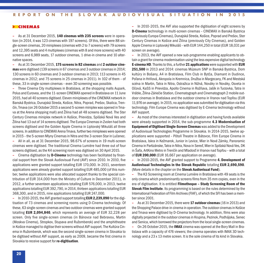#### **> CINEMAS**

**–** As at 31 December 2015, **140 cinemas with 235 screens** were in operation (in 2014, it was 123 cinemas with 197 screens). Of this, there were 88 single-screen cinemas, 20miniplexes(cinemas with 2 to 7 screens) with 79 screens and 12,395 seats and 4multiplexes(cinemas with 8 andmore screens) with 40 screens and 6,989 seats, 17 outdoor cinemas, 1 drive-in cinema and 10 alternative spaces.

**–** As at 31 December 2015, **175 screens in 82 cinemas** and **2 outdoor cinemas** were digitised (139 screensin 67 cinemas and 3 outdoor cinemasin 2014; 130 screensin 60 cinemas and 3 outdoor cinemasin 2013; 113 screensin 45 cinemas in 2012; and 75 screens in 25 cinemas in 2011). In 102 of them – of these, 33 in single-screen cinemas– even 3D screening was possible.

**–** Three Cinema City multiplexes in Bratislava, at the shopping malls Aupark, Polus and Eurovea, and the 11-screen CINEMAX opened in Bratislava on 11 June 2015, had all 40 screens digitised. Eleven miniplexes of the CINEMAX network in Banská Bystrica, Dunajská Streda, Košice, Nitra, Poprad, Prešov, Skalica, Trenčín,Trnava (on 26 October 2015 a second 5-screenminiplex was opened in Trnava at the Arena shopping mall) and Žilina had all 48 screens digitised. The Ster Century Cinemas miniplex network in Košice, Prievidza, Spišská Nová Ves and Žilina had 13 out of 14 screens digitised.The Europa Cinemasin Zvolen had both screens digitised and the Golden Apple Cinema in Liptovský Mikuláš all three screens. In addition to CINEMAX Arena Trnava, further two miniplexes were opened in 2015 – the 5-screen Mlyny Cinemas in Nitra and the 3-screen Star in Lučenec.

**–** All in all, as at 31 December 2015, 98.67% of screens in 19 multi-screen cinemas were digitised. The traditional Cinema Lumière had three out of four screens digitised, asthe K4 screening room was digitised on 30 April 2015.

**–** Cinema digitisation by **D-Cinema** technology has been facilitated by financial support from the Slovak Audiovisual Fund (AVF) since 2010. In 2010, five applications were granted support totalling EUR 170,000. In 2011, seventeen applications were already granted support totalling EUR 485,000 (of this number, twelve applications were also allocated support thanks to the special contribution of EUR 314,000 from the Ministry of Culture in December 2011), in 2012, a further seventeen applications totalling EUR 576,000, in 2013, twelve applicationstotalling EUR 392,790, in 2014, thirteen applicationstotalling EUR 368,300, and in 2015, nine applicationstotalling EUR 247,000.

**–** In 2010-2015, the AVF granted support totalling **EUR 2,239,090** for the digitisation of 73 cinemas and screening rooms using D-Cinema technology. Of these, 63 single-screen cinemas and two outdoor cinemas were granted support totalling **EUR 2,094,840**, which represents an average of EUR 32,228 per screen. Only five single-screen cinemas (in Bánovce nad Bebravou, Martin (Moskva Cinema), Stropkov, Stupava and Ružomberok) and the amphitheatre in Košice managed to digitise their screens without AVF support. The Kultúra Cinema in Ružomberok, which wasthe second single-screen cinema in Slovakia to be digitised without AVF support, as early as 2009, became the first cinema in Slovakia to receive support for **re-digitisation**.

**–** In 2010-2015, the AVF also supported the digitisation of eight screens by **D-Cinema** technology in multi-screen cinemas – CINEMAX in Banská Bystrica (previously Europa Cinemas), Dunajská Streda, Košice, Poprad and Prešov, Ster Century Cinemas in Košice and Žilina (previously City Cinemas), and Golden Apple Cinema in Liptovský Mikuláš – with EUR 144,250 in total (EUR 18,031 per screen on average).

**–** In 2013, the AVF opened a new sub-programme enabling applicants to obtain a grant for cinemamodernisation using the less expensive digital technology **E-cinema HD**.Thanksto this, a further **21 applications** were supported with **EUR 251,500** in 2013 and 2014: cinemas Múzeum SNP in Banská Bystrica, Dom kultúry in Bošany, A4 in Bratislava, Film Club in Bytča, Diamant in Dudince, Poľana in Hriňová, Akropola in Kremnica, Družba in Margecany, FK and Mestská scéna in Martin, Tatra in Nitra, Ostražica in Nižná, Nováky in Nováky, Osveta in Očová, KaSS in Prievidza, Apollo Cinema in Rožňava, Jašík in Turzovka, Tatra in Vráble, Žilina-Záriečie Station, Cinematograph and Cinematograph 2mobile outdoor cinemas in Bratislava and the outdoor cinema in Vranov nad Topľou (EUR 11,976 on average). In 2015, no application wassubmitted for digitisation via this technology. Film Europe Cinema was digitised by E-Cinema technology without AVF support.

**–** As most of the cinemasinterested in digitisation and having funds available were already supported in 2014, the sub-programme **4.3 Modernisation of Equipment of Digitised Single-Screen Cinemas** was added to the Development of Audiovisual Technologies Programme in Slovakia. In 2014-2015, twelve applications were supported – Pôtoň Theatre in Bátovce, Film Europe Cinema in Bratislava, Iskra in Kežmarok, Junior in Levice, Mier in Nové Zámky, Panoramic Cinema in Partizánske, Tatra in Nitra, Nova in Sereď, Mier in Spišská Nová Ves, DK in Šaľa, ArtKino Metro in Trenčín and Mladosť in Vranov nad Topľou – with a total of **EUR 200,000** (EUR 16,667 per application on average).

**–** In 2010-2015, the AVF granted support to Programme **4. Development of Audiovisual Technologies in the Slovak Republic** totalling **EUR 2,690,590**. (More detailsin the chapter on the **Slovak Audiovisual Fund**).

**–** The K3 Screening room at Cinema Lumière in Bratislava with 49 seats is the only cinema which predominantly screens films from 35 mm copies, even in the era of digitisation. It is entitled **Filmotheque – Study Screening Room of the Slovak Film Institute**. Its programming is based on the rules determined bythe International Federation of Film Archives (FIAF), of which the SFI has been a membersince 2001.

**–** As at 31 December 2015, there were **17 outdoor cinemas** (16 in 2013) and the Shopping Palace drive-in cinema in operation.The outdoor cinemasin Košice and Trnava were digitised by D-Cinema technology. In addition, films were also digitally projected in the outdoor cinemasin Krupina, Pezinok, Podhájska, Senec and Senica, which borrowed the projectors from the local single-screen cinemas.

**–** On 26 October 2015, the **IMAX** cinema was opened at the Bory Mall in Bratislava with a capacity of 476 viewers; the cinema operates with IMAX 3D technology and a 23 x 13 metre screen. It isthe sole cinema of its kind in Slovakia.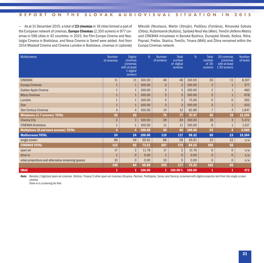**–** As at 31 December 2015, a total of **23 cinemas** in 19 citiesformed a part of the European network of cinemas, **Europa Cinemas** (2,350 screensin 977 cinemas in 596 cities in 42 countries: in 2015, the Film Europe Cinema and Nostalgia Cinema in Bratislava, and Nova Cinema in Sereď were added. And from 2014 Mladosť Cinema and Cinema Lumière in Bratislava, cinemas in Liptovský Mikuláš (Nicolaus), Martin (Strojár), Piešťany (Fontána), Rimavská Sobota (Orbis), Ružomberok (Kultúra), Spišská Nová Ves (Mier), Trenčín (Artkino Metro) and CINEMAX miniplexes in Banská Bystrica, Dunajská Streda, Košice, Nitra, Poprad, Prešov, Skalica, Trenčín, Trnava (MAX) and Žilina remained within the Europa Cinemas network.

| <b>Multiscreens</b>                                | <b>Number</b><br>of cinemas | <b>Digital</b><br>cinemas<br>(cinemas)<br>with at least<br>1 digital<br>screen) | %      | <b>Number</b><br>of screens | <b>Total</b><br>number<br>of digital<br>screens | %      | <b>Total</b><br>number<br>of 3D<br>screens | 3D cinemas<br>(cinemas)<br>with at least<br>13D screen) | <b>Number</b><br>of seats |
|----------------------------------------------------|-----------------------------|---------------------------------------------------------------------------------|--------|-----------------------------|-------------------------------------------------|--------|--------------------------------------------|---------------------------------------------------------|---------------------------|
| <b>CINEMAX</b>                                     | 11                          | 11                                                                              | 100.00 | 48                          | 48                                              | 100.00 | 26                                         | 11                                                      | 8,107                     |
| <b>Europa Cinemas</b>                              |                             | $\mathbf{1}$                                                                    | 100.00 | $\overline{2}$              | $\overline{2}$                                  | 100.00 | $\overline{2}$                             |                                                         | 377                       |
| Golden Apple Cinema                                |                             | $\mathbf{1}$                                                                    | 100.00 | 3                           | 3                                               | 100.00 | $\overline{2}$                             |                                                         | 460                       |
| <b>Mlyny Cinemas</b>                               |                             | $\mathbf{1}$                                                                    | 100.00 | 5                           | 5                                               | 100.00 | 5                                          |                                                         | 678                       |
| Lumière                                            |                             | $\mathbf{1}$                                                                    | 100.00 | 4                           | 3                                               | 75.00  | $\overline{0}$                             | $\Omega$                                                | 393                       |
| <b>Star</b>                                        |                             | 1                                                                               | 100.00 | 3                           | 3                                               | 100.00 | 3                                          |                                                         | 433                       |
| <b>Ster Century Cinemas</b>                        | 4                           | 4                                                                               | 100.00 | 14                          | 13                                              | 92.86  |                                            | 4                                                       | 1,947                     |
| Miniplexes (2-7 screens) TOTAL                     | 20                          | 20                                                                              |        | 79                          | 77                                              | 97.47  | 45                                         | 19                                                      | 12,395                    |
| <b>Cinema City</b>                                 | 3                           | 3                                                                               | 100.00 | 29                          | 29                                              | 100.00 | 18                                         | 3                                                       | 5,472                     |
| <b>CINEMAX Bratislava</b>                          |                             | $\mathbf{1}$                                                                    | 100.00 | 11                          | 11                                              | 100.00 | 6                                          | $\mathbf{1}$                                            | 1,517                     |
| <b>Multiplexes (8 and more screens) TOTAL</b>      |                             | 4                                                                               | 100.00 | 40                          | 40                                              | 100.00 | 24                                         |                                                         | 6,989                     |
| <b>Multiscreens TOTAL</b>                          | 24                          | 24                                                                              | 100.00 | 119                         | 117                                             | 98.32  | 69                                         | 23                                                      | 19,384                    |
| single screen                                      | 88                          | 58                                                                              | 65.91  | 88                          | 58                                              | 65.91  | 33                                         | 33                                                      | n/a                       |
| <b>CINEMAS TOTAL</b>                               | 112                         | 82                                                                              | 73.21  | 207                         | 175                                             | 84.54  | 102                                        | 56                                                      |                           |
| open air                                           | 17                          | $\overline{2}$                                                                  | 11.76  | 17                          | $\overline{2}$                                  | 11.76  | $\mathbf{0}$                               | $\Omega$                                                | n/a                       |
| drive-in                                           | 1                           | $\mathbf 0$                                                                     | 0.00   |                             | $\mathbf 0$                                     | 0.00   | $\mathbf{0}$                               | $\mathbf{0}$                                            | n/a                       |
| video projections and alternative screening spaces | 10                          | $\Omega$                                                                        | 0.00   | 10                          | $\mathbf{0}$                                    | 0.00   | $\Omega$                                   | $\Omega$                                                | n/a                       |
|                                                    | 140                         | 84                                                                              | 60.00  | 235                         | 177                                             | 75.32  | 102                                        | 56                                                      |                           |
| <b>IMAX</b>                                        | 1                           | 1                                                                               | 100.00 | 1                           | 100.00%                                         | 100.00 | 1                                          | 1                                                       | 472                       |

Note: Besides 2 digitized open-air cinemas (Košice, Tmava) 5 other open-air cinemas (Krupina, Pezinok, Podhájska, Senec and Senica) screened with digital projector lent from the single screen *cinema*

*Drive-in is screening for free*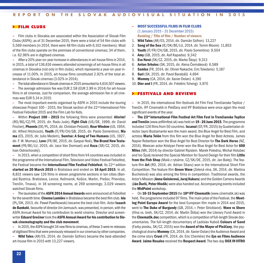#### **> FILM CLUBS**

**–** Film clubs in Slovakia are associated within the Association of Slovak Film Clubs(ASFK); as of 31 December 2015, there were a total of 54 film clubs with 5,569 members(in 2014, there were 48 film clubs with 6,102 members). Most of the film clubs operate on the premises of conventional cinemas; 34 of them, i.e. 62.96% are in digitised cinemas.

**–** After a 20%year-on-year increase in attendancesin art-house filmsin 2014, in 2015, a total of 136,616 viewers attended screenings of art-house filmsin all cinemasin Slovakia (not onlyin film clubs), which represents a year-on-year increase of 11.00%. In 2015, art-house films constituted 2.92% of the total attendance in Slovak cinemas(3.02% in 2014).

**-** The total attendance in Slovak cinemas in 2015 amounted to 4,614,507 viewers.

**–** The average admission fee was EUR 2.58 (EUR 2.99 in 2014) for art-house films in all cinemas. Just for comparison, the average admission fee in all cinemas was EUR 5.14 in 2015.

**–** The most important events organised by ASFK in 2015 include the touring showcase Project 100 - 2015, the Slovak section of the 22<sup>nd</sup> International Film Festival Febiofest 2015 and the Film Lab for Kids.

**–** Within **Project 100 – 2015** the following films were presented: **Aferim!** (RO/BG/CZ/FR, 2015, dir. Radu Jude), **Fight Club** (US/DE, 1999, dir. David Fincher), **Phoenix**(DE/PL, 2014, dir. Christian Petzold), **Rear Window** (US, 1954, dir. Alfred Hitchcock), **Youth** (IT/FR/CH/GB, 2015, dir. Paolo Sorrentino), **Ma ma** (ES, 2015, dir. Julio Medem), **Sunrise: A Song of Two Humans** (US, 1927, dir. F. W. Murnau), **Love** (FR/BE, 2015, dir. Gaspar Noé),**The Brand New Testament** (FR/BE/LU, 2015, dir. Jaco Van Dormael) and **Koza** (SR/CZ, 2015, dir. Ivan Ostrochovský).

**–** In 2013, when a competition ofshort filmsfromV4 countries wasincluded in the programme of the International Film, Television and Video Festival Febiofest, the Festival became the **International Film Festival Febiofest**. Its 22nd edition **started on 20 March 2015** in Bratislava and ended on **16 April 2015**. In all, 8,831 viewers saw 126 films in eleven programme sections in ten cities (Banská Bystrica, Bratislava, Levice, Kežmarok, Košice, Martin, Prešov, Prievidza, Trenčín, Trnava), in 18 screening rooms, at 269 screenings; 3,029 viewers watched Slovak films.

**–** The laureates of the **ASFK 2014 Annual Awards** were announced at Febiofest for the seventh time. **Cinema Lumie`re** in Bratislava became the best filmclub. **Ida** (PL/DK, 2013, dir. Paweł Pawlikowski) became the best club film. Actor **Isaach de Bankolé**, favourite of directorJimJarmusch, was presented, in person, with the ASFK Annual Award for his contribution to world cinema. Director and screenwriter **Eduard Grečner** took the **ASFK Annual Award for his contribution to Slovak cinematography and the club movement**.

- **–** In 2015, the ASFK brought 34 newfilmsto cinemas, of these 3were re-releases of digitised films that were previously released in our cinemas by other companies.
- **– Wild Tales** (AR/ES, 2014, dir. Damián Szifron) became the best-attended art-house film in 2015 with 13,227 viewers.
- **– MOST SUCCESSFUL FILMS IN FILM CLUBS** (1 January 2015 – 31 December 2015) **Ranking / Title of film / Number of viewers**
- 1. **Wild Tales** (AR/ES, 2014, dir. Damián Szifron) 13,227
- 2. **Song of the Sea** (IE/DK/BE/LU, 2014, dir. Tomm Moore) 11,853
- 3. **Youth** (IT/FR/CH/GB, 2015, dir. Paolo Sorrentino) 9,504
- 4. **Amy** (GB, 2015, dir. Asif Kapadia) 9,342
- 5. **Eva Nová** (SK/CZ, 2015, dir. Marko Škop) 9,313
- 6. **Anton Srholec** (SK, 2015, dir. Alena Čermáková) 6,589
- 7. **Samba** (FR, 2014, dir. Olivier Nakache, Eric Toledano) 5,187
- 8. **Suri** (SK, 2015, dir. Pavol Barabáš) 4,694
- 9. **Mommy** (CA, 2014, dir. Xavier Dolan) 4,190
- 10. **Dior and I** (FR, 2014, dir. Frédéric Tcheng) 3,970

#### **> FESTIVALS AND REVIEWS**

**–** In 2015, the international film festivals Art Film Fest Trenčianske Teplice / Trenčín, IFF Cinematik in Piešťany and IFF Bratislava were once again the most significant events of the year.

**– The 23rd International Film Festival Art Film Fest in Trenčianske Teplice and Trenčín** (www.artfilmfest.sk) was held on **19 - 26 June 2015**.The programme included 126 films from 50 countries. **Ixcanul** (GT/FR, 2015) by Guatemalan director Jayro Bustamante won the main award, the Blue Angel for Best Film, and actress **Maria Telón** from this film won the Blue Angel for Best Actress. James Napier Robertson won the Blue Angel for Best Director for **The Dark Horse** (NZ, 2014). Mexican actor Kristyan Ferrer won the Blue Angel for Best Actor for **600 Miles** (MX, 2014) by director Gabriel Ripstein. Marek Poledna, Michal Holubec and Ivo Špalj received the Special Mention for Sound Design for their film **Little from the Fish Shop** (Malá z rybárne, CZ/SK/DE, 2015, dir. Jan Balej). The feature film **Art** (RO, 2014, dir. Adrian Sitaru) won in the International Short Film Competition. The feature film **Green Wave** (Zelená vlna, SK, 2014, dir. Martina Buchelová) was also among the films in competition. Traditional awards, the Actor'sMission (**Anna Geislerová,Juraj Kukura**) and the Golden Camera Awards (**Ján Ďuriš, Peter Hledík**) were also handed out. Accompanying eventsincluded the **MidPoint** workshop.

**–** On **10-15 September 2015** the **10th IFF Cinematik** (www.cinematik.sk) was held. The programme included 97 films. The main prize of the Festival, the **Meeting Point Europe Award** for the best European film made in 2014 and 2015, went to **The Duke of Burgundy** (GB, 2014, r. Peter Strickland). **Wave vs Shore** (Vlna vs. breh, SK/CZ, 2014, dir. Martin Štrba) won the Literary Fund Award in the **Cinematik.doc** competition, which is a competition of full-length Slovak documentaries. The full-length documentary of Ladislav Kaboš **Colours of Sand** (Farby piesku, SK/CZ, 2015) won the **Award of the Mayor of Piešťany**, the psychological drama **Mommy**(CA, 2014, dir. Xavier Dolan) the Audience Award and the crime story **Cruel** (FR, 2014, dir. Eric Cherrie`re) the **Eye on Films Audience Award**. **Jaime Rosales** received the **Respect Award**.The two-day **DOX IN VITRO**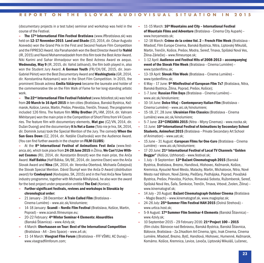(documentary projects in a test tube) seminar and workshop was held in the course of the Festival.

**– The 17th International Film Festival Bratislava** (www.iffbratislava.sk) was held on **12-17 November 2015**. **Land and Shade** (CO, 2014, dir. César Augusto Acevedo) won the Grand Prix in the First and Second Feature Film Competition and the FIPRESCI Award. Ida Panahandeh won the Best Director Award for **Nahid** (IR, 2015) and NavidMohammadzadeh fromthisfilmtook the Best Actor Award. Niki Karimi and Sahar Ahmadpour won the Best Actress Award ex aequo. **Wednesday, May 9** (IR, 2015, dir. Vahid Jalilvand), the film both played in, also won the Student Jury Award. **A German Youth** (FR/CH/DE, 2015, dir. Jean-Gabriel Périot) won the Best Documentary Award and **Washingtonia** (GR, 2014, dir. Konstantina Kotzamani) won in the Short Film Competition. In 2015, the prominent Slovak actress **Emília Vášáryová** became the laureate and holder of the commemorative tile on the Film Walk of Fame for her long-standing artistic work.

**– The 22nd International FilmFestival Febiofest** (www.febiofest.sk) was held from **20 March to 16 April 2015** in ten cities(Bratislava, Banská Bystrica, Kežmarok, Košice, Levice, Martin, Prešov, Prievidza, Trenčín, Trnava). The programme included 126 films. The feature film **Milky Brother** (PL/AM, 2014, dir. Vahram Mkhitaryan) won the main prize in the Competition of Short Films from V4 Countries. The feature film with documentary elements, **Mat goc** (CZ/VN, 2014, dir. Dužan Duong) and the documentary**It Is Not a Game** (Toto nie je hra, SK, 2014, dir. Dominik Jursa) took the Special Mention of the Jury. The comedy **When the Sun Goes Down** (CZ, 2014, dir. Natálie Císařovská) won the Audience Award. (You can find further awardsin the chapter on **FILM CLUBS**)

**–** At the **8th International Festival of Animations Fest Anča** (www.festanca.sk), which took place from**24-28 June 2015** in Žilina, **We Can't Live Without Cosmos** (RU, 2014, dir. Konstantin Bronzit) won the main prize, the Anča Award. **Half Babka** (Half Bábka, SK/BE, 2014, dir. Jasmine Elsen) won the Anča Slovak Award and **Nina** (SK, 2014, dir. Veronika Obertová, Michaela Čobejová) the Slovak Special Mention. Dávid Štumpf won the Anča D Award (distribution award) for **Cowboyland** (Kovbojsko, SK, 2015) and in the Fest Anča New Talents industry programme, together with Michaela Mihályiová, he also won the award for the best project under preparation entitled **The End** (Koniec).

- **– Further significant festivals, reviews and workshops in Slovakia by chronological order:**
- **–** 21 January– 28 December: **A Train Called Film** (Bratislava Cinema Lumière) – www.aic.sk/kinolumiere;
- **–** 14-18 January: **Scandi – Nordic Film Festival** (Bratislava, Košice, Martin, Poprad)– www.scandi.filmeurope.eu;
- **–** 20-22 February: **4thWinter Seminar 4 Elements: Absurdities** (Banská Štiavnica)– www.4zivly.sk;
- **–** 4 March: **Oberhausen on Tour: Best of the International Competition** (Bratislava - A4 – Zero Space)– www.a4.sk;
- **–** 11-14 March: **Visegrad Film Forum** ((Bratislava FFF VŠMU, KC Dunaj)– www.visegradfilmforum.com;
- **–** 11-15 March: **16thMountains and City – International Festival of Mountain Films and Adventure** (Bratislava – Cinema City Aupark)– www.horyamesto.sk;
- **–** 12-18 March: **Cre`me de la cre`me Vol. 2 – French Film Week** (Bratislava Mladosť, Film Europe Cinema, Banská Bystrica, Nitra, Liptovský Mikuláš, Martin, Trenčín, Košice, Prešov, Modra, Sereď, Trnava, Spišská Nová Ves, Žilina-Záriečie)– www.filmeurope.sk;
- **–** 1-12 April: **Audience and Festival Hits of 2008-2013 – accompanying event of the Slovak Film Week** (Bratislava – Cinema Lumiière) – www.tyzdenfilmu.sk;
- **–** 13-19 April: **Slovak Film Week** (Bratislava Cinema Lumie`re)– www.tyzdenfilmu.sk;
- **–** 6 May– 17 June: **9thMinifestival of European Film 7x7** (Bratislava, Nitra, Banská Bystrica, Žilina, Poprad, Prešov, Košice);
- **–** 1-7 June: **Russian Film Days** (Bratislava Cinema Lumie`re)– www.aic.sk/kinolumiere;
- **–** 10-14 June: **Dolce Vitaj – Contemporary Italian Film** (Bratislava Cinema Lumière) – www.aic.sk/kinolumiere;
- **–** 15-18, 27, 28 June: **Ukrainian Film Classics** (Bratislava Cinema Lumière) www.aic.sk/kinolumiere;
- **–** 5-7 June: **23rdCINEAMA 2015** (Nitra Mlyny Cinemas)– www.nocka.sk;
- **–** 11 June: **10th International Festival of Animations by Secondary School Students, Animofest 2015** (Bratislava – Private Secondary Art School of Animation)– www.uat.sk;
- **–** 15 June 31 August: **€uropean Films for One €uro** (Bratislava Cinema Lumière) – www.aic.sk/kinolumiere;
- **–** 17-20 June: **21st International Festival of LocalTV Channels "Golden Beggar"** (Košice, Uzhhorod)– www.festival.sk;
- **–** 1 July– 9 September: **13thBažant Cinematograph 2015** (Banská Bystrica, Bratislava, Brezno, Handlová, Hlohovec, Kežmarok, Košice, Kremnica, Kysucké Nové Mesto, Malacky, Martin, Michalovce, Nitra, Nové Mesto nad Váhom, Nové Zámky, Piešťany, Podhájska, Poprad, Považská Bystrica, Prešov, Prievidza, Púchov, Rimavská Sobota, Ružomberok, Sereď, Spišská Nová Ves, Šaľa, Šenkvice, Trenčín, Trnava, Vrbové, Zvolen, Žilina)– www.kinematograf.sk;
- **–** 14 July– 20 August: **Bažant Cinematograph Outdoor Cinema** (Bratislava – Magio Beach)– www.kinematograf.sk, www.magioplaz.sk;
- **–** 24-26 July: **25thSummer Film Festival HAH 2015** (Dolná Strehová)– www.urtica.host.sk;
- **–** 5-9 August: **17thSummer Film Seminar 4 Elements** (Banská Štiavnica)– www.4zivly.sk;
- **–** 10 September 2015 29 February 2016: **21stProject 100 – 2015** (film clubs: Bánovce nad Bebravou, Banská Bystrica, Banská Štiavnica, Bátovce, Bratislava – Za Zrkadlom Art Cinema, Igric, Inak Cinema, Cinema Lumière, Mladosť, Brezno, Bytč, Handlová, Hlohovec, Humenné, Kežmarok, Komárno. Košice, Kremnica, Levice, Levoča, Liptovský Mikuláš, Lučenec,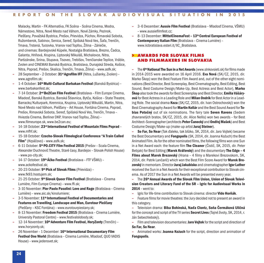Malacky, Martin – FK Alternatíva, FK Scéna – Scéna Cinema, Modra, Námestovo, Nitra, Nové Mesto nad Váhom, Nové Zámky, Pezinok, Piešťany, Považská Bystrica, Prešov, Prievidza, Púchov, Rimavská Sobota, Ružomberok, Sabinov, Senica, Sereď, Spišská Nová Ves, Šaľa, Trenčín, Trnava, Trstená, Turzovka, Vranov nad Topľou, Žilina – Záriečie, and cinemas: Bardejovské Kúpele, Nostalgia Bratislava, Brezno, Čadca, Galanta, Hriňová, Krupina,Liptovský Mikuláš, Michalovce, Nitra, Partizánske, Snina, Stupava, Tisovec, Trebišov, Trenčianske Teplice, Vráble, Zvolen and CINEMAX Banská Bystrica, Bratislava, Dunajská Streda, Košice, Nitra, Poprad, Prešov, Skalica, Trenčín, Trnava, Žilina)– www.asfk.sk;

- **–** 28 September– 2 October: **31stAgrofilm IFF** (Nitra,Lužianky, Zvolen)– www.agrofilm.sk;
- **–** 1-4 October: **16thMulti-Cultural Barbakan Festival** (Banská Bystrica)– www.barbakanfest.sk;
- **–** 7-14 October: **2ndBe2Can Film Festival** (Bratislava Film Europe Cinema, Mladosť, Banská Bystrica, Banská Štiavnica, Bytča, Košice – State Theatre, Barracks/Kulturpark, Kremnica, Krupina, Liptovský Mikuláš, Martin, Nitra, Nové Mesto nad Váhom, Piešťany– Art House, Fontána Cinema, Poprad, Prešov, Rimavská Sobota, Sereď, Spišská Nová Ves, Trenčín, Trnava – Hviezda Cinema, Berliner DKP, Vranov nad Topľou, Žilina)– www.filmeurope.sk, www.be2can.eu;
- **–** 14-18 October: **23rd International Festival of Mountain Films Poprad** www.mfhf.sk;
- **–** 15-18 October: **Czecho-Slovak Filmological Conference "A Train Called Film"** (Krpáčovo)– www.asfk.sk;
- **–** 6-11 October: **5thPO.CITY Film Festival 2015** (Prešov– Scala Cinema, Alexander Duchnovič Theatre, Staré časy, Bardejov– Slovak-Polish House) – www.po-city.sk;
- **–** 14-17 October: **19thÁčko Festival** (Bratislava FTF VŠMU)– www.ackofestival.sk;
- **–** 20-23 October: **9thPick of Slovak Films** (Prievidza)– www.fk93.hostujem.sk;
- **–** 21-25 October: **9thSlovak Queer Film Festival** (Bratislava Cinema Lumière, Film Europe Cinema) – www.ffi.sk:
- **–** 3-10 November: **Pier Paolo Pasolini: Love and Rage** (Bratislava Cinema Lumière) – www.aic.sk/kinolumiere;
- **–** 3-5 November: **11th International Festival of Documentaries and Features on Travelling, Landscape and Man, Eurotour Piešťany** (Piešťany– KSC Fontána)– www.eurotourpiestany.sk;
- **–** 8-13 November: **Freedom Festival 2015** (Bratislava Cinema Lumie`re, University Pastoral Centre)– www.festivalslobody.sk;
- **–** 12-14 November: **10thAdventure Film Festival, HoryZonty** (Trenčín)– www.horyzonty.sk;
- **–** 26 November– 1 December: **16th International Documentary Film Festival One World** (Bratislava – Cinema Lumière, Mladosť, QUO VADIS House)– www.jedensvet.sk;
- **–** 3-6 December: **Aussie Film Festival** (Bratislava Mladosť Cinema, VŠMU) – www.aussiefilmfest.cz;
- **–** 8-13 December: **MittelCinemaFest – 13thCentral European Festival of Contemporary Italian Film** (Bratislava – Cinema Lumière) – www.iicbratislava.esteri.it/IIC\_Bratislava.

#### **> AWARDS FOR SLOVAK FILMS AND FILMMAKERS IN SLOVAKIA**

**–** The 6<sup>th</sup> National The Sun in a Net Awards (www.slnkovsieti.sk) for films made in 2014-2015 were awarded on 16 April 2016. **Eva Nová** (SK/CZ, 2015, dir. Marko Škop) won the Best Feature Film Award and, out of the other eight nominations(Best Director, Best Screenplay, Best Cinematography, Best Editing, Best Sound, Best Costume Design/Make-Up, Best Actress and Best Actor), **Marko Škop** also took the awardsfor Best Screenplay and Best Director, **Emília Vášáryová** for Best Actressin a Leading Role and **Milan Ondrík** for Best Actor in a Leading Role. The social drama **Koza** (SK/CZ, 2015, dir. Ivan Ostrochovský) won the Best Cinematography Award for **Martin Kollár** and the Best Sound Award for**Tobias Potočný** out of six nominations. The fairy tale **Seven Ravens** (Sedem zhavranelých bratov, SK/CZ, 2015, dir. Alice Nellis) won two awards – for Best Architect–Scenographer(architects **Peter Čanecký** and **OndřejMašek**) and Best Costume Design/Make-up (make-up artist **Juraj Steiner**).

**– So Far, So Near** (Tak ďaleko, tak blízko, SK, 2014, dir. Jaro Vojtek) became the Best Documentary and **Fongopolis** (SK, 2014, dir. Joanna Kożuch) the Best Animated Film. Asfor the other nominated films, the following films won one Sun in a Net Award each: the feature film **The Cleaner** (Čistič, SK, 2015, dir. Peter Bebjak) for Best Editing (**Marek Kráľovský**) and the documentary**The Edge – 4 Films about Marek Brezovský** (Hrana – 4 filmy o Marekovi Brezovskom, SK, 2014, dir. Patrik Lančarič) which won the Best Film Score Award for **Marek Brezovský**inmemoriam. Director**JurajJakubisko** and cinematographer **Igor Luther** received the Sun in a Net Awards for their exceptional contribution to Slovak cinema. As of 2017 the Sun in a Net Awards will be presented every year.

**–** The **26thAnnual Awards of the Slovak Film Union, Union of Slovak Television Creators and Literary Fund of the SR – Igric for Audiovisual Works in 2014** – went to:

**–** Igric for life-time contribution to Slovak cinema: director **Vido Horňák**.

**–** Feature filmsformovie theatres: the Jury decided not to present an award in this category.

**–** Television drama: **Biba Bohinská, Naďa Clontz, Soňa Čermáková Uličná** for the concept and script of the TV series **Secret Lives** (Tajné životy, SK, 2014, r. Ján Sebechlebský).

**–** Filmand television documentaries:**Jaro Vojtek** for the script and direction of **So Far, So Near**.

**–** Animated works: **Joanna Kożuch** for the script, direction and animation of **Fongopolis**.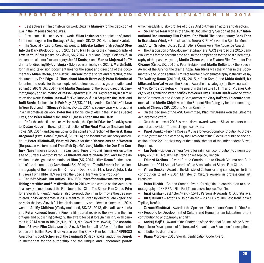**–** Best actress in film or television work: **Zuzana Mauréry** for her depiction of Eva in the TV series **Secret Lives**.

**–** Best actor in filmor television work: **Milan Lasica** for his depiction of grandfather Achberger in **The Hostage** (Rukojemník, SK/CZ, 2014, dir. Juraj Nvota).

**–** The Special Prizesfor Creativity went to: **Miloslav Luther** for directing **A Step Into the Dark** (Krok do tmy, SK, 2014) and **Ivan Finta** for the cinematography of **Love in Your Soul** (Láska na vlásku, SK, 2014, r. Mariana Čengel Solčanská) in the feature cinema films category; **Jonáš Karásek** and **Marika Majorová** for TV drama for directing **My Uprising.sk** (Moje povstanie.sk, SK, 2014); **Martin Šulík** for film and television documentaries for the script and directing of the documentary **Milan Čorba**, and **Patrik Lančarič** for the script and directing of the documentary **The Edge – 4 Films about Marek Brezovský**; **Petra Heleninová** for animated works for the concept, script, direction, art design, animation and editing of **AION** (SK, 2014) and **Martin Smatana** for the script, directing, cinematography and animation of **Rosso Papavero** (SK, 2014); for acting in a filmor television work: **Monika Hassová** for Eva Dubovská in **A Step Into the Dark**, and **Judit Bárdos** for her rolesin **Fair Play**(CZ/SK, 2014, r. Andrea Sedláčková), **Love in Your Soul** and **In Silence** (V tichu, SK/CZ, 2014, r. Zdeněk Jiráský); for acting in a film or television work: **Peter Kočiš** for hisrole of Alex in the TV series Secret Lives, and **Péter Nádašdi** for Ignác Dugasin **A Step Into the Dark**.

**–** Asfor the other filmand television works, the Special Prizesfor Creativity went to: **Dušan Hudec** for the script and direction of**The Final Mission** (Neznámi hrdinovia, SK, 2014) and Zuzana Liová for the script and direction of**The First: Hana Gregorová** (Prvá: Hana Gregorová, SK, 2014) and for audiovisual theory and critique: **Peter Michalovič, Vlastimil Zuska** for their **Discussions on a Western** (Rozprava o westerne) and **František Gýarfáš, Juraj Malíček** for **Our Film Century** (Naše filmové storočie). The Ján Fajnor Prize for young filmmakers up to the age of 35 years went to: **Veronika Obertová** and **Michaela Čopíková** for the direction, art design and animation of **Nina** (SK, 2014); **Miro Remo** for the direction of the documentary **Comeback** (SK, 2014) and **Tomáš Stanek** for the cinematography of the feature film **Children** (Deti, SK, 2014, r. Jaro Vojtek). **Lívia Filusová** from FURIA FILM received the Special Mention for a Producer.

 $-$  The 23<sup>rd</sup> Slovak Film Critics' FIPRESCI Prizes for audiovisual works, pub**lishing activities and film distribution in 2014** were awarded on the votes cast in a survey of members of the Film Journalists Club. The Slovak Film Critics' Prize for a Slovak full-length feature, also co-production film for movie theatres premie`red in Slovak cinemasin 2014, went to **Children** by director Jaro Vojtek; the prize for the best Slovak full-length documentary premièred in cinemas in 2014 went to **All My Children** (Všetky moje deti, SK/CZ, 2013, dir. Ladislav Kaboš) and **Peter Konečný** from the Kinema film portal received the award in the film critique and publishing category. The award for best foreign film in Slovak cinemas in 2014 went to **Ida** (PL/DK, 2013, dir. Pawel Pawlikowski). The **Association of Slovak Film Clubs** won the Slovak Film Journalists' Award for the distribution of thisfilm. **Pavel Branko** also won the Slovak Film Journalists' FIPRESCI Award for his book **Schemes ofthe Language** (Úkladyjazyka) and **Július Dzurek** in memoriam for the authorship and the unique and unbeatable portal: www.hviezdyfilmu.sk – profiles of 1,022 Anglo-American actors and directors.

**– So Far, So Near** won in the Slovak Documentary Section at the **16th International Documentary Film Festival One World**. The documentary **Back Then in Bratislava** (Vtedy v Bratislave, dir. Tereza Krížková) won the Special Mention and **Anton Srholec** (SK, 2015, dir. Alena Čermáková) the Audience Award.

**–** The Association of Slovak Cinematographers(ASC) awarded the 2015 Camera Awards for the seventh time and, in the competition for the best cinematography of the past two years, **Martin Žiaran** won the Feature Film Award for **The Cleaner** (Čistič, SK, 2015, r. Peter Bebjak) and **Martin Kollár** took the Special Award of the Jury for the drama **Koza**. **Ján Meliš** was the winner in the Documentary and Short Feature Film Category for his cinematography in the film essay **The Waiting Room** (Čakáreň, SK, 2015, r, Palo Korec) and **Mário Ondriš**, **Ivo Miko** and **Jaro Vaľko** won the Special Award in this categoryfor the visualisation of Miro Remo's **Comeback**. The award in the Feature TV Film and TV Series Category was granted to **Peter Kelíšek** for **Secret Lives**. **Dušan Husár** won the award in the Commercial and Videoclip Categoryfor the **Zlatý Bažant/Epicentre** commercial and **Martin Chlpík** won in the Student Film Category for the cinematography of **Chronos** (SK, 2015, r. Martin Kazimir).

**–** On the decision of the ASC Committee, **Vladimír Ješina** won the Life-time Achievement Award.

**–** Over the course of 2015, several dozen awards went to Slovak creators in the area of audiovision. The most significant were:

**– Pavel Branko** – Pribina Cross 2nd Classfor exceptional contribution to Slovak culture (state medal awarded by the President of the Slovak Republic on the occasion of the 22nd anniversary of the establishment of the independent Slovak Republic).

**– Ján Ďuriš** – Golden Camera Award forsignificant contribution to cinematography– 23rd IFF Art Film Fest Trenčianske Teplice, Trenčín.

**– Eduard Grečner** – Award for the Contribution to Slovak Cinema and Club Movement– 2014 Annual Awards of the Association of Slovak Film Clubs.

**– ViliamGruska** – Award of theMinister of Culture for long-standing or life-time contribution to art – 2014 Minister of Culture Awards in professional art, Bratislava.

**– Peter Hledík** – Golden Camera Award for significant contribution to cinematography– 23rd IFF Art Film Fest Trenčianske Teplice, Trenčín.

**– Juraj Kemka** – Best Actor Award – 15th TV Personality Awards, OTO, Bratislava.

**– Juraj Kukura** – Actor's Mission Award – 23rd IFF Art Film Fest Trenčianske Teplice, Trenčín.

**– Zuzana Mináčová** – Award of the Speaker of the National Council of the Slovak Republic for Development of Culture and Humanitarian Education for the contribution to photography and film.

**– Andrej Mojžiš** – Award of the Chairman of the National Council of the Slovak Republic for Development of Culture and Humanitarian Education for exceptional contribution to dramatic art.

**– Diana Mórová** – 2015 Slovak Identification Code Award.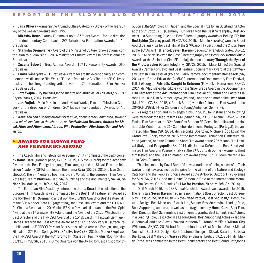**– Jana Oľhová** – winner in the Art and Culture Category– Slovak of the Yearsurvey of the weekly Slovenka and RTVS.

**– Miroslav Remo** – Young Filmmaker up to 35 Years Award – for the direction of the documentary Comeback - 20<sup>th</sup> Tatrabanka Foundation Awards for Art, Bratislava.

**– Stanislav Szomolányi**– Award of theMinister of Culture for exceptional contribution to audiovision – 2014 Minister of Culture Awards in professional art, **Bratislava** 

**– Zuzana Šebová** – Best Actress Award – 15th TV Personality Awards, OTO, Bratislava.

**– Emília Vášáryová** –IFF Bratislava Award for artistic exceptionality and commemorative tile on the FilmWalk of Fame in front of the CityTheatre of P. O. Hviezdoslav for her long-standing artistic work – 17th International Film Festival Bratislava 2015.

**– Jozef Vajda** – CrystalWing in the Theatre and Audiovisual Art Category– 18th Crystal Wings, 2014, Bratislava.

**– Jaro Vojtek** – Main Prize in the Audiovisual Works, Film and Television Category for the direction of Children -  $20<sup>th</sup>$  Tatrabanka Foundation Awards for Art, Bratislava.

**–** *Note: You can also find awards for feature, documentary, animated, student and television films in the chapters on Festivals and Reviews, Awards for Slovak Films and Filmmakers Abroad, FilmProduction, FilmEducation and Television.*

#### **> AWARDS FOR SLOVAK FILMS AND FILMMAKERS ABROAD**

**–** The Czech Film and Television Academy (CFTA) nominated the tragi-comedy **Home Care** (Domácí péče, CZ/SK, 2015, r. Slávek Horák) for the Academy Awards in the Best Foreign Language Film category and the Slovak Film and Television Academy(SFTA) nominated the drama **Koza** (SK/CZ, 2015, r. Ivan Ostrochovský).The SFTA entered two films byJaro Vojtek for the European FilmAward –the feature film**Children** (Deti, SK/CZ, 2014) and the documentary **So Far, So Near** (Tak ďaleko, tak blízko, SK, 2014).

**–** The European Film Academy entered the drama **Koza** in the selection of the European FilmAwards, it was nominated for the Best First Feature FilmAward at the 65<sup>th</sup> Berlin IFF (Germany) and it won the SIGNUS Award for Best Feature Film at the  $30<sup>th</sup>$  Mar del Plata IFF (Argentina), the Best Film Award and the C.I.C.A.E. Art Cinema Award at the 20<sup>th</sup> Vilnius IFF Kino Pavasaris (Lithuania), the Free Spirit Award at the 31<sup>st</sup> Warsaw IFF (Poland) and the Award of the City of Wiesbaden for Best Director and the FIPRESCI Award at the 15<sup>th</sup> goEast Film Festival (Germany). **Home Care** won the Best Actress Award at the 50<sup>th</sup> Karlovy Vary IFF (Czech Republic) and the FIPRESCI Prize for Best Actress of the Year in a Foreign Language Filmat the 27thPalmSpringsIFF (USA); **Eva Nová** (SK, 2015, r.Marko Škop) won the FIPRESCI Award at the 40th Toronto IFF (Canada); **Family Film**(Rodinnýfilm, CZ/DE/FR/SI/SK, 2015, r. Olmo Omerzu) won the Award for Best Artistic Contri-

bution at the 28th Tokyo IFF (Japan) and the Special Prize for an Outstanding Actor at the 25th Cottbus FF (Germany); **Children** won the Best Screenplay, Best Actress in a Supporting Role and Best Cinematography Awards at Beijing IFF; **The Red Spider** (Červený pavúk, PL/CZ/SK, 2015, r.Marcin Koszałka) won the Shadi Abd El Salam Prize for Best Film at the 27<sup>th</sup> Cairo IFF (Egypt) and the Critics' Prize at the 16thArrasIFF (France); **Seven Ravens** (Sedemzhavranelých bratov, SK/CZ, 2015, r. Alice Nellis) won the Best Cinematography and Best Background Music Awards at the 3rd Indian Cine FF (India); the documentary **Through the Eyes of the Photographer** (Očami fotografky, SK/CZ, 2015, r. Matej Mináč) the Special Award – Camera of David and Best Feature Documentary Award at the 13th Warsaw Jewish Film Festival (Poland); Miro Remo's documentary **Comeback** (SK, 2014) the Grand Prix at the CinéDOC International Documentary Film Festival, Tbilisi (Georgia); **Felvidék. Caught in Between** (Felvidék – Horná zem, SK/CZ, 2014, dir. Vladislava Plančíková) won the Silver Grape Award in the Documentary Film Category at the 44<sup>th</sup> International Film Festival of Central and Eastern Europe Lubuskie Film Summer Lagow (Poland); and the animated film **Little Man** (Malý Pán, CZ/SK, 2015, r. Radek Beran) won the Animation Film Award at the 20<sup>th</sup> SCHLINGEL IFF for Children and Young Audience (Germany).

**–** As regards short and mid-length films, in 2015, for instance the following were awarded: the feature film **Fear** (Strach, SK, 2015, r. Michal Blaško) – Best Fiction FilmAward at the 32nd Famufest Student FF (Czech Republic) and the Honourable Mention at the 21<sup>st</sup> Caminhos do Cinema Portuguz's (Portugal); the animated film **Nina** (SK, 2014, dir. Veronika Obertová, Michaela Čopíková) the Grand Prix – Tricky Women 2015 at the International Animation Filmfestival Vienna (Austria) and the Animation Short Film Award at the 20<sup>th</sup> Milano Film Festival (Italy); and **Fongopolis** (SK, 2014, dir. Joanna Kożuch) the Best Short Animated Film Award in Pozzuoli (Italy) at the 8<sup>th</sup> A Corto di Donne - women's short film festival and the Best Animated Film Award at the 18<sup>th</sup> IFF Zoom Zbliżenia Jelenia Góra (Poland).

**–** The films made by Pavol Barabáš have a tradition of being successful. Their twelve foreign awards include the prize for the winner of the Nature and Ecology Category and the People's Choice Award at the  $9<sup>th</sup>$  Bovec Outdoor FF (Slovenia) for **Suri** (SK, 2015), and the Alpine Camera in Gold at the International Mountainfilm Festival Graz (Austria) for **Live for Passion** (Žiť pre vášeň, SK, 2014).

**–** On 5March 2016, the 23rdAnnual Czech Lion Awards were awarded for 2015. The fairy tale **Seven Ravens** had nine nominations (Best Director, Best Screenplay, Best Sound, Best Music – Slovak Vašo Patejdl, Best Set Design, Best Costume Design, Best Make-up - Slovak Juraj Steiner, Best Actress in a Leading Role, Best Supporting Actress), as well as the tragic-comedy **Home Care** (Best Film, Best Director, Best Screenplay, Best Cinematography, Best Editing, Best Actress in a Leading Role, Best Actor in a Leading Role, Best Supporting Actress–Tatiana Vilhelmová and the Slovak Zuzana Kronerová); Tomáš Mašín's **Wilson City** (Wilsonov, SK/CZ, 2015) had four nominations (Best Music – Slovak Michal Novinski, Best Set Design, Best Costume Design – Slovak Katarína Štrbová Bieliková, Best Make-up). **Wave vs Shore** (Vlna vs. breh, SK/CZ, 2014, dir. Martin Štrba) was nominated in the Best Documentary and Best Sound Categories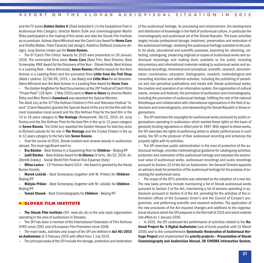and the TV series **Golden Sixties II** (Zlatá šedesátá II.) in the Exceptional Feat in Audiovisual Arts Category; director Martin Šulík and cinematographer Martin Štrba participated in the making of thisseries and also the Slovak Film Institute as co-producer. Actress AlenaMihulová won the Czech Lion Award for **Home Care** and Ondřej Mašek, Peter Čanecký(set design), Kateřina Štefková (costume design), Juraj Steiner (make-up) for **Seven Ravens**.

**–** The 6th Czech Film Critics' Awards for 2015 were presented on 26 January 2016. The nominated films were: **Home Care** (Best Film, Best Director, Best Screenplay, RWE Award for the Discovery of the Year– Slávek Horák, Best Actress in a Leading Role – Alena Mihulová), **Seven Ravens** (Martha Issová for the Best Actress in a Leading Role) and the animated films **Little from the Fish Shop** (Malá z rybárne, CZ/SK/DE, 2015, r. Jan Balej) and **Little Man** for art direction. Alena Mihulová won the Best Actressin a Leading Role Award for **Home Care**.

**–** The Golden Kingfisher for Best Documentary at the 28<sup>th</sup> Festival of Czech Films "Finale Plzeň" (26 April– 2 May 2015) went to **Wave vs Shore** by director Martin Štrba and Miro Remo's **Comeback** was awarded the Special Mention.

The Adult Jury at the 47<sup>th</sup> Ota Hofman Children's Film and Television Festival "Island" (Czech Republic) granted the Special Award of the Jury for the film with the most impressive moral accent and the Ota Hofman Prize for the best film in the 13 to 18 years category to **The Hostage** (Rukojemník, SK/CZ, 2014, dir. Juraj Nvota) and the Ota Hofman Prize for the best film in the up to 12 years category to **Seven Ravens**. The Child Jury awarded the Golden Hoopoe for best boy actor to Richard Labuda for his role in **The Hostage** and the Crystal Chaton in the up to 12 years categoryto the fairytale **Seven Ravens**.

**–** Over the course of 2015, Slovak creators won several awardsin audiovision abroad. The most significant went to:

**– Éva Bándor**– Best Actressin a Supporting Role for **Children** – Beijing IFF

**– Judit Bárdos** – Best Actress Award for **In Silence** (V tichu, SK/CZ, 2014, dir. Zdeněk Jirásky)– Social World Film Festival Vico Equense (Italy)

**– Milan Lasica** – 13<sup>th</sup> Humour Award 2014 – the Award is granted by the Vlasta Burian Society

**– Marek Leščák** – Best Screenplay (together with M. Prikler) for **Children** – Beijing IFF

**– Mátyás Prikler** – Best Screenplay (together with M. Leščák) for **Children** – Beijing IFF

**– Tomáš Stanek** – Best Cinematographyfor **Children** – Beijing IFF.

#### **> SLOVAK FILM INSTITUTE**

**– The Slovak Film Institute** (SFI, www.sfu.sk) is the sole state organisation operating in the area of audiovision in Slovakia.

**–** The SFI has been a member of the International Federation of Film Archives (FIAF) since 2001 and of European Film Promotion since 2006.

**–** The main tasks, activities and scope of the SFI are defined in **Act 40/2015 on Audiovision** of 3 February 2015 with effect from 1 July 2015.

**–** The principal tasks of the SFI include the storage, protection and restoration

of the audiovisual heritage, its processing and enhancement, the development and distribution of knowledge in the field of audiovisual culture, in particular the cinematography and audiovisual art of the Slovak Republic. The basic activities largely include professional storage, treatment, preservation and restoration of the audiovisual heritage, rendering the audiovisual heritage available to the public for study, educational and scientific purposes, searching for, obtaining, collecting, cataloguing, preserving originals or copies of audiovisual works and audiovisual recordings and making them available to the public including documentary and informational materialsrelating to audiovisual works and audiovisual recordings, theoretical and conceptual,scientific, research, documentation, coordination, education, bibliographic, research, methodological and consulting activities and editorial activities, including the publishing of periodical and non-periodical publications and media with Slovak audiovisual works; the creation and operation of an information system, the organisation of cultural events, reviews and festivals, the promotion of audiovision and cinematography, including the promotion of audiovisual heritage, fulfilling the role of the national filmotheque and collaboration with international organisations in the field of audiovision and cinematography, and representing the Slovak Republic in those organisations.

**–** The SFI exercisesthe copyrightsfor audiovisual works produced by public organisations operating in audiovision which exerted these rights on the basis of generally binding regulations in effect prior to 1997. With regard to these works, the SFI exercises the rights of performing artists to artistic performances in such works, the SFI is the producer of their audiovisual recording and enhances the property rights with its activities.

**–** The SFI exercises public administration in the area of protection of the audiovisual heritage, provides methodological guidance for cataloguing activities, protection and restoration of the audiovisual heritage and assesses the audiovisual value of audiovisual works, audiovisual recordings and audio recordings pursuant to Section 22 of the Act on Audiovision; the General Director appoints an advisory body for protection of the audiovisual heritage for the purpose of assessing the audiovisual value.

**–** The scope of the SFI's activities was extended by the adoption of a new Act. The new tasks primarily include maintaining a list of Slovak audiovisual works pursuant to Section 3 of the Act, maintaining a list of persons operating in audiovision pursuant to Section 6 of the Act, providing for the activities of the information offices of the European Union's and the Council of Europe's programmes, and performing scientific and research activities. The application of the new provisions of the Act required changes and additions to the organisational structure which the SFI prepared in the first half of 2015 and which entered into effect on 1 January 2016.

**–** In 2015, the SFI continued the performance of activities related to the **National Project No. 5 Digital Audiovision** (use of funds possible until 31 March 2016) and to the comprehensive **Systematic Restoration of Audiovisual Heritage Project** and implemented the **priority projects – Presentation of Slovak Cinematography and Audiovision Abroad, SK CINEMA Information System,**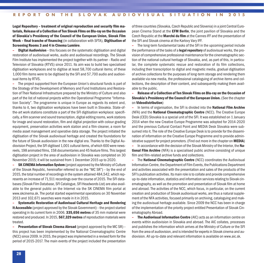**Legal Repository – treatment of original reproduction and security film materials, Release of a Collection ofTen Slovak Films on Blu-ray on the Occasion of Slovakia's Presidency of the Council of the European Union, Slovak Film Week – final tranche of financing** (in collaboration with SFTA), **Digitisation of Screening Rooms 3 and 4 in Cinema Lumie`re**.

**– Digital Audiovision** –thisfocuses on the systematic digitisation and digital restoration of audiovisual works, audio and audiovisual recordings. The Slovak Film Institute hasimplemented the project together with its partner– Radio and Television of Slovakia (RTVS) since 2011. Its aim was to build two specialised digitisation workplaces and to digitise at least 58,700 cultural items; of these 1,000 film items were to be digitised by the SFI and 57,700 audio and audiovisual items by RTVS.

**–** The project supported from the European Union's structural funds is part of the Strategy of the Development of Memory and Fund Institutions and Restoration of Their National Infrastructure prepared by the Ministry of Culture and also part of the list of national projects within the Operational Programme "Information Society". The programme is unique in Europe as regards its extent and, thanks to it, two digitisation workplaces have been built in Slovakia. State-ofthe-art work stations constitute a part of the SFI digitisation workplace: specifically, a filmscanner and sound transcription, digital editing rooms, work stations for image and sound restoration, film and digital projection with colour-grading equipment, preservation activities work station and a film-cleaner, a room for media asset management and operative data storage. The project initiated the digitisation of the Slovak audiovisual heritage and created the foundations for the future of Slovak audiovision in the new digital era. Thanks to the Digital Audiovision Project, the SFI digitised 1,001 cultural items, of which 600 were newsreels, 198 animated films, 158 documentaries and 45 feature films.Thislargest digitisation project in the area of audiovision in Slovakia was completed on 30 November 2015; it will be sustained from 1 December 2015 up to 2020.

**– SK CINEMA Information System** (project approved by the Ministry of Culture of the Slovak Republic, hereinafter referred to as the "MC SR") – by the end of 2015, the total number of recordingsin the systemattained 484,542, which represents an increase of 71,511 recordings over the course of 2015.The SFI databases(Slovak FilmDatabase, SFI Catalogue, SFI HeadwordsList) are also available to the general public on the Internet via the SK CINEMA film portal at www.skcinema.sk. The portal started experimental operations on 30 November 2013 and 102,671 searches were made in it in 2015.

**– Systematic Restoration of Audiovisual Cultural Heritage and Rendering It Accessible** (project approved by the Slovak Government) – the project started operating in its current form in 2006. **335,656 metres** of 35 mm material were restored and produced. In 2015, **567,329metres** of reproductionmaterials were treated.

**– Presentation of Slovak Cinema Abroad** (project approved bythe MC SR)– this project has been implemented by the National Cinematographic Centre (NCC) since 2009. In 2015, the project was implemented in a revised form for the period of 2015-2017. The main events of the project included the presentation

of three countries(Slovakia, Czech Republic and Slovenia)in a joint Central European Cinema Stand at the **EFM Berlin**, the joint pavilion of Slovakia and the Czech Republic at the **Marché du film**at the CannesIFF and the presentation of the SFI and Slovak cinema at the Karlovy Vary IFF.

**–** The long-term fundamental tasks of the SFI in the upcoming period include the performance of the tasks of a **legal repository** of audiovisual works, the provision of comprehensive professional maintenance for the cinematographic section of the national cultural heritage of Slovakia, and, as part of this, in particular, the complete systematic rescue and restoration of its film collections, including their transcription to digital and magnetic media, gradual digitisation of archive collectionsfor the purposes of long-term storage and rendering them available via new media, the professional cataloguing of archive items and collections, the description of their content, and subsequently making them available to the public.

**– Release of a Collection ofTen Slovak Films on Blu-ray on the Occasion of Slovakia's Presidency of the Council of the European Union.** (See the chapter on **Videodistribution**)

**–** In terms of organisation, the SFI is divided into the **National Film Archive** (NFA) and the **National Cinematographic Centre** (NCC). The Creative Europe Desk (CED) Slovakia is a special unit of the SFI. It was established on 1 January 2014 when the new Creative Europe Programme was adopted for 2014-2020 and the previous Cultural Contact Point and MEDIA Desk Slovakia were subsumed into it. The role of the Creative Europe Desk is to provide for the dissemination of information on the Creative Europe Programme and to provide administrative support for project promoters. (Find outmore in the chapter on **MEDIA**)

**–** In accordance with the decision of the SlovakMinistry of the Interior, the **National Film Archive** (NFA) is a specialised public archive consisting of unique film and film-related archive funds and collections.

**–** The **National Cinematographic Centre** (NCC) coordinates the Audiovisual Information Centre, the Department of FilmEvents, the Publications Department and activities associated with the presentation and sales of the products of the SFI's publication activities. Itsmain role isto collate and provide comprehensive up-to-date information, statistics and information services relating to Slovak cinematography, as well asthe promotion and presentation of Slovak film at home and abroad. The activities of the NCC, which focus, in particular, on the current creation and production of Slovak audiovisual works, are thus a naturalsupplement of the NFA activities, focused primarily on archiving, cataloguing andmaking the audiovisual heritage available. Since 2009 the NCC has been in charge of the implementation of the priority project entitled Presentation of Slovak Cinematography Abroad.

**– The Audiovisual Information Centre** (AIC) acts as an information centre on events within audiovision in Slovakia and abroad. The AIC collates, processes and publishes the information which arrives at the Ministry of Culture or the SFI from the area of audiovision, and is intended for experts in Slovak cinema and audiovision. All up-to-date and relevant information is available on www.aic.sk.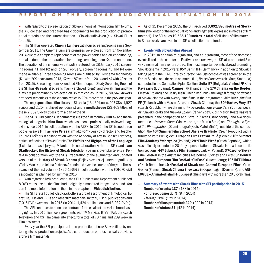**–** With regard to the presentation of Slovak cinema at international filmforums, the AIC collated and prepared basic documents for the production of promotional materials on the currentsituation in Slovak audiovision (e.g. Slovak Films  $14 - 15$ ).

**–** The SFI has operated **Cinema Lumière** with four screening rooms since September 2011. The Cinema Lumière premises were closed from 17 November 2014 due to a complete replacement of the power cables and air-conditioning, and also due to the preparations for putting screening room K4 into operation. The operation of the cinema wassteadilyrestored; on 28 January 2015 screening rooms K1 and K2 and, on 20 February, screening rooms K3 and K4 were made available. Three screening rooms are digitised by D-Cinema technology  $(K1$  with 209 seats from 2013, K2 with 87 seats from 2014 and K4 with 49 seats from 2015). Screening room K3 entitled Filmotheque - Study Screening Room of the SFI has 48 seats; itscreensmainly archived foreign and Slovak films and the films are predominantly projected on 35 mm copies. In 2015, **80,567 viewers** attended screenings at the cinema, which is 22% more than in the previous year.

**–** The only **specialised filmlibrary**in Slovakia (13,439 books, 207 CDs, 1,927 scripts and 2,254 archived periodicals) and a **mediathe`que** (23,463 titles, of these 2,359 Slovak titles) form a part of the SFI.

**–** The SFI's Publications Department issuesthe filmmonthly **Film.sk** and the filmological magazine **Kino-Ikon**, which has been a professionally reviewed magazine since 2014, in collaboration with the ASFK. In 2015, the SFI issued three books: essays **Film as Free Verse** (Film ako voľný verš) by director and teacher Eduard Grečner (in collaboration with the Academy of Arts in Banská Bystrica), critical reflections of Pavel Branko **The Pitfalls and Highpoints of the Language** (Úskalia a slasti jazyka, Milanium in collaboration with the SFI) and **Ivan Stadtrucker:The History of Slovak Television** (Dejinyslovenskej televízie, Perfekt in collaboration with the SFI). Preparation of the augmented and updated version of the **History of Slovak Cinema** (Dejiny slovenskej kinematografie) by VáclavMacek and Jelena Paštéková continued over the course of the year.The issuance of the first volume (1896-1969) in collaboration with the FOTOFO civil association is planned forsummer 2016.

**–** With regard to DVD production, the SFI's Publications Department published 8 DVD re-issues; all the films had a digitally remastered image and sound. You can find more information on them in the chapter on **Videodistribution**.

**–** The SFI'sretail outlet **Klapka.sk** offers a broad assortment of filmological literature, CDs and DVDs and other filmmaterials. In total, 1,199 publications and 7,016 DVDs were sold in 2015 (in 2014: 1,424 publications and 3,032 DVDs).

**–** The SFI continuesto conclude contractsfor the sale of television broadcasting rights. In 2015, licence agreements with TV Markíza, RTVS, TA3, the Czech Television and CS Film came into effect, for a total of 73 films and 209 Week in Film newsreels.

**–** Every year the SFI participates in the production of new Slovak films by entering into co-production projects. As a co-production partner, it usually provides archive film materials.

**–** As of 31 December 2015, the SFI archived **3,692,586 metres of Slovak films** (the length of the individual works and fragments expressed in metres of film material).The SFI holds **19,565,190metres in total** of all kinds of filmmaterial to Slovak works archived in the SFI's collections and funds.

#### **– Events with Slovak Films Abroad**

**–** In 2015, in addition to organising and co-organising most of the domestic eventslisted in the chapter on **Festivals and reviews**, the SFI also promoted Slovak cinema at film events abroad.The most important events abroad promoting Slovak cinema in 2015 were: **65th Berlin IFF** (Germany)–in addition to Slovakia taking part in the EFM, *Koza* by director Ivan Ostrochovský was screened in the ForumSection and the short animated film, *Rosso Papavero* (dir.Matej Smatana) competed in the Generation Kplus Section; **Sofia IFF** (Bulgaria); **Vilnius IFF Kino Pavasaris** (Lithuania); **Cannes IFF** (France); the **17th Cinema on the Border**, Cieszyn (Poland) and ČeskýTešín (Czech Republic), the largest foreign showcase of Slovak cinema with twenty-nine films in the programme; 30<sup>th</sup> Midnight Sun **FF** (Finland) with a Master Class on Slovak Cinema; the **50th Karlovy Vary IFF** (Czech Republic) where the minority co-productions *Home Care* (Domácí péče, dir. Slávek Horák) and *The Red Spider*(Červený pavúk, dir.Marcin Koszalka) were presented in the competition and *Koza* (dir. Ivan Ostrochovský) and two documentaries–*Wave vs Shore* (Vlna vs. breh, dir.Martin Štrba) and *Through the Eyes of the Photographer* (Očami fotografky, dir.MatejMináč), outside of the competition; the **40thSummer Film School Uherské Hradiště** (Czech Republic) with a tribute to Paľo Bielik; **22nd European Film Festival Palić** (Serbia); **16thSummer FilmAcademy Zwierzyniec** (Poland); **28th Finale Plzeň** (Czech Republic), which was officially extended in 2014 by a presentation of Slovak cinema in competition sections; **44th Lubuskie Film Summer**,Lagow (Poland); **3rdCzecho-Slovak Film Festival** in the Australian cities Melbourne, Sydney and Perth: 8<sup>th</sup> Central **and Eastern European FilmFestival "CinEast"** (Luxembourg); **19th IDFF Jihlava** (Czech Republic); **10th Festival of Slovak and Central European Films**, Cran-Gevrier(France); **Slovak Cinema Showcase** in Copenhagen (Denmark); and **ANI-LOGUE** – **Animated Film IFF** Budapest (Hungary) with more than 20 Slovak films.

- **– Summary of events with Slovak films with SFI participation in 2015**
- **– Number of events: 137** (138 in 2014)
	- **- of these: domestic: 9** (9 in 2014)
	- **- foreign: 128** (129 in 2014)

**Number of films presented: 240** (222 in 2014) **Number of states: 37** (42 in 2014)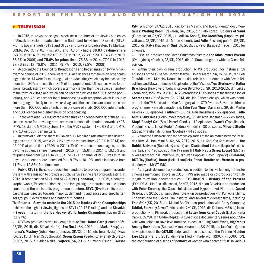#### **> TELEVISION**

**–** In 2015, there was once again a decline in the share of the viewing audiences of Slovak television broadcasters: the Radio and Television of Slovakia (RTVS) with its two channels (STV1 and STV2) and private broadcasters TV Markíza, DOMA, DAJTO, TV JOJ, Plus, WAU and TA3 only had a **66.6% daytime share** (68.0%in 2014, 69.7%in 2013, 71.3%in 2012, 72.7%in 2011, 74.2%in 2010, 86.3% in 2009) and **75.0% for prime time** (75.3% in 2014, 77.0% in 2013, 78.3% in 2012, 78.9% in 2011, 79.7% in 2010, 87.8% in 2009).

**–** According to the Council for Broadcasting and Retransmission (www.rvr.sk), over the course of 2015, there were 213 valid licencesfor television broadcasting; of these, 14 were formulti-regional broadcasting (whichmay be received by more than 30% and less than 80% of the population), 16 licences were for regional broadcasting (which covers a territory larger than the cadastral territory of the town or village and which can be received by less than 30% of the population), and 45 licences for local broadcasting with reception which is usually limited geographically to the town or village and the reception area does not cover more than 100,000 inhabitants or, in the case of a city, 200,000 inhabitants, and 138 licences for digital television broadcasting.

**–** There were also 171 registered retransmission licence-holders; of these 146 licences were for providing retransmission in cable distribution networks (KDS, IPTV), 13 via the MMDS system, 1 via the MVDS system, 1 via GSM and UMTS, and 10 via DVB-T transmitters.

**–** In terms of audience share in Slovakia,TVMarkíza againmaintained itsleading position in 2015, with a 21.41% daytime market share (23.0% in 2014) and 25.99% at prime time (27.9% in 2014). TV JOJ was second once again, and its daytime audience share increased in 2015 from 15.6% in 2014 to 16.15% and for prime time from 19.1% to 21.56%. STV1 (1<sup>st</sup> channel of RTVS) was third; its daytime audience share increased from 9.7% to 10.19%, and it increased from 11.7% to 12.36% for prime time.

**–** Public **RTVS** isthe sole broadcastermandated to provide programmes under the law, with amission to provide a public service in the area of broadcasting. In 2015, it broadcast on STV1 and STV2. **STV1 (Jednotka)** – in 2015, cinematographic works,TV series of domestic and foreign origin, entertainment and sports constituted the basis of its programme structure. **STV2 (Dvojka)** – its broadcasting was directed towards minority, demanding audiences and specific target groups, Slovak regions and national minorities.

The **Belarus – Slovakia match in the 2015 Ice Hockey World Championships** achieved the highest viewing figures on STV1 (29.73% rating) and the **Slovakia – Sweden match in the Ice Hockey World Junior Championships** on STV2 (11.97%).

**–** RTVS co-produced seven full-length feature films: **Home Care** (Domácí péče, CZ/SK, 2015, dir. Slávek Horák), **Eva Nová** (SK, 2015, dir. Marko Škop), **Johanna's Mystery** (Johankino tajomstvo, SK/CZ, 2015, dir. Juraj Nvota), **Koza** (SK, 2015, dir. Ivan Ostrochovský), **Seven Ravens** (Sedemzhavranelých bratov, SK/CZ, 2015, dir. Alice Nellis), **Vojtech** (SK, 2015, dir. Viktor Csudai), **Wilson**

**City** (Wilsonov, SK/CZ, 2015, dir. Tomáš Mašín), and five full-length documentaries: **Waiting Room** (Čakáreň, SK, 2015, dir. Palo Korec), **Colours of Sand** (Farby piesku, SK/CZ, 2015, dir.Ladislav Kaboš),**The Czech Way**(Kupónová privatizácia, CZ/SK, 2015, dir.Martin Kohout), **Last Folio** (Posledný portrét, GB/SK, 2015, dir. Katya Krausová), **Suri**(SK, 2015, dir. Pavol Barabáš)made in 2015 for cinemas.

**–** RTVS co-produced the Czech Christmas fairy tale **The Midsummer Wreath** (Svatojánskývěneček, CZ/SK, 2015, dir. Jiří Strach) together with the Czech Television.

**–** Within their own drama production, RTVS produced, for instance, 16 episodes of the TV series **Doctor Martin** (Doktor Martin, SK/CZ, 2015, dir. Petr Zahrádka) with Miroslav Donutil in the title role in co-production with Czech Television, andMaya produced 33 episodes of the TV series**True Stories with Katka Brychtová** (Pravdivé príbehy s Katkou Brychtovou, SK, 2013-2015, dir. Lukáš Zednikovič) for RTVS. In 2015, RTVS broadcast 13 episodes of the firstseason of **Secret Lives** (Tajné životy, SK, 2014, dir. Ján Sebechlebský), which was nominated in the TV Series of the Year Category at the OTO Awards. Several children's programmes were also made, e.g. **Take Your Time** (Daj si čas, SK, dir. Martin Kákoš) – 30 episodes, **Fidlibum** (SK, dir. Ivan Hansman) – 22 episodes, **Fidlibum's FairyTales** (Fidlibumove rozprávky, SK, dir. Ivan Hansman)– 22 episodes, **Stop! Ready! Go!** (Stoj! Pozor! Choď!) – 12 episodes, **Dwarfs** (Trpaslíci, dir. Vladimír Kriško, Lukáš Kodoň, Andrea Horečná) – 30 episodes, **Miracle Studio** (Zázračný atelier, dir. Diana Novotná)– 44 episodes.

**–** Animated films were alsomade: two episodes of the animated bedtime TV series **Mimi & Lisa** (Mimi & Líza, SK, 2012-2015, dir. Katarína Kerekesová)–**The Bubble Universe** (Bublinkovývesmír) and **Disobedient Letters** (Neposlušné písmenká), and 7 episodes of the TV series**If I Only Had a Screw Loose!** (Mať tak o koliesko viac!, SK, 2002-2015, dir. Ivan Popovič, Dávid Popovič) – **Polaroid**, **DDT**,**Toy**(Hračka), **Razor**(Holiacistrojček), **Robot**, **Beatles** and **Verne** in co-production with MY STUDIO.

**–** Asregards documentary production, in addition to the five full-length filmsfor cinemas mentioned above, in 2015, RTVS also made or co-produced two fulllength television documentaries – **EXCURSION – History of the Present** (EXKURZIA – História súčasnosti, SK/CZ, 2015, dir. Jan Gogola) in co-production with Peter Kerekes, the Czech Television and Hypermarket Film; and **Guard** (Garda, SK, 2015, dir. Ivan Ostrochovský) in co-production with Punkchart films, Endorfilm and the Slovak Film Institute; and several mid-length films, including **True Štúr** (SK, 2015, dir. Michal Baláž) in co-production with Crazy Company; **Taktici, Eternally Alive** (Taktici, večne živí, SK, 2015, dir. Dobroslav Šiška) in coproduction with Playwork production; **A Letter from Karel Čapek** (List od Karla Čapka, CZ/SK, dir. Ondřej Kepka), a 10-episode documentaryseries about Slovaks who helped to save Jewsfromthe Holocaust duringWorldWar II, **Righteous Among the Nations** (Spravodlivímedzi národmi, SK, 2015, dir. Jaro Vojtek); nine new episodes of the **GEN.SK** series and three episodes of the TV series **Golden Lyre** (Zlatá lýra, SK, 2015, dir. Peter Hledík) made with TRIGON PRODUCTION; the continuation of a series of portraits of women who became "first" in various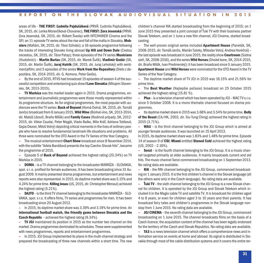areas of life – **THE FIRST: Ľudmila Pajdušáková** (PRVÁ: Ľudmila Pajdušáková, SK, 2015, dir.LenkaMoravčíková-Chovanec),**THE FIRST: Zora Jesenská** (PRVÁ: Zora Jesenská, SK, 2015, dir. Róbert Šveda) with HITCHHIKER Cinema and the SFI; an 11-episode TV series about the rise and fall of themafia in Slovakia,**Mobsters** (Mafiáni, SK, 2015, dir.Tibor Szilvási); a 16-episode programme following the tracks of interesting Slovaks living abroad **Up Hill and Down Dale** (Cestou necestou, SK, 2015, dir.Tibor Patay); three episodes of the TV series **Musicians** (Hudobníci) – **Martin Burlas** (SK, 2015, dir. Marek Šulík), **Vladimír Godár** (SK, 2015, dir. Martin Šulík), **Juraj Hatrik** (SK, 2015, dir. Juraj Lehotský) with sentimentalfilm; and 5 episodes of the series **Work from the Repository** (Dielo z depozitára, SK, 2014-2015, dir. G. Komora, Peter Gerža).

**–** Bythe end of 2015, RTVS had broadcast 15 episodes ofseason 4 of the successful competition and entertaining quizshow **I Love Slovakia** (MilujemSlovensko, SK, 2013-2015).

**– TV Markíza** was the market leader again in 2015. Drama programmes, entertainment and journalistic programmes were those mostly represented within its programme structure. As for original programmes, the most popular with audiences were the TV series: **Back of Beyond** (Horná Dolná, SK, 2015, dir.Tomáš Jančo) broadcast from6 January 2015, **Wild Wine** (Búrlivé víno, SK, 2013-2014, dir. MatúšLibovič, Braňo Mišík) and **Family Cases** (Rodinné prípady, SK, 2012- 2015, dir. Viktor Csudai, Peter Magát, Vlado Balko, Milo Kráľ, Adriana Totiková, Gejza Dezorz,Miloš Volný) depicting criticalmomentsin the lives of ordinary people who have to resolve fundamental landmark life situations and problems. All three were nominated for the OTO Award in the TV Series of the Year Category.

**–** The musical entertainment **Chart Show** broadcastsince 8 November 2014, with the subtitle "Adela Banášová presents the top Czecho-Slovak hits", became the programme of 2015.

**–** Episode 5 of **Back of Beyond** achieved the highest rating (20.34%) on TV Markíza in 2015.

**DOMA** – is a TV channel belonging to the broadcaster MARKÍZA – SLOVAKIA, spol. sr. o. profiled for female audiences. It has been broadcasting since 31 August 2009. Itmainly presented drama programmes, but entertainment and news reports were also represented. In 2015, its daytime market share was 5.15% and 4.24%for prime time. **Killing Jesus** (US, 2015, dir. ChristopherMenaul) achieved the highest rating (5.21%).

**– DAJTO** –isthe third TV channel belonging to the broadcasterMARKÍZA – SLO-VAKIA, spol. s r.o. It offers films, TV series and programmes for men. It has been broadcasting since 20 August 2012.

**–** In 2015, its daytime marketshare was 3.39% and 3.19% for prime time. An **international football match, the friendly game between Slovakia and the Czech Republic** *‒* achieved the highest rating (9.34%).

**– TV JOJ** maintained its position in 2015 as the number two channel on the market. Drama programmes dominated itsschedules.These were supplemented with news programmes, reports and entertainment programmes.

**–** In 2015, JOJ Group implemented its plansin themulti-channelstrategy and prepared the broadcasting of three new channels within a short time. The new children's channel RiK started broadcasting from the beginning of 2015; on 1 June 2015 they presented a joint concept of Ťuki TV with their business partner Slovak Telekom, and on 1 June a new film channel, JOJ Cinema, started broadcasting.

**–** The well-proven original series included **Apartment House** (Panelák, SK, 2008-2015, dir.TomášJančo,Marián Tutoky,Miloslav Volný, Andrea Horečná)– the last episode was broadcast in June 2015, the realityshow **Courtroom**(Súdna sieň, SK, 2008-2016), and the series **Wild Horses** (Divoké kone, SK, 2014-2015, dir. BraňoMišík, Ivan Predmerský); it has been broadcastsince 5 January 2015. **Apartment House** and **Wild Horses** were nominated for the OTO Award in the TV Series of the Year Category.

**–** The daytime market share of TV JOJ in 2015 was 16.15% and 21.56% for prime time.

**–** The **Best Weather** (Najlepšie počasie) broadcast on 25 October 2015 achieved the highest rating (15.81 %).

**– Plus** –is a television channel which has been operated byJOJ–MAC TV s.r.o. since 5 October 2008. It is a mono-thematic channel focused on drama programmes.

**–** Its daytimemarketshare in 2015 was 3.68%and 3.54%for prime time. **Belly of the Beast** (CA/HK, 2003, dir. Siu-Tung Ching) achieved the highest rating in 2015 (3.71%).

**– WAU** – is the third channel belonging to the JOJ Group which is aimed at younger female audiences. It waslaunched on 15 April 2013.

In 2015, its daytime market share was 1.83% and 1.48% for prime time. Episode 14 of season 9 of **CSI: Miami** entitled **Stoned Cold** achieved the highest rating (US, 2002 – 2.16%).

**– Senzi**–isthe fourth channel belonging to the JOJ Group. It is a music channel targeted primarily at older audiences. It mainly broadcasts current and old hits. The music channel Senzi commenced broadcasting on 1 September 2013. No rating data are available.

**– RiK** – the fifth channel belonging to the JOJ Group, commenced broadcasting on 1 January 2015. It isthe first children's channel in the Slovak language (all the others were only in the Czech language). No rating data are available.

**– ŤukiTV** –the sixth channel belonging to the JOJ Group is a new Slovak channel for children. It is operated by the JOJ Group and Slovak Telekom which included it in the Magio cable TV and satellite TV. It is broadcast for children aged 4 to 8 years, or even for children aged 3 to 10 years and their parents. It has broadcast fairy tales and children's programmes in the Slovak language nonstop from 1 June 2015. No rating data are available.

**– JOJ CINEMA** –the seventh channel belonging to the JOJ Group, commenced broadcasting on 1 June 2015. The channel broadcasts films on the basis of a Czech licence; the acquisition content of the channel has been legally endorsed for the territory of the Czech and Slovak Republics. No rating data are available.

**– TA3** is a newstelevision channel which offers a comprehensive news and information service on events at home and abroad. Itssignal is distributed in Slovakia through most of the cable distribution systems and it covers the entire ter-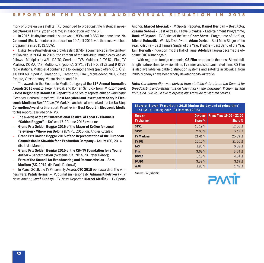ritory of Slovakia via satellite. TA3 continued to broadcast the historical newscast **Week in Film** (Týždeň vo filme) in association with the SFI.

**–** In 2015, its daytimemarketshare was 1.83%and 0.88%for prime time. **No Comment** (Bez komentára) broadcast on 19 April 2015 was the most watched programme in 2015 (3.55%).

**–** Digital terrestrial television broadcasting (DVB-T) commenced in the territory of Slovakia in 2004. In 2015, the content of the individual multiplexes was as follows – Multiplex 1: WAU, DAJTO, Senzi and TV8; Multiplex 2: TV JOJ, Plus, TV Markíza, DOMA, TA3; Multiplex 3 (public): STV1, STV1 HD, STV2 and 9 RTVS radio stations. Multiplex 4 contains the following channels (paid offer): ČT1, ČT2, JOJ CINEMA, Sport 2, Eurosport 1, Eurosport 2, Film+, Nickelodeon, VH1, Viasat Explore, Viasat History, Viasat Nature and RiK.

**–** The awards in the Electronic Media Category at the **11th Annual Journalist Awards 2015** went to: Peter Kravčák and Roman Šimulčík from TV Ružomberok – **Best Regionally Broadcast Report** for a series of reports entitled *Municipal Elections*, Barbora Demešová – **Best Analytical and Investigative Storyin Electronic Media** for*The CT Case*,TVMarkíza, and she also received the **Let Us Stop Corruption Award** for thisreport. Pavol Fejér– **Best Report in Electronic Media** for his report *Deserved* on RTVS.

- **–** The awards at the **21st International Festival of LocalTV Channels "Golden Beggar"** in Košice (17-20 June 2015) went to:
- **– Grand Prix Golden Beggar 2015 of the Mayor of Košice for Local Television – Where You Belong** (BY/PL, 2015, dir. Andrei Kutsila);
- **– Grand Prix Golden Beggar 2015 of the Representation of the European Commission in Slovakia for a Production Company – Adults** (ES, 2014, dir. Javier Marco);
- **– Grand Prix Golden Beggar 2015 of the CityTV Foundation for a Young Author – Sanctification** (Svätenie, SK, 2014, dir. Peter Gábor);
- **– Prize of the Council for Broadcasting and Retransmission – Baro Mariben** (SK, 2014, dir. Paula Ďurinová)

**–** InMarch 2016, the TV Personality Awards **OTO 2015** were awarded.The winners were: **Patrik Herman** –TV JournalismPersonality, **Adriana Kmotríková** –TV News Anchor, **Jozef Kubányi** – TV News Reporter, **Marcel Merčiak** – TV Sports

Anchor, **Marcel Merčiak** – TV Sports Reporter, **Daniel Heriban** – Best Actor, **Zuzana Šebová** – Best Actress, **I Love Slovakia** – Entertainment Programme, **Back of Beyond** – TV Series of the Year, **Chart Show** – Programme of the Year, **Michal Kubovčík** – Weekly Život Award, **Adam Ďurica** – Best Male Singer of the Year, **Kristína** – Best Female Singer of the Year, **Fragile** – Best Band of the Year, **Emil Horváth** –induction into the Hall of Fame. **Adela Banášová** became the Absolute OTO winner again.

**–** With regard to foreign channels, **CS Film** broadcasts the most Slovak fulllength feature films, television films,TV series and short animated films. CS Film is also available via cable distribution systems and satellite in Slovakia; from 2005 Mondays have been wholly devoted to Slovak works.

*Note: Our information was derived from statistical data from the Council for Broadcasting and Retransmission (www.rvr.sk), the individualTV channels and PMT, s.r.o. (we would like to express our gratitude to Vladimír Fatika).*

#### **Share of Slovak TV market in 2015 (during the day and at prime time) – Ind 12+** (1 January 2015 – 31 December 2015)

| Time >            | <b>Daytime</b> | Prime Time 19.00 - 22.00 |
|-------------------|----------------|--------------------------|
| <b>TV</b> channel | Share %        | Share %                  |
| STV <sub>1</sub>  | 10.19 %        | 12.36%                   |
| STV <sub>2</sub>  | 2.68%          | 2.17 %                   |
| <b>TV Markíza</b> | 21.41 %        | 25.59 %                  |
| <b>LOL VT</b>     | 16.15 %        | 21.56%                   |
| TA <sub>3</sub>   | 1.83%          | 0.88%                    |
| <b>Plus</b>       | 3.68%          | 3.54%                    |
| <b>DOMA</b>       | 5.15%          | 4.24 %                   |
| <b>DAJTO</b>      | 3.39%          | 3.19 %                   |
| <b>WAU</b>        | 1.83%          | 1.48%                    |

*Source: PMT/TNS SK*

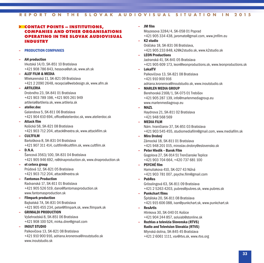# **> CONTACT POINTS – INSTITUTIONS, COMPANIES AND OTHER ORGANISATIONS OPERATING IN THE SLOVAK AUDIOVISUAL INDUSTRY**

#### **– PRODUCTION COMPANIES**

#### **– AH production**

Irkutská 14/D, SK-851 10 Bratislava +421 908 786 843, hessova@ah.sk, www.ah.sk

#### **– ALEF FILM & MEDIA**

Mliekarenská 11, SK-821 09 Bratislava +421 2 2090 2648, recepcia@webdesign.sk, www.afm.sk

#### **– ARTILERIA**

Drobného 23, SK-841 01 Bratislava +421 903 789 198, +421 905 261 949 artileria@artileria.sk, www.artileria.sk

#### **– atelier.doc**

Galandova 5, SK-811 06 Bratislava +421 904 610 694, office@atelierdoc.sk, www.atelierdoc.sk

#### **– Attack film**

Košická 58, SK-821 08 Bratislava +421 903 712 204, attack@nextra.sk, www.attackfilm.sk

#### **– CULTFILM**

Bartoškova 8, SK-831 04 Bratislava +421 907 311 414, cultfilm@cultfilm.sk, www.cultfilm.sk

#### **– D.N.A.**

Šancová 3563/100, SK-831 04 Bratislava +421 905 946 692, rs@dnaproduction.sk, www.dnaproduction.sk

#### **– et cetera group**

Prúdová 12, SK-821 05 Bratislava +421 903 712 204, attack@nextra.sk

#### **– Fantomas Production**

Radvanská 17, SK-811 01 Bratislava +421 905 526 519, dano@fantomasproduction.sk www.fantomasproduction.sk

#### **– Filmpark production**

Bajkalská 7A, SK-831 04 Bratislava +421 905 455 234, peter@filmpark.sk, www.filmpark.sk

#### **– GRIMALDI PRODUCTION**

Vyšehradská 8, SK-851 06 Bratislava +421 908 100 524, mirka.direr@gmail.com

#### **– INOUT STUDIO**

Palkovičova 13, SK-821 08 Bratislava +421 910 900 916, adriana.kronerova@inoutstudio.sk www.inoutstudio.sk

#### **– JM film**

Moyzesova 3284/4, SK-058 01 Poprad +421 905 334 438, jaromato@gmail.com, www.jmfilm.eu

**– K2 studio** Oráčska 18, SK-831 06 Bratislava, +421 905 233 848, k2@k2studio.sk, www.k2studio.sk

#### **– LEON Productions** Jadranská 41, SK-841 05 Bratislava +421 905 609 173, leon@leonproductions.sk, www.leonproductions.sk **– LokalTV**

Palkovičova 13, SK-821 08 Bratislava +421 910 900 916 adriana.kronerova@inoutstudio.sk, www.inoutstudio.sk

#### **– MARLEN MEDIA GROUP**

Berehovská 2168/1, SK-075 01 Trebišov +421 905 287 139, info@marlenmediagroup.eu www.marlenmediagroup.eu

#### **– MAZL**

Haydnova 21, SK-811 02 Bratislava +421 948 568 569

# **– MEDIA FILM**

Nám. hraničiarov 37, SK-851 03 Bratislava +421 903 545 455,studiomediafilm@gmail.com, www.mediafilm.sk

**– Miro Drobný** Zámocká 18, SK-811 01 Bratislava +421 948 201 015, miroslav.drobny@eslovensko.sk

## **– Peter Hledík – Barok Film** Gogolova 27, SK-914 51 Trenčianske Teplice

+421 903 704 664, +420 737 681 100

# **– PSYCHÉ film**

Hamuliakova 410, SK-027 43 Nižná +421 903 781 007, psyche.film@gmail.com

# **– PubRes**

Grösslingová 63, SK-811 09 Bratislava +421 2 5263 4203, pubres@pubres.sk, www.pubres.sk

#### **– Punkchart films** Špitálska 20, SK-811 08 Bratislava +421 915 606 088, ivan@punkchart.sk, www.punkchart.sk

**– ResArtis** Hlinkova 30, SK-040 01 Košice

# +421 904 244 857,soluiab@stonline.sk

## **– Rozhlas a televízia Slovenska (RTVS) Radio and Television Slovakia (RTVS)** Mlynská dolina, SK-845 45 Bratislava +421 2 6061 1111, vsv@rtvs.sk, www.rtvs.org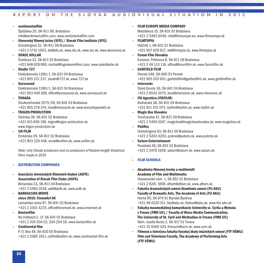| sentimentalfilm                                                                                 |   | <b>FILM EUROPE MEDIA COMPANY</b>                                    |
|-------------------------------------------------------------------------------------------------|---|---------------------------------------------------------------------|
| Špitálska 20, SK-811 08, Bratislava                                                             |   | Matúškova 10, SK-831 01 Bratislava                                  |
| info@sentimentalfilm.com, www.sentimentalfilm.com                                               |   | +421 2 5463 0049, info@filmeurope.eu, www.filmeurope.sk             |
| Slovenský filmový ústav (SFÚ) / Slovak Film Institute (SFÚ)                                     |   | <b>FILMTOPIA</b>                                                    |
| Grösslingová 32, SK-811 09 Bratislava                                                           |   | Vtáčnik 1, SK-831 01 Bratislava                                     |
| +421 2 5710 1503, sfu@sfu.sk, www.sfu.sk, www.aic.sk, www.skcinema.sk                           |   | +421 907 626 627, ek@filmtopia.sk, www.filmtopia.sk                 |
| <b>SOKOL KOLLAR</b>                                                                             |   | <b>Forum Film Slovakia</b>                                          |
| Šulekova 32, SK-811 03 Bratislava                                                               |   | Eurovea, Pribinova 8, SK-811 09 Bratislava                          |
| +421 948 629 990, michal@fogndesirefilms.com, www.sokolkollar.sk                                |   | +421 2 49 113 116, office@forumfilm.sk, www.forumfilm.sk            |
| Studio 727                                                                                      |   | <b>GARFIELD FILM</b>                                                |
| Elektrárenská 1390/1, SK-831 04 Bratislava                                                      |   | Pernek 346, SK-900 53 Pernek                                        |
| +421 905 221 237, studio@727.sk, www.727.sk                                                     |   | +421 905 202 601, garfieldfilm@garfieldfilm.sk, www.garfieldfilm.sk |
| <b>Surosound</b>                                                                                |   | <b>Intersonic</b>                                                   |
| Elektrárenská 1390/1, SK-831 04 Bratislava                                                      |   | Staré Grunty 36, SK-841 04 Bratislava                               |
| +421 903 409 368, office@surosound.sk, www.surosound.sk                                         |   | +421 2 6542 2070, kino@intersonic.sk, www.intersonic.sk             |
| <b>TONADA</b>                                                                                   | ÷ | <b>ITA Agentúra (ITAFILM)</b>                                       |
| Studenohorská 2075/28, SK-841 03 Bratislava                                                     |   | Bulharská 38, SK-831 04 Bratislava                                  |
| +421 905 279 374, miro@mirocacik.sk, www.koncertypredeti.sk                                     |   | +421 911 201 075, itafilm@itafilm.sk, www.itafilm.sk                |
| <b>TRIGON PRODUCTION</b>                                                                        |   | <b>Magic Box Slovakia</b>                                           |
| Sibírska 39, SK-831 02 Bratislava                                                               |   | Trenčianska 47, SK-821 09 Bratislava                                |
| +421 915 839 196, trigon@trigon-production.sk                                                   |   | +421 2 5465 0247, magicbox@magicboxslovakia.sk, www.magicbox.sk     |
| www.trigon-production.sk                                                                        |   | <b>PubRes</b>                                                       |
| <b>UN FILM</b>                                                                                  |   | Grösslingová 63, SK-811 09 Bratislava                               |
| Drotárska 29, SK-811 02 Bratislava                                                              |   | +421 2 5263 4203, pubres@pubres.sk, www.pubres.sk                   |
| +421 903 229 446, email@unfilm.sk, www.unfilm.sk                                                |   | <b>Saturn Entertainment</b>                                         |
|                                                                                                 |   | Považská 48, SK-831 03 Bratislava                                   |
| Note: only Slovak producers and co-producers of feature-length theatrical<br>films made in 2015 |   | +421 2 5479 1939, saturn@saturn.sk, www.saturn.sk                   |
|                                                                                                 |   | <b>FILM SCHOOLS</b>                                                 |

- **– DISTRIBUTION COMPANIES**
- **– Asociácia slovenských filmových klubov (ASFK) Association of Slovak Film Clubs (ASFK)** Brnianska 33, SK-811 04 Bratislava +421 2 5465 2018, asfk@asfk.sk, www.asfk.sk

#### **– BARRACUDA MOVIE since 2016: CinemArt SK**

Lamačská cesta 97, SK-841 03 Bratislava +421 2 3301 4235, office@cinemart.sk, www.cinemart.sk

**– Bontonfilm**

Na Vrátkach č. 1F, SK-841 01 Bratislava +421 2 204 204 52, 204 204 55, www.bontonfilm.sk

**– Continental film**

P. O. Box 48, SK-830 05 Bratislava +421 2 2085 1911, cofilm@cofilm.sk, www.continental-film.sk

- **– Akadémia filmovej tvorby a multimédií Academy of Film and Multimedia** Vlastenecké nám. 1, SK-851 01 Bratislava +421 2 6241 1668, aftam@aftam.sk, www.aftam.sk
- **– Fakulta dramatických umení Akadémie umení (FU AKU) Faculty of Dramatic Arts,The Academy of Arts (FU AKU)** Horná 95, SK-974 01 Banská Bystrica +421 48 4320 311, fdu@aku.sk, festival@aku.sk, www.fdu.aku.sk
- **– Fakulta masmediálnej komunikácie Univerzity sv. Cyrila a Metoda vTrnave (FMK UC) / Faculty of Mass-Media Communication, The University of St. Cyril and Methodius in Trnava (FMK UC)** Nám. Jozefa Herdu 2, SK-917 01 Trnava +421 33 5565 424, fmkucm@ucm.sk, www.ucm.sk
- **– Filmová a televízna fakulta Vysokej školy múzických umení (FTF VŠMU) Film and Television Faculty,The Academy of Performing Arts (FTF VŠMU)**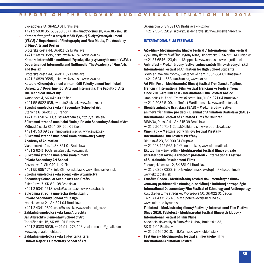Svoradova 2/A, SK-813 01 Bratislava

+421 2 5930 3575, 5930 3577, dekanatftf@vsmu.sk, www.ftf.vsmu.sk

**– Katedra fotografie a nových médií Vysokej školy výtvarných umení (VŠVU) / Department of Photography and New Media,The Academy of Fine Arts and Design**

Drotárska cesta 44, SK-811 02 Bratislava +421 2 6829 9585, ockaiova@vsvu.sk, www.vsvu.sk

**– Katedra intermédií a multimédií Vysokej školy výtvarných umení (VŠVU) Department of Intermedia and Nultimedia,The Academy of Fine Arts and Design**

Drotárska cesta 44, SK-811 02 Bratislava +421 2 6829 9585, ockaiova@vsvu.sk, www.vsvu.sk

**– Katedra výtvarných umení a intermédií Fakulty umeníTechnickej Univerzity / Department of Arts and Intermedia,The Faculty of Arts, The Technical University** Watsonova 4, SK-042 00 Košice

+421 55 6022 635, kvuai.fu@tuke.sk, www.fu.tuke.sk

- **– Stredná umelecká škola / Secondary School of Art** Staničná 8, SK-911 05 Trenčín +421 32 650 57 11,sustn@zoznam.sk, http://sustn.sk/
- **– Súkromná stredná umelecká škola / Private Secondary School of Art** Môťovská cesta 8164, SK-960 01 Zvolen
- +421 45 53 69 199, hrinova@ssuszv.sk, www.ssuszv.sk **– Súkromná stredná umelecká škola animovanej tvorby**
- **Academy of Animation** Vlastenecké nám. 1, SK-851 01 Bratislava

+421 2 6241 1668, uat@uat.sk, www.uat.sk

- **– Súkromná stredná umelecká škola filmová Private Secondary Art School** Petzvalova 2, SK-040 11 Košice +421 55 6857 748, info@filmovaskola.sk, www.filmovaskola.sk
- **– Stredná umelecká škola scénického výtvarníctva Secondary School of Scenic Arts and Crafts** Sklenárova 7, SK-821 08 Bratislava +421 2 5341 4613,skola@zsssvba.sk, www.zsssvba.sk
- **– Súkromná stredná umelecká škola dizajnu Private Secondary School of Design** Ivánska cesta 21, SK-821 04 Bratislava +421 2 4341 0802,ssus@ssus.sk, www.skoladesignu.sk
- **– Základná umelecká škola Jána Albrechta Ján Albrecht's Elementary School of Art** Topoľčianska 15, SK-851 01 Bratislava +421 2 6383 5035, +421 911 273 443, zusjalbrechta@gmail.com www.zusjanaalbrechta.eu
- **– Základná umelecká škola Ľudovíta Rajtera Ľudovít Rajter's Elementary School of Art**

Sklenárova 5, SK-821 09 Bratislava – Ružinov +421 2 5341 2919, skola@zussklenarova.sk, www.zussklenarova.sk

#### **– INTERNATIONAL FILM FESTIVALS**

- **– Agrofilm – Medzinárodný filmový festival / International Film Festival** Výskumný ústav živočíšnej výroby Nitra, Hlohovecká 2, SK-951 41 Lužianky +421 37 6546 123,riaditel@nppc.sk, www.nppc.sk, www.agrofilm.sk
- **– Animofest – Medzinárodný festival animovaných filmov stredných škôl International Festival of Animation for High School Students** SSUŠ animovanej tvorby, Vlastenecké nám. 1, SK-851 01 Bratislava +421 2 6241 1668, uat@uat.sk, www.uat.sk
- **– Art Film Fest – Medzinárodný filmový festivalTrenčianske Teplice, Trenčín / International Film FestivalTrenčianske Teplice,Trenčín since 2016 Art Film Fest - International Film Festival Košice** Omnipolis(7th floor), Trnavská cesta 100/II, SK-821 04 Bratislava +421 2 2085 5100, artfilmfest @artfilmfest.sk, www.artfilmfest.sk
- **– Bienále animácie Bratislava (BAB) – Medzinárodný festival animovaných filmov pre deti / Biennial of Animation Bratislava (BAB) – International Festival of Animated Films for Children** BIBIANA, Panská 41, SK-815 39 Bratislava +421 2 2046 7141-2, bab@bibiana.sk, www.bab-slovakia.sk
- **– Cinematik – Medzinárodný filmový festival Piešťany International Film Festival Piešťany** Bitúnková 23, SK-900 31 Stupava +421 948 445 565, info@cinematik.sk, www.cinematik.sk
- **– Ekotopfilm – Envirofilm - Medzinárodný festival filmov o trvalo udržateľnom rozvoji a životnom prostredí / International Festival of Sustainable Development Films** Zadunajská cesta 12, SK-851 01 Bratislava +421 2 6353 0333, info@ekotopfilm.sk, ekotopfilm@ekotopfilm.sk

www.ekotopfilm.sk

- **– Etnofilm Čadca – Medzinárodný festival dokumentárnych filmov venovaný problematike etnológie, sociálnej a kultúrnej antropológie International Documentary Film Festival of Ethnology and Anthropology** Kysucké kultúrne stredisko, Moyzesova 50, SK-022 01 Čadca +421 41 4331 250–3,silvia.peterekova@vuczilina.sk, www.kultura.e-kysuce.sk
- **– Febiofest – Medzinárodný filmový festival / International Film Festival Since 2016. Febiofest – Medzinárodný festival filmových klubov / International Festival of Film Clubs** Asociácia slovenských filmových klubov, Brnianska 33,

SK-811 04 Bratislava +421 2 5465 2018, asfk@asfk.sk, www.febiofest.sk

**– Fest Anča – Medzinárodný festival animovaného filmu International Animation Festival**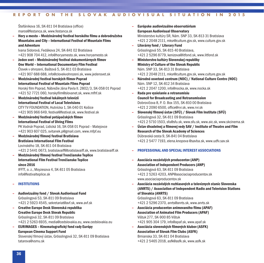Štefánikova 16, SK-811 04 Bratislava (office) maros@festanca.sk, www.festanca.sk

**– Hory a mesto – Medzinárodný festival horského filmu a dobrodružstva Mountains and City – International Festival of Mountain Films and Adventure**

Ivana Sidorová, Fedákova 24, SK-841 02 Bratislava +421 908 704 412, info@horyamesto.sk, www.horyamesto.sk

- **– Jeden svet – Medzinárodný festival dokumentárnych filmov One World – International Documentary Film Festival** Človek v ohrození, Baštová 5, SK-811 03 Bratislava +421 907 688 688, info@clovekvohrozeni.sk, www.jedensvet.sk
- **– Medzinárodný festival horských filmov Poprad International Festival of Mountain Films Poprad** Horskýfilm Poprad, Nábrežie Jána Pavla II. 2802/3, SK-058 01 Poprad +421 52 7721 060, horskyfilm@slovanet.sk, www.mfhf.sk
- **– Medzinárodný festival lokálnych televízií International Festival of LocalTelevisions** CITYTV FOUNDATION, Hutnícka 1, SK-040 01 Košice +421 905 966 649, festival@festival.sk, www.festival.sk
- **– Medzinárodný festival potápačských filmov International Festival of Diving Films** PK Vodnár Poprad, Lidická 16, SK-058 01 Poprad – Matejovce +421 903 607 025,svitanek.p@gmail.com, www.mfpf.eu
- **– Medzinárodný filmový festival Bratislava Bratislava International Film Festival** Lovinského 18, SK-811 04 Bratislava +421 2 5441 0673, bratislavaiff@bratislavaiff.sk, www.bratislavaiff.sk
- **– Medzinárodný filmový festivalTrenčianske Teplice International Film FestivalTrenčianske Teplice since 2016**

IFFTT, o. z., Moyzesova 4, SK-811 05 Bratislava info@festivalteplice.sk

#### **– INSTITUTIONS**

- **– Audiovizuálny fond / Slovak Audiovisual Fund** Grösslingová 53, SK-811 09 Bratislava +421 2 5923 4545, sekretariat@avf.sk, www.avf.sk
- **– Creative Europe Desk Slovenská republika Creative Europe Desk Slovak Republic** Grösslingová 32, SK-811 09 Bratislava +421 2 5263 6935, media@cedslovakia.eu, www.cedslovakia.eu
- **– EURIMAGES – Kinematografický fond rady Európy European Cinema Support Fund** Slovenskýfilmový ústav, Grösslingová 32, SK-811 09 Bratislava tatarova@vsmu.sk
- **– Európske audiovizuálne observatórium European Audiovisual Observatory** Ministerstvo kultúry SR, Nám. SNP 33, SK-813 31 Bratislava +421 2 2048 2111, mksr@culture.gov.sk, www.culture.gov.sk **– Literárny fond / Literary Fund**
- Grösslingová 55, SK-815 40 Bratislava, +421 2 5296 8779, kenizova@litfond.sk, www.litfond.sk
- **– Ministerstvo kultúry Slovenskej republiky Ministry of Culture of the Slovak Republic** Nám. SNP 33, SK-813 31 Bratislava +421 2 2048 2111, mksr@culture.gov.sk, www.culture.gov.sk
- **– Národné osvetové centrum (NOC) / National Culture Centre (NOC)** Nám. SNP 12, SK-812 34 Bratislava +421 2 2047 1200, info@nocka.sk, www.nocka.sk
- **– Rada pre vysielanie a retransmisiu Council for Broadcasting and Retransmission** Dobrovičova 8, P. O. Box 155, SK-810 00 Bratislava +421 2 2090 6500, office@rvr.sk, www.rvr.sk
- **– Slovenský filmový ústav (SFÚ) / Slovak Film Institute (SFÚ)** Grösslingová 32, SK-811 09 Bratislava +421 2 5710 1503, sfu@sfu.sk, www.sfu.sk, www.aic.sk, www.skcinema.sk
- **– Ústav divadelnej a filmovej vedy SAV / Institute ofTheatre and Film Research of the Slovak Academy of Sciences** Dúbravská cesta 9, SK-841 04 Bratislava +421 2 5477 7193, elena.knopova @savba.sk, www.udfv.sav.sk

#### **– PROFESSIONAL AND SPECIAL INTEREST ASSOCIATIONS**

- **– Asociácia nezávislých producentov (ANP) Association of Independent Producers (ANP)** Grösslingová 63, SK-811 09 Bratislava +421 2 5263 4203, ANP@asociaciaproducentov.sk www.asociaciaproducentov.sk
- **– Asociácia nezávislých rozhlasových a televíznych staníc Slovenska (ANRTS) / Association of Independent Radio and Television Stations of Slovakia (ANRTS)**

Grösslingová 63, SK-811 09 Bratislava

+421 2 5296 2370, anrts@anrts.sk, www.anrts.sk

- **– Asociácia producentov animovaného filmu (APAF) Association of Animated Film Producers (APAF)** Vištuk 277, SK-900 85 Vištuk +421 905 304 179, info@apaf.sk, www.apaf.sk
- **– Asociácia slovenských filmových klubov (ASFK) Association of Slovak Film Clubs (ASFK)** Brnianska 33, SK-811 04 Bratislava +421 2 5465 2018, asfk@asfk.sk, www.asfk.sk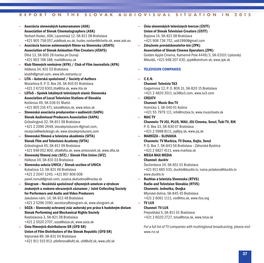- **– Asociácia slovenských kameramanov (ASK) Association of Slovak Cinematographers (ASK)** Norbert Hudec, ASK,Lazaretská 12, SK-811 08 Bratislava +421 905 758 057,ask@ask.eu.sk, hudec.norbert@chello.sk, www.ask.eu
- **– Asociácia tvorcov animovaných filmov na Slovensku (ATAFS) Association of Slovak Animation Film Creators (ATAFS)** Dlhá 13, SK-900 28 Ivanka pri Dunaji +421 903 748 188, malik@vsmu.sk
- **– Klub filmových novinárov (KFN) / Club of Film Journalists (KFN)** Hálkova 34, 831 03 Bratislava klubfn@gmail.com, www.kfn.estranky.cz
- **– LITA – Autorská spoločnosť / Society of Authors** Mozartova 9, P. O. Box 28, SK-810 01 Bratislava +421 2 6720 9301,lita@lita.sk, www.lita.sk
- **– LOToS – Spolok lokálnych televíznych staníc Slovenska Association of LocalTelevision Stations of Slovakia** Kollárova 49, SK-036 01 Martin +421 905 216 471, lotos@lotos.sk, www.lotos.sk
- **– Slovenská asociácia producentov v audiovízii (SAPA) Slovak Audiovisual Producers Association (SAPA)** Grösslingová 32, SK-811 09 Bratislava +421 2 2090 2648, slovakproducers @gmail.com, recepcia@webdesign.sk, www.slovakproducers.com
- **– Slovenská filmová a televízna akadémia (SFTA) Slovak Film and Television Academy (SFTA)** Grösslingová 45, SK-811 09 Bratislava +421 948 052 800, sfta@sfta.sk, www.slnkovsieti.sk, www.sfta.sk
- **– Slovenský filmový zväz (SFZ) / Slovak Film Union (SFZ)** Hálkova 34, SK-831 03 Bratislava
- **– Slovenska sekcia UNICA / Slovak section of UNICA** Kubačova 13, SK-831 06 Bratislava +421 2 2047 1245, +421 907 806 008 pavel.nunuk@gmail.com, zuzana.skoludova@nocka.sk
- **– Slovgram – Nezávislá spoločnosť výkonných umelcov a výrobcov zvukových a zvukovo-obrazových záznamov / Joint Collecting Society for Performers and Audio and Video Producers** Jakubovo nám. 14, SK-813 48 Bratislava +421 2 5296 3190, secretary@slovgram.sk, www.slovgram.sk
- **– SOZA – Slovenský ochranný zväz autorský pre práva k hudobným dielam Slovak Performing and Mechanical Rights Society** Rastislavova 3, SK-821 08 Bratislava +421 2 5020 2707,soza@soza.sk, www.soza.sk
- **– Únia filmových distribútorov SR (ÚFD SR) Union of Film Distributors of the Slovak Republic (ÚFD SR)** Vajnorská 89, SK-831 04 Bratislava +421 911 515 913, pfeiferova@ufd.sk, ufd@ufd.sk, www.ufd.sk
- **– Únia slovenských televíznych tvorcov (ÚSTT) Union of Slovak Television Creators (ÚSTT)** Bajzova 14, SK-821 08 Bratislava +421 908 736 752, ustt1990@gmail.com
- **– Združenie prevádzkovateľov kín (ZPK) Association of Slovak Cinema Operators (ZPK)** Golden Apple Cinema, Kamenné Pole 4449/3, SK-03101 Liptovský Mikuláš, +421 948 207 430, zppk@centrum.sk, www.zpk.sk

#### **– TELEVISION COMPANIES**

**– C.E.N.**

#### **Channel:Televízia TA3**

Gagarinova 12, P. O. BOX 31, SK-820 15 Bratislava +421 2 4820 3511, ta3@ta3.com, www.ta3.com

**– CREATV Channel: Music BoxTV**

Hutnícka 1, SK-040 01 Košice +421 55 7979 111, info@mcbox.tv, www.musicboxtv.sk

- **– MAC TV Channels:TV JOJ, PLUS, WAU, JOJ Cinema, Senzi,ŤukiTV, RiK** P. O. Box 33, SK-830 07 Bratislava +421 2 5988 8111, joj@joj.sk, www.joj.sk
- **– MARKÍZA – SLOVAKIA Channels:TV Markíza,TV Doma, Dajto, Senzi** P. O. Box 7, SK-843 56 Bratislava – Záhorská Bystrica +421 2 6827 4111, www.markiza.sk
- **– MEGA MAX MEDIA Channel: ducktv** Ševčenkova 34, SK-851 01 Bratislava +421 911 665 535, ducktv@ducktv.tv, ivana.polakova@ducktv.tv www.ducktv.tv
- **– Rozhlas a televízia Slovenska (RTVS) Radio and Television Slovakia (RTVS) Channels: Jednotka, Dvojka** Mlynská dolina, SK-845 45 Bratislava

+421 2 6061 1111, vsv@rtvs.sk, www.rtvs.org

#### **– TV LUX**

**Channel:TV LUX** Prepoštská 5, SK-811 01 Bratislava +421 2 6020 2727, tvlux@tvlux.sk, www.tvlux.sk

*For a full list ofTV companies with multiregional broadcasting, please visit www.rvr.sk*